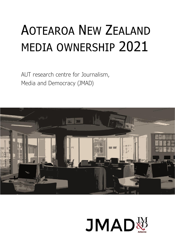# AOTEAROA NEW ZEALAND MEDIA OWNERSHIP 2021

AUT research centre for Journalism, Media and Democracy (JMAD)



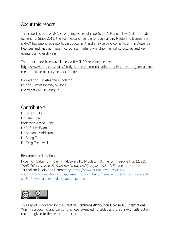# About this report

This report is part of JMAD's ongoing series of reports on Aotearoa New Zealand media ownership. Since 2011, the AUT research centre for Journalism, Media and Democracy (JMAD) has published reports that document and analyse developments within Aotearoa New Zealand media. These incorporate media ownership, market structures and key events during each year.

The reports are freely available via the JMAD research centre: [https://www.aut.ac.nz/study/study-options/communication-studies/research/journalism,](https://www.stuff.co.nz/business/124725666/why-the-government-might-want-to-merge-tvnz-and-rnz) [media-and-democracy-research-centre](https://www.stuff.co.nz/business/124725666/why-the-government-might-want-to-merge-tvnz-and-rnz)

Copyediting: Dr Atakohu Middleton Editing: Professor Wayne Hope Coordination: Dr Saing Te

# **Contributors**

Dr Sarah Baker Dr Peter Hoar Professor Wayne Hope Dr Rufus McEwan Dr Atakohu Middleton Dr Saing Te Dr Greg Treadwell

Recommended citation:

Hope, W., Baker, S., Hoar, P., McEwan, R., Middleton, A., Te, S., Treadwell, G. (2021). *JMAD Aotearoa New Zealand media ownership report 2021*. AUT research centre for Journalism Media and Democracy. [https://www.aut.ac.nz/study/study](https://www.aut.ac.nz/study/study-options/communication-studies/research/journalism,-media-and-democracy-research-centre/new-zealand-media-ownership-report)[options/communication-studies/research/journalism,-media-and-democracy-research](https://www.aut.ac.nz/study/study-options/communication-studies/research/journalism,-media-and-democracy-research-centre/new-zealand-media-ownership-report)[centre/new-zealand-media-ownership-report](https://www.aut.ac.nz/study/study-options/communication-studies/research/journalism,-media-and-democracy-research-centre/new-zealand-media-ownership-report)



This report is covered by the Creative Commons Attribution License 4.0 International. When reproducing any part of this report—including tables and graphs—full attribution must be given to the report author(s).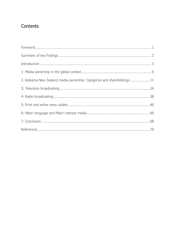# Contents

| 2. Aotearoa New Zealand media ownership: Categories and shareholdings11 |
|-------------------------------------------------------------------------|
|                                                                         |
|                                                                         |
|                                                                         |
|                                                                         |
|                                                                         |
|                                                                         |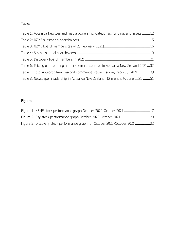# Tables

| Table 1: Aotearoa New Zealand media ownership: Categories, funding, and assets12    |  |
|-------------------------------------------------------------------------------------|--|
|                                                                                     |  |
|                                                                                     |  |
|                                                                                     |  |
|                                                                                     |  |
| Table 6: Pricing of streaming and on-demand services in Aotearoa New Zealand 202132 |  |
| Table 7: Total Aotearoa New Zealand commercial radio - survey report 3, 202139      |  |
| Table 8: Newspaper readership in Aotearoa New Zealand, 12 months to June 2021 51    |  |

# Figures

| Figure 1: NZME stock performance graph October 2020-October 202117          |  |
|-----------------------------------------------------------------------------|--|
|                                                                             |  |
| Figure 3: Discovery stock performance graph for October 2020-October 202122 |  |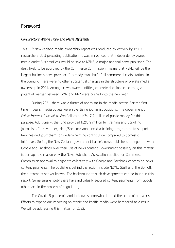# <span id="page-4-0"></span>Foreword

#### *Co-Directors Wayne Hope and Merja Myllylahti*

This 11th New Zealand media ownership report was produced collectively by JMAD researchers. Just preceding publication, it was announced that independently owned media outlet BusinessDesk would be sold to NZME, a major national news publisher. The deal, likely to be approved by the Commerce Commission, means that NZME will be the largest business news provider. It already owns half of all commercial radio stations in the country. There were no other substantial changes in the structure of private media ownership in 2021. Among crown-owned entities, concrete decisions concerning a potential merger between TVNZ and RNZ were pushed into the new year.

During 2021, there was a flutter of optimism in the media sector. For the first time in years, media outlets were advertising journalist positions. The government's *Public Interest Journalism Fund* allocated NZ\$17.7 million of public money for this purpose. Additionally, the fund provided NZ\$3.9 million for training and upskilling journalists. In November, Meta/Facebook announced a training programme to support New Zealand journalism: an underwhelming contribution compared to domestic initiatives. So far, the New Zealand government has left news publishers to negotiate with Google and Facebook over their use of news content. Government passivity on this matter is perhaps the reason why the News Publishers Association applied for Commerce Commission approval to negotiate collectively with Google and Facebook concerning news content payments. The publishers behind the action include NZME, Stuff and The Spinoff; the outcome is not yet known. The background to such developments can be found in this report. Some smaller publishers have individually secured content payments from Google; others are in the process of negotiating.

The Covid-19 pandemic and lockdowns somewhat limited the scope of our work. Efforts to expand our reporting on ethnic and Pacific media were hampered as a result. We will be addressing this matter for 2022.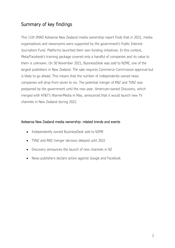# <span id="page-5-0"></span>Summary of key findings

This 11th JMAD Aotearoa New Zealand media ownership report finds that in 2021, media organisations and newsrooms were supported by the government's Public Interest Journalism Fund. Platforms launched their own funding initiatives. In this context, Meta/Facebook's training package covered only a handful of companies and its value to them is unknown. On 30 November 2021, BusinessDesk was sold to NZME, one of the largest publishers in New Zealand. The sale requires Commerce Commission approval but is likely to go ahead. This means that the number of independently owned news companies will drop from seven to six. The potential merger of RNZ and TVNZ was postponed by the government until the new year. American-owned Discovery, which merged with AT&T's WarnerMedia in May, announced that it would launch new TV channels in New Zealand during 2022.

## Aotearoa New Zealand media ownership: related trends and events

- Independently owned BusinessDesk sold to NZME
- TVNZ and RNZ merger decision delayed until 2022
- Discovery announces the launch of new channels in NZ
- News publishers declare action against Google and Facebook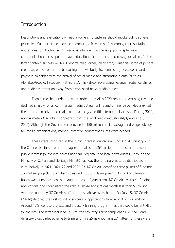# <span id="page-6-0"></span>Introduction

Descriptions and evaluations of media ownership patterns should invoke public sphere principles. Such principles advance democratic freedoms of assembly, representation, and expression. Putting such freedoms into practice opens up public spheres of communication across politics, law, educational institutions, and news journalism. In the latter context, successive JMAD reports tell a largely bleak story. Financialisaton of private media assets, corporate restructuring of news budgets, contracting newsrooms and paywalls coincided with the arrival of social media and streaming giants (such as Alphabet/Google, Facebook, Netflix, etc). They drew advertising revenue, audience share, and audience attention away from established news media outlets.

Then came the pandemic. As recorded in JMAD's 2020 report, advertising revenue declined sharply for all commercial media outlets, online and offline. Bauer Media exited the domestic market and major national magazine titles temporarily closed. During 2020, approximately 637 jobs disappeared from the local media industry (Myllylahti et al., 2020). Although the Government provided a \$50 million crisis package and wage subsidy for media organisations, more substantive countermeasures were needed.

These were instituted in the Public Interest Journalism Fund. On 26 January 2021, the Cabinet business committee agreed to allocate \$55 million to protect and preserve public interest journalism across national, regional, and local news outlets. Through the Ministry of Culture and Heritage Manatū Taonga, the funding was to be distributed cumulatively in 2021, 2021-22 and 2022-23. NZ On Air identified three pillars of funding: Journalism projects, journalism roles and industry development. On 22 April, Raewyn Rasch was announced as the inaugural head of journalism. NZ On Air evaluated funding applications and coordinated the rollout. Those applications worth less than \$1 million were evaluated by NZ On Air staff and those above by its board. On July 15, NZ On Air (2021d) detailed the first round of successful applications from a pool of \$9.6 million. Around 40% went to projects and industry training programmes that would benefit Māori journalism. The latter included Te Rito, the "country's first comprehensive Māori and diverse-voices cadet scheme to train and hire 25 new journalists." Fifteen of these were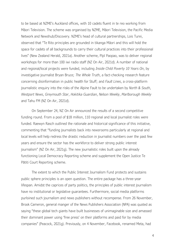to be based at NZME's Auckland offices, with 10 cadets fluent in te reo working from Māori Television. The scheme was organised by NZME, Māori Television, the Pacific Media Network and Newshub/Discovery. NZME's head of cultural partnerships, Lois Turei, observed that "Te Rito principles are grounded in tikanga Māori and this will hold the space for cadets of all backgrounds to carry their cultural practices into their professional lives" (New Zealand Herald, 2021a). Another scheme, Pīpī Paopao, was to deliver regional workshops for more than 100 iwi radio staff (NZ On Air, 2021d). A number of national and regional/local projects were funded, including *Inside Child Poverty 10 Years On*, by investigative journalist Bryan Bruce; *The Whole Truth*, a fact-checking research feature concerning disinformation in public health for Stuff; and *Fault Lines*, a cross-platform journalistic enquiry into the risks of the Alpine Fault to be undertaken by *North & South*, *Westport News*, *Greymouth Star*, *Hokitika Guardian*, *Nelson Weekly*, *Marlborough Weekly* and Tahu FM (NZ On Air, 2021d).

On September 24, NZ On Air announced the results of a second competitive funding round. From a pool of \$18 million, 110 regional and local journalist roles were funded. Raewyn Rasch outlined the rationale and historical significance of this initiative, commenting that "funding journalists back into newsrooms particularly at regional and local levels will help redress the drastic reduction in journalist numbers over the past few years and ensure the sector has the workforce to deliver strong public interest journalism" (NZ On Air, 2021g). The new journalistic roles built upon the already functioning Local Democracy Reporting scheme and supplement the Open Justice Te Pātiti Court Reporting scheme.

The extent to which the Public Interest Journalism Fund protects and sustains public sphere principles is an open question. The entire package has a three-year lifespan. Amidst the caprices of party politics, the principles of public interest journalism have no institutional or legislative guarantees. Furthermore, social media platforms purloined such journalism and news publishers without recompense. From 26 November, Brook Cameron, general manger of the News Publishers Association (NPA) was quoted as saying "these global tech giants have built businesses of unimaginable size and amassed their dominant power using 'free press' on their platforms and paid for by media companies" (Peacock, 2021g). Previously, on 4 November, Facebook, renamed Meta, had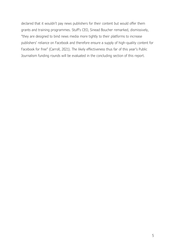declared that it wouldn't pay news publishers for their content but would offer them grants and training programmes. Stuff's CEO, Sinead Boucher remarked, dismissively, "they are designed to bind news media more tightly to their platforms to increase publishers' reliance on Facebook and therefore ensure a supply of high-quality content for Facebook for free" (Carroll, 2021). The likely effectiveness thus far of this year's Public Journalism funding rounds will be evaluated in the concluding section of this report.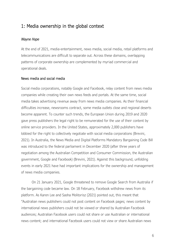# <span id="page-9-0"></span>1: Media ownership in the global context

## *Wayne Hope*

At the end of 2021, media-entertainment, news media, social media, retail platforms and telecommunications are difficult to separate out. Across these domains, overlapping patterns of corporate ownership are complemented by myriad commercial and operational deals.

## News media and social media

Social media corporations, notably Google and Facebook, relay content from news media companies while creating their own news feeds and portals. At the same time, social media takes advertising revenue away from news media companies. As their financial difficulties increase, newsrooms contract, some media outlets close and regional deserts become apparent. To counter such trends, the European Union during 2019 and 2020 gave press publishers the legal right to be remunerated for the use of their content by online service providers. In the United States, approximately 2,000 publishers have lobbied for the right to collectively negotiate with social media corporations (Brevini, 2021). In Australia, the News Media and Digital Platforms Mandatory Bargaining Code Bill was introduced to the federal parliament in December 2020 (after three years of negotiation among the Australian Competition and Consumer Commission, the Australian government, Google and Facebook) (Brevini, 2021). Against this background, unfolding events in early 2021 have had important implications for the ownership and management of news media companies.

On 21 January 2021, Google threatened to remove Google Search from Australia if the bargaining code became law. On 18 February, Facebook withdrew news from its platform. As Karen Lee and Sasha Molitorisz (2021) pointed out, this meant that "Australian news publishers could not post content on Facebook pages; news content by international news publishers could not be viewed or shared by Australian Facebook audiences; Australian Facebook users could not share or use Australian or international news content; and international Facebook users could not view or share Australian news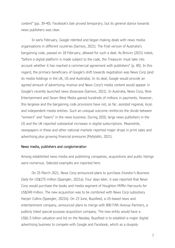content" (pp. 39-40). Facebook's ban proved temporary, but its general stance towards news publishers was clear.

In early February, Google relented and began making deals with news media organisations in different countries (Samois, 2021). The final version of Australia's bargaining code, passed on 18 February, allowed for such a deal. As Brevini (2021) noted, "before a digital platform is made subject to the code, the Treasurer must take into account whether it has reached a commercial agreement with publishers" (p. 85). In this regard, the primary beneficiary of Google's shift towards negotiation was News Corp (and its media holdings in the UK, US and Australia). In its deal, Google would provide an agreed amount of advertising revenue and News Corp's media content would appear in Google's recently launched news showcase (Samois, 2021). In Australia, News Corp, Nine Entertainment and Seven West Media gained hundreds of millions in payments. However, this largesse and the bargaining code provisions have not, so far, assisted regional, local, and independent media entities. Such an unequal outcome reinforces the divide between "winners" and "losers" in the news business. During 2020, large news publishers in the US and the UK reported substantial increases in digital subscriptions. Meanwhile, newspapers in these and other national markets reported major drops in print sales and advertising plus growing financial pressures (Myllylahti, 2021).

## News media, publishers and conglomeration

Among established news media and publishing companies, acquisitions and public listings were numerous. Selected examples are reported here.

On 25 March 2021, News Corp announced plans to purchase *Investor's Business Daily* for US\$275 million (Spangler, 2021a). Four days later, it was reported that News Corp would purchase the books and media segment of Houghton Mifflin Harcourts for US\$349 million. The new acquisition was to be combined with News Corp subsidiary Harper Collins (Spangler, 2021b). On 23 June, Buzzfeed, a US-based news and entertainment company, announced plans to merge with 890 Fifth Avenue Partners, a publicly listed special-purpose acquisition company. The new entity would have a US\$1.5 billion valuation and list on the Nasdaq. Buzzfeed is to establish a major digital advertising business to compete with Google and Facebook, which as a duopoly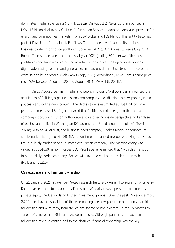dominates media advertising (Turvill, 2021a). On August 2, News Corp announced a US\$1.15 billion deal to buy Oil Price Information Service, a data and analytics provider for energy and commodities markets, from S&P Global and HIS Markit. This entity becomes part of Dow Jones Professional. For News Corp, the deal will "expand its business-tobusiness digital information portfolio" (Spangler, 2021c). On August 5, News Corp CEO Robert Thomson declared that the fiscal year 2021 (ending 30 June) was "the most profitable year since we created the new News Corp in 2013." Digital subscriptions, digital advertising returns and general revenue across different sectors of the corporation were said to be at record levels (News Corp, 2021). Accordingly, News Corp's share price rose 46% between August 2020 and August 2021 (Myllylahti, 2021b).

On 26 August, German media and publishing giant Axel Springer announced the acquisition of Politico, a political journalism company that distributes newspapers, radio podcasts and online news content. The deal's value is estimated at US\$1 billion. In a press statement, Axel Springer declared that Politico would strengthen the media company's portfolio "with an authoritative voice offering inside perspective and analysis of politics and policy in Washington DC, across the US and around the globe" (Turvill, 2021a). Also on 26 August, the business news company, Forbes Media, announced its stock-market listing (Turvill, 2021b). It confirmed a planned merger with Magnum Opus Ltd, a publicly traded special-purpose acquisition company. The merged entity was valued at USD\$630 million. Forbes CEO Mike Federle remarked that "with this transition into a publicly traded company, Forbes will have the capital to accelerate growth" (Myllylahti, 2021b).

## US newspapers and financial ownership

On 21 January 2021, a *Financial Times* research feature by Anna Nicolaou and Fontanella-Khan revealed that "today about half of America's daily newspapers are controlled by private equity, hedge funds and other investment groups." Over the past 15 years, almost 2,200 titles have closed. Most of those remaining are newspapers in name only—amidst advertising and wire copy, local stories are sparse or non-existent. In the 15 months to June 2021, more than 70 local newsrooms closed. Although pandemic impacts on advertising revenue contributed to the closures, financial ownership was the key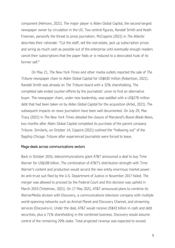component (Helmore, 2021). The major player is Alden Global Capital, the second-largest newspaper owner by circulation in the US. Two central figures, Randall Smith and Heath Freeman, personify the threat to press journalism. McCoppins (2021) in *The Atlantic* describes their rationale: "Cut the staff, sell the real estate, jack up subscription prices and wring as much cash as possible out of the enterprise until eventually enough readers cancel their subscriptions that the paper folds or is reduced to a desiccated husk of its former self."

On May 21, *The New York Times* and other media outlets reported the sale of *The Tribune* newspaper chain to Alden Global Capital for US\$630 million (Robertson, 2021). Randall Smith was already on *The Tribune* board with a 32% shareholding. The completed sale ended counter-efforts by the journalists' union to find an alternative buyer. The newspaper chain, under new leadership, was saddled with a US\$278 million debt that had been taken on by Alden Global Capital for the acquisition (Arbel, 2021). The subsequent impacts on news journalism have been well documented. On July 29, Mac Tracy (2021) in *The New York Times* detailed the closure of Maryland's *Bowie Blade-News*, two months after Alden Global Capital completed its purchase of the parent company Tribune. Similarly, on October 14, Coppins (2021) outlined the "hollowing out" of the flagship *Chicago Tribune* after experienced journalists were forced to leave.

## Mega-deals across communications sectors

Back in October 2016, telecommunications giant AT&T announced a deal to buy Time Warner for US\$108 billion. The combination of AT&T's distribution strength with Time Warner's content and production would accord the new entity enormous market power. An anti-trust suit filed by the U.S. Department of Justice in November 2017 failed. The merger was allowed to proceed by the Federal Court and this decision was upheld in March 2019 (Teitelman, 2021). On 17 May 2021, AT&T announced plans to combine its WarnerMedia division with Discovery, a communications television company with multiple world-spanning networks such as Animal Planet and Discovery Channel, and streaming services (Discovery+). Under the deal, AT&T would receive US\$43 billion in cash and debt securities, plus a 71% shareholding in the combined business. Discovery would assume control of the remaining 29% stake. Total projected revenue was expected to exceed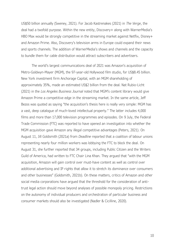US\$50 billion annually (Sweney, 2021). For Jacob Kastrenakes (2021) in *The Verge*, the deal had a twofold purpose. Within the new entity, Discovery+ along with WarnerMedia's HBO Max would be strongly competitive in the streaming market against Netflix, Disney+ and Amazon Prime. Also, Discovery's television arms in Europe could expand their news and sports channels. The addition of WarnerMedia's shows and channels and the capacity to bundle them for cable distribution would attract subscribers and advertisers.

The world's largest communications deal of 2021 was Amazon's acquisition of Metro-Goldwyn-Mayer (MGM), the 97-year-old Hollywood film studio, for US\$8.45 billion. New York investment firm Anchorage Capital, with an MGM shareholding of approximately 35%, made an estimated US\$2 billion from the deal. Nat Rubio-Licht (2021) in the *Los Angeles Business Journal* noted that MGM's content library would give Amazon Prime a competitive edge in the streaming market. In the same article, Jeff Bezos was quoted as saying "the acquisition's thesis here is really very simple: MGM has a vast, deep catalogue of much-loved intellectual property." The latter includes 4,000 films and more than 17,000 television programmes and episodes. On 9 July, the Federal Trade Commission (FTC) was reported to have opened an investigation into whether the MGM acquisition gave Amazon any illegal competitive advantages (Peters, 2021). On August 11, Jill Goldsmith (2021a) from *Deadline* reported that a coalition of labour unions representing nearly four million workers was lobbying the FTC to block the deal. On August 31, she further reported that 34 groups, including Public Citizen and the Writers Guild of America, had written to FTC Chair Lina Khan. They argued that "with the MGM acquisition, Amazon will gain control over must-have content as well as control over additional advertising and IP rights that allow it to stretch its dominance over consumers and other businesses" (Goldsmith, 2021b). On these matters, critics of Amazon and other social media corporations have argued that the threshold for the consideration of antitrust legal action should move beyond analyses of possible monopoly pricing. Restrictions on the autonomy of individual producers and orchestration of particular business and consumer markets should also be investigated (Nadler & Cicilline, 2020).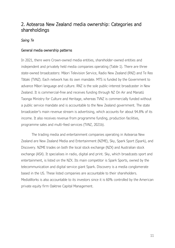# <span id="page-14-0"></span>2. Aotearoa New Zealand media ownership: Categories and shareholdings

# *Saing Te*

# General media ownership patterns

In 2021, there were Crown-owned media entities, shareholder-owned entities and independent and privately held media companies operating (Table 1). There are three state-owned broadcasters: Māori Television Service, Radio New Zealand (RNZ) and Te Reo Tātaki (TVNZ). Each network has its own mandate. MTS is funded by the Government to advance Māori language and culture. RNZ is the sole public-interest broadcaster in New Zealand. It is commercial-free and receives funding through NZ On Air and Manatū Taonga Ministry for Culture and Heritage, whereas TVNZ is commercially funded without a public service mandate and is accountable to the New Zealand government. The state broadcaster's main revenue stream is advertising, which accounts for about 94.8% of its income. It also receives revenue from programme funding, production facilities, programme sales and multi-feed services (TVNZ, 2021b).

The trading media and entertainment companies operating in Aotearoa New Zealand are New Zealand Media and Entertainment (NZME), Sky, Spark Sport (Spark), and Discovery. NZME trades on both the local stock exchange (NZX) and Australian stock exchange (ASX). It specialises in radio, digital and print. Sky, which broadcasts sport and entertainment, is listed on the NZX. Its main competitor is Spark Sports, owned by the telecommunication and digital service giant Spark. Discovery is a media conglomerate based in the US. These listed companies are accountable to their shareholders. MediaWorks is also accountable to its investors since it is 60% controlled by the American private equity firm Oaktree Capital Management.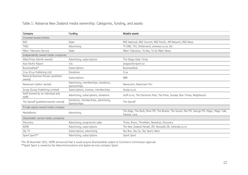Table 1: Aotearoa New Zealand media ownership: Categories, funding, and assets

| Company                                       | Funding                                              | Notable assets                                                                                            |
|-----------------------------------------------|------------------------------------------------------|-----------------------------------------------------------------------------------------------------------|
| Crowned-owned entities                        |                                                      |                                                                                                           |
| <b>RNZ</b>                                    | State                                                | RNZ National, RNZ Concert, RNZ Pacific, AM Network, RNZ News                                              |
| <b>TVNZ</b>                                   | Advertising                                          | TV ONE, TV2, OnDemand, onenews.co.nz, Re:                                                                 |
| Māori Television Service                      | State                                                | Māori Television, Te Reo, Te Ao Māori News                                                                |
| Independently owned media companies           |                                                      |                                                                                                           |
| Allied Press (family-owned)                   | Advertising, subscriptions                           | The Otago Daily Times                                                                                     |
| Asia Pacific Report                           | n/a                                                  | asiapacificreport.nz                                                                                      |
| BusinessDesk*                                 | Subscriptions                                        | <b>BusinessDesk</b>                                                                                       |
| Crux (Crux Publishing Ltd)                    | Donations                                            | Crux                                                                                                      |
| National Business Review (publisher<br>owned) | Subscriptions                                        | <b>NBR</b>                                                                                                |
| Newsroom (editor owned)                       | Advertising, memberships, donations,<br>sponsorships | Newsroom, Newsroom Pro                                                                                    |
| Scoop (Scoop Publishing Limited)              | Subscriptions, licenses, memberships                 | Scoop.co,nz                                                                                               |
| Stuff (owned by an individual and<br>staff)   | Advertising, subscriptions, donations                | stuff.co.nz, The Dominion Post, The Press, Sunday Star-Times, Neighbourly                                 |
| The Spinoff (publisher/worker owned)          | Donations, memberships, advertising,<br>Sponsorships | The Spinoff                                                                                               |
| Private equity-owned media company            |                                                      |                                                                                                           |
| MediaWorks                                    | Advertising                                          | The Edge, The Rock, More FM, The Breeze, The Sound, Mai FM, George FM, Magic, Magic Talk,<br>Tarana, rova |
| Shareholder-owned media companies             |                                                      |                                                                                                           |
| Discovery                                     | Advertising, programme sales                         | Three, Bravo, ThreeNow, Newshub, Discovery                                                                |
| <b>NZME</b>                                   | Advertising, subscriptions                           | The New Zealand Herald, ZM, Newstalk ZB, nzherald.co.nz                                                   |
| Sky TV                                        | Subscriptions, advertising                           | Sky Box, Sky Go, Sky Sport, Neon                                                                          |
| Spark Sport**                                 | Advertising, subscriptions                           | Spark Sport                                                                                               |

<span id="page-15-0"></span>\*On 30 November 2021, NZME announced that it would acquire BusinessDesk subject to Commerce Commission approval. \*\*Spark Sport is owned by the telecommunications and digital services company Spark.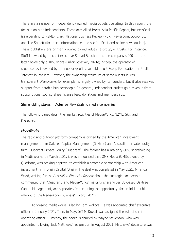There are a number of independently owned media outlets operating. In this report, the focus is on nine independents. These are: Allied Press, Asia Pacific Report, BusinessDesk (sale pending to NZME), Crux, National Business Review (NBR), Newsroom, Scoop, Stuff, and The Spinoff (for more information see the section Print and online news outlets). These publishers are primarily owned by individuals, a group, or trusts. For instance, Stuff is owned by its chief executive Sinead Boucher and the company's 900 staff, but the latter holds only a 10% share (Pullar-Strecker, 2021g). Scoop, the operator of scoop.co.nz, is owned by the not-for-profit charitable trust Scoop Foundation for Public Interest Journalism. However, the ownership structure of some outlets is less transparent. *Newsroom,* for example, is largely owned by its founders, but it also receives support from notable businesspeople. In general, independent outlets gain revenue from subscriptions, sponsorships, license fees, donations and memberships.

## Shareholding stakes in Aotearoa New Zealand media companies

The following pages detail the market activities of MediaWorks, NZME, Sky, and Discovery.

## *MediaWorks*

The radio and outdoor platform company is owned by the American investment management firm Oaktree Capital Management (Oaktree) and Australian private equity firm, Quadrant Private Equity (Quadrant). The former has a majority 60% shareholding in MediaWorks. In March 2021, it was announced that QMS Media (QMS), owned by Quadrant, was seeking approval to establish a strategic partnership with American investment firm, Bruin Capital (Bruin). The deal was completed in May 2021. Miranda Ward, writing for the *Australian Financial Review* about the strategic partnership, commented that "Quadrant, and MediaWorks' majority shareholder US-based Oaktree Capital Management, are separately 'entertaining the opportunity' for an initial public offering of the MediaWorks business" (Ward, 2021).

At present, MediaWorks is led by Cam Wallace. He was appointed chief executive officer in January 2021. Then, in May, Jeff McDowall was assigned the role of chief operating officer. Currently, the board is chaired by Wayne Stevenson, who was appointed following Jack Matthews' resignation in August 2021. Matthews' departure was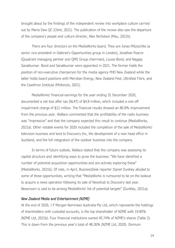brought about by the findings of the independent review into workplace culture carried out by Maria Dew QC (Clent, 2021). The publication of the review also saw the departure of the company's people and culture director, Alex Nicholson (Mau, 2021b).

There are four directors on the MediaWorks board. They are Jonas Mitzsschke (a senior vice-president in Oaktree's Opportunities group in London), Jonathan Pearce (Quadrant managing partner and QMS Group chairman), Louise Bond, and Nagaja Sanatkumar. Bond and Sanatkumar were appointed in 2021. The former holds the position of non-executive chairperson for the media agency PHD New Zealand while the latter holds board positions with Meridian Energy, New Zealand Post, Ultrafast Fibre, and the Cawthron Institute (McKenzie, 2021).

MediaWorks' financial earnings for the year ending 31 December 2020, documented a net loss after tax (NLAT) of \$4.8 million, which included a one-off impairment charge of \$12 million. The financial results showed an 80.8% improvement from the previous year. Wallace commented that the profitability of the radio business was "impressive" and that the company expected this result to continue (MediaWorks, 2021a). Other notable events for 2020 included the completion of the sale of MediaWorks' television business and land to Discovery Inc, the development of a new head office in Auckland, and the full integration of the outdoor business into the company.

In terms of future outlook, Wallace stated that the company was assessing its capital structure and identifying ways to grow the business: "We have identified a number of potential acquisition opportunities and are actively exploring these" (MediaWorks, 2021b). Of note, in April, BusinessDesk reporter Daniel Dunkley alluded to some of these opportunities, writing that "MediaWorks is rumoured to be on the lookout to acquire a news operation following its sale of Newshub to Discovery last year. Newsroom is said to be among MediaWorks' list of potential targets" (Dunkley, 2021a).

#### *New Zealand Media and Entertainment (NZME)*

At the end of 2020, J P Morgan Nominees Australia Pty Ltd, which represents the holdings of shareholders with custodial accounts, is the top shareholder of NZME with 19.85% (NZME Ltd, 2021b). Four financial institutions owned 45.74% of NZME's shares (Table 2). This is down from the previous year's total of 48.26% (NZME Ltd, 2020). Osmium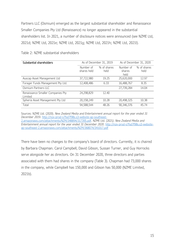Partners LLC (Osmium) emerged as the largest substantial shareholder and Renaissance Smaller Companies Pty Ltd (Renaissance) no longer appeared in the substantial shareholders list. In 2021, a number of disclosure notices were announced (see NZME Ltd, 2021d; NZME Ltd, 2021e; NZME Ltd, 2021g; NZME Ltd, 2021h; NZME Ltd, 2021l).

| Substantial shareholders                     | As of December 31, 2019  |                     | As of December 31, 2020     |                     |
|----------------------------------------------|--------------------------|---------------------|-----------------------------|---------------------|
|                                              | Number of<br>shares held | % of shares<br>held | Number of<br>shares<br>held | % of shares<br>held |
| Auscap Asset Management Ltd                  | 37,722,980               | 19.25               | 25,620,000                  | 12.97               |
| Forager Funds Management Pty Ltd.            | 12,408,486               | 6.33                | 16,488,767                  | 8.35                |
| Osmium Partners LLC                          |                          |                     | 27,739,284                  | 14.04               |
| Renaissance Smaller Companies Pty<br>Limited | 24,298,829               | 12.40               |                             |                     |
| Spheria Asset Management Pty Ltd             | 20,158,249               | 10.28               | 20,498,325                  | 10.38               |
| Total                                        | 94,588,544               | 48.26               | 90,346,376                  | 45.74               |

<span id="page-18-0"></span>Table 2: NZME substantial shareholders

Sources: NZME Ltd. (2020). *New Zealand Media and Entertainment annual report for the year ended 31 December 2019*. [http://nzx-prod-s7fsd7f98s.s3-website-ap-southeast-](http://nzx-prod-s7fsd7f98s.s3-website-ap-southeast-2.amazonaws.com/attachments/NZM/348894/317395.pdf)[2.amazonaws.com/attachments/NZM/348894/317395.pdf.](http://nzx-prod-s7fsd7f98s.s3-website-ap-southeast-2.amazonaws.com/attachments/NZM/348894/317395.pdf) NZME Ltd. (2021*). New Zealand Media and Entertainment annual report for the year ended 31 December 2020*. [http://nzx-prod-s7fsd7f98s.s3-website](http://nzx-prod-s7fsd7f98s.s3-website-ap-southeast-2.amazonaws.com/attachments/NZM/368074/341017.pdf)[ap-southeast-2.amazonaws.com/attachments/NZM/368074/341017.pdf](http://nzx-prod-s7fsd7f98s.s3-website-ap-southeast-2.amazonaws.com/attachments/NZM/368074/341017.pdf)

There have been no changes to the company's board of directors. Currently, it is chaired by Barbara Chapman. Carol Campbell, David Gibson, Sussan Turner, and Guy Horrocks serve alongside her as directors. On 31 December 2020, three directors and parties associated with them had shares in the company (Table 3). Chapman had 73,000 shares in the company, while Campbell has 150,000 and Gibson has 50,000 (NZME Limited, 2021b).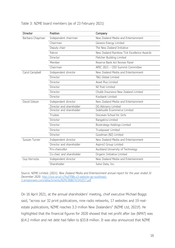| Director        | Position                 | Company                                    |  |
|-----------------|--------------------------|--------------------------------------------|--|
| Barbara Chapman | Independent chairman     | New Zealand Media and Entertainment        |  |
|                 | Chairman                 | Genesis Energy Limited                     |  |
|                 | Deputy chair             | The New Zealand Initiative                 |  |
|                 | Patron                   | New Zealand Rainbow Tick Excellence Awards |  |
|                 | Director                 | Fletcher Building Limited                  |  |
|                 | Member                   | Reserve Bank Act Review Panel              |  |
|                 | Chairman                 | APEC 2021 - CEO Summit Committee           |  |
| Carol Campbell  | Independent director     | New Zealand Media and Entertainment        |  |
|                 | Director                 | T&G Global Limited                         |  |
|                 | Director                 | Asset Plus Limited                         |  |
|                 | Director                 | NZ Post Limited                            |  |
|                 | Director                 | Chubb Insurance New Zealand Limited        |  |
|                 | Director                 | Kiwibank Limited                           |  |
| David Gibson    | Independent director     | New Zealand Media and Entertainment        |  |
|                 | Director and shareholder | DG Advisory Limited                        |  |
|                 | Director and shareholder | Sidehustle Ecommerce Limited               |  |
|                 | Trustee                  | Diocesan School for Girls                  |  |
|                 | Director                 | Rangatira Limited                          |  |
|                 | Director                 | Biostrategy Holdings Limited               |  |
|                 | Director                 | Trustpower Limited                         |  |
|                 | Director                 | Goodman (NZ) Limited                       |  |
| Sussan Turner   | Independent director     | New Zealand Media and Entertainment        |  |
|                 | Director and shareholder | Aspire2 Group Limited                      |  |
|                 | Pro-chancellor           | Auckland University of Technology          |  |
|                 | Co-chair and shareholder | Organic Initiative Limited                 |  |
| Guy Horrocks    | Independent director     | New Zealand Media and Entertainment        |  |
|                 | Shareholder              | Solve Data, Inc.                           |  |

## <span id="page-19-0"></span>Table 3: NZME board members (as of 23 February 2021)

Source: NZME Limited. (2021). *New Zealand Media and Entertainment annual report for the year ended 31 December 2020*. [http://nzx-prod-s7fsd7f98s.s3-website-ap-southeast-](http://nzx-prod-s7fsd7f98s.s3-website-ap-southeast-2.amazonaws.com/attachments/NZM/368074/341017.pdf)[2.amazonaws.com/attachments/NZM/368074/341017.pdf](http://nzx-prod-s7fsd7f98s.s3-website-ap-southeast-2.amazonaws.com/attachments/NZM/368074/341017.pdf)

On 16 April 2021, at the annual shareholders' meeting, chief executive Michael Boggs said, "across our 32 print publications, nine radio networks, 17 websites and 19 realestate publications, NZME reaches 3.3 million New Zealanders" (NZME Ltd, 2021f). He highlighted that the financial figures for 2020 showed that net profit after tax (NPAT) was \$14.2 million and net debt had fallen to \$33.8 million. It was also announced that NZME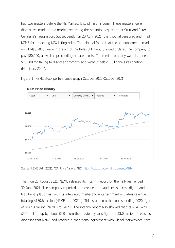had two matters before the NZ Markets Disciplinary Tribunal. These matters were disclosures made to the market regarding the potential acquisition of Stuff and Peter Cullinane's resignation. Subsequently, on 20 April 2021, the tribunal censured and fined NZME for breaching NZX listing rules. The tribunal found that the announcements made on 11 May 2020, were in breach of the Rules 3.1.1 and 3.2 and ordered the company to pay \$80,000, as well as proceedings-related costs. The media company was also fined \$20,000 for failing to disclose "promptly and without delay" Cullinane's resignation (Morrison, 2021).

<span id="page-20-0"></span>Figure 1: NZME stock performance graph October 2020-October 2021



**NZM Price History** 

Source: NZME Ltd. (2021). *NZM Price history*. NZX.<https://www.nzx.com/instruments/NZM>

Then, on 23 August 2021, NZME released its interim report for the half-year ended 30 June 2021. The company reported an increase in its audiences across digital and traditional platforms, with its integrated media and entertainment activities revenue totalling \$170.6 million (NZME Ltd, 2021a). This is up from the corresponding 2020 figure of \$147.3 million (NZME Ltd, 2020). The interim report also showed that its NPAT was \$5.6 million, up by about 85% from the previous year's figure of \$3.0 million. It was also disclosed that NZME had reached a conditional agreement with Global Marketplace New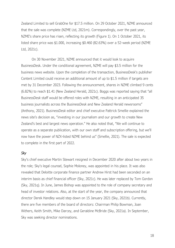Zealand Limited to sell GrabOne for \$17.5 million. On 29 October 2021, NZME announced that the sale was complete (NZME Ltd, 2021m). Correspondingly, over the past year, NZME's share price has risen, reflecting its growth (Figure 1). On 1 October 2021, its listed share price was \$1.000, increasing \$0.460 (82.63%) over a 52-week period (NZME Ltd, 2021c).

On 30 November 2021, NZME announced that it would look to acquire BusinessDesk. Under the conditional agreement, NZME will pay \$3.5 million for the business news website. Upon the completion of the transaction, BusinessDesk's publisher Content Limited could receive an additional amount of up to \$1.5 million if targets are met by 31 December 2023. Following the announcement, shares in NZME climbed 9 cents (6.82%) to reach \$1.41 (New Zealand Herald, 2021c). Boggs was reported saying that "all BusinessDes*k* staff would be offered roles with NZME, resulting in an anticipated 35 business journalists across the BusinessDes*k* and New Zealand Herald newsrooms" (Anthony, 2021). BusinessDes*k* editor and chief executive Pattrick Smellie explained the news site's decision as, "investing in our journalism and our growth to create New Zealand's best and largest news operation." He also noted that, "We will continue to operate as a separate publication, with our own staff and subscription offering, but we'll now have the power of NZX-listed NZME behind us" (Smellie, 2021). The sale is expected to complete in the first part of 2022.

## *Sky*

Sky's chief executive Martin Stewart resigned in December 2020 after about two years in the role; Sky's legal counsel, Sophie Moloney, was appointed in his place. It was also revealed that Deloitte corporate finance partner Andrew Hirst had been seconded on an interim basis as chief financial officer (Sky, 2021c). He was later replaced by Tom Gordon (Sky, 2021q). In June, James Bishop was appointed to the role of company secretary and head of investor relations. Also, at the start of the year, the company announced that director Derek Handley would step down on 15 January 2021 (Sky, 2021b). Currently, there are five members of the board of directors: Chairman Philip Bowman, Joan Withers, Keith Smith, Mike Darcey, and Geraldine McBride (Sky, 2021a). In September, Sky was seeking director nominations.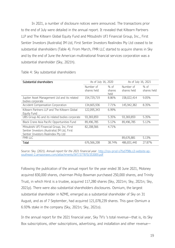In 2021, a number of disclosure notices were announced. The transactions prior to the end of July were detailed in the annual report. It revealed that Kiltearn Partners LLP and The Kiltearn Global Equity Fund and Mitsubishi UFJ Financial Group, Inc., First Sentier Investors (Australia) IM Ltd, First Sentier Investors Realindex Pty Ltd ceased to be substantial shareholders (Table 4). From March, FMR LLC started to acquire shares in Sky and by the end of June the American multinational financial services corporation was a substantial shareholder (Sky, 2021h).

| Substantial shareholders                      | As of July 16, 2020 |          | As of July 16, 2021 |             |
|-----------------------------------------------|---------------------|----------|---------------------|-------------|
|                                               | Number of           | $%$ of   | Number of           | % of        |
|                                               | shares held         | shares   | shares held         | shares held |
|                                               |                     | held     |                     |             |
| Jupiter Asset Management Ltd and its related  | 154,729,719         | 8.86%    | 158,022,414         | 9.05%       |
| bodies corporate                              |                     |          |                     |             |
| Accident Compensation Corporation             | 134,665,936         | 7.71%    | 145,942,382         | 8.35%       |
| Kiltearn Partners LLP and The Kiltearn Global | 122,095,343         | $6.99\%$ |                     |             |
| Equity Fund                                   |                     |          |                     |             |
| UBS Group AG and its related bodies corporate | 93,369,859          | 5.35%    | 93,369,859          | 5.35%       |
| Black Crane Asia Pacific Opportunities Fund   | 89,496,785          | 5.12%    | 89,496,785          | 5.12%       |
| Mitsubishi UFJ Financial Group, Inc, First    | 82,208,566          | 4.71%    |                     |             |
| Sentier Investors (Australia) IM Ltd, First   |                     |          |                     |             |
| Sentier Investors Realindex Pty Ltd           |                     |          |                     |             |
| FMR LLC                                       |                     |          | 89,676,881          | 5.13%       |
| Total                                         | 676,566,208         | 38.74%   | 486,831,440         | 27.87%      |
|                                               |                     |          |                     |             |

<span id="page-22-0"></span>Table 4: Sky substantial shareholders

Source: Sky. (2021). *Annual report for the 2021 financial year*. [http://nzx-prod-s7fsd7f98s.s3-website-ap](http://nzx-prod-s7fsd7f98s.s3-website-ap-southeast-2.amazonaws.com/attachments/SKT/377870/353009.pdf)[southeast-2.amazonaws.com/attachments/SKT/377870/353009.pdf](http://nzx-prod-s7fsd7f98s.s3-website-ap-southeast-2.amazonaws.com/attachments/SKT/377870/353009.pdf)

Following the publication of the annual report for the year ended 30 June 2021, Moloney acquired 830,000 shares, chairman Philip Bowman purchased 250,000 shares, and Trinity Trust, in which Hirst is a trustee, acquired 117,280 shares (Sky, 2021m; Sky, 2021n; Sky, 2021p). There were also substantial shareholders disclosures. Osmium, the largest substantial shareholder in NZME, emerged as a substantial shareholder of Sky on 31 August, and as of 7 September, had acquired 121,078,239 shares. This gave Osmium a 6.93% stake in the company (Sky, 2021n; Sky, 2021o).

In the annual report for the 2021 financial year, Sky TV's 's total revenue—that is, its Sky Box subscriptions, other subscriptions, advertising, and installation and other revenue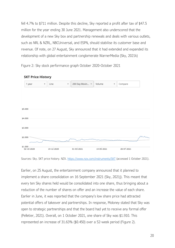fell 4.7% to \$711 million. Despite this decline, Sky reported a profit after tax of \$47.5 million for the year ending 30 June 2021. Management also underscored that the development of a new Sky box and partnership renewals and deals with various outlets, such as NRL & NZRL, NBCUniversal, and ESPN, should stabilise its customer base and revenue. Of note, on 27 August, Sky announced that it had extended and expanded its relationship with global entertainment conglomerate WarnerMedia (Sky, 2021k)

Figure 2: Sky stock performance graph October 2020-October 2021



#### <span id="page-23-0"></span>**SKT Price History**

Sources: Sky. SKT price history. NZX.<https://www.nzx.com/instruments/SKT> (accessed 1 October 2021).

Earlier, on 25 August, the entertainment company announced that it planned to implement a share consolidation on 16 September 2021 (Sky, 2021j). This meant that every ten Sky shares held would be consolidated into one share, thus bringing about a reduction of the number of shares on offer and an increase the value of each share. Earlier in June, it was reported that the company's low share price had attracted potential offers of takeover and partnerships. In response, Moloney stated that Sky was open to strategic partnerships and that the board had yet to receive any formal offer (Pelletier, 2021). Overall, on 1 October 2021, one share of Sky was \$1.910. This represented an increase of 31.63% (\$0.450) over a 52-week period (Figure 2).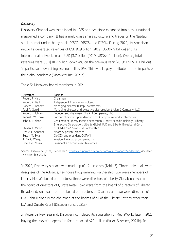# *Discovery*

Discovery Channel was established in 1985 and has since expanded into a multinational mass-media company. It has a multi-class share structure and trades on the Nasdaq stock market under the symbols DISCA, DISCB, and DISCK. During 2020, its American networks generated revenues of USD\$6.9 billion (2019: USD\$7.9 billion) and its international networks made USD\$3.7 billion (2019: USD\$4.0 billion). Overall, total revenues were USD\$10.7 billion, down 4% on the previous year (2019: USD\$11.1 billion). In particular, advertising revenue fell by 8%. This was largely attributed to the impacts of the global pandemic (Discovery Inc, 2021a).

| <b>Directors</b>  | Position                                                                                                                                            |
|-------------------|-----------------------------------------------------------------------------------------------------------------------------------------------------|
| Robert J. Miron   | Chairman                                                                                                                                            |
| Robert R. Beck    | Independent financial consultant                                                                                                                    |
| Robert R. Bennett | Managing director Hilltop Investments                                                                                                               |
| Paul A. Gould     | Managing director and executive vice-president Allen & Company, LLC                                                                                 |
| Robert L. Johnson | Founder and chairman, The RLJ Companies, LLC                                                                                                        |
| Kenneth W. Lowe   | Former chairman, president and CEO Scripps Networks Interactive                                                                                     |
| John C. Malone    | Chairman of Liberty Media Corporation, Liberty Expedia Holdings, Liberty<br>Interactive Corporation, Liberty Global, PLC and Liberty Broadband Corp |
| Steven A. Miron   | CEO Advance/ Newhouse Partnership                                                                                                                   |
| Daniel E. Sanchez | Attorney private practice                                                                                                                           |
| Susan M. Swain    | Co-CEO and president C-SPAN                                                                                                                         |
| J. David Wargo    | President Wargo & Company, Inc.                                                                                                                     |
| David M. Zaslav   | President and chief executive officer                                                                                                               |

<span id="page-24-0"></span>Table 5: Discovery board members in 2021

Source: Discovery. (2021). Leadership.<https://corporate.discovery.com/our-company/leadership/> Accessed 17 September 2021.

In 2020, Discovery's board was made up of 12 directors (Table 5). Three individuals were designees of the Advance/Newhouse Programming Partnership, two were members of Liberty Media's board of directors; three were directors of Liberty Global; one was from the board of directors of Qurate Retail; two were from the board of directors of Liberty Broadband; one was from the board of directors of Charter; and two were directors of LLA. John Malone is the chairman of the boards of all of the Liberty Entities other than LLA and Qurate Retail (Discovery Inc, 2021a).

In Aotearoa New Zealand, Discovery completed its acquisition of MediaWorks late in 2020, buying the television operation for a reported \$20 million (Pullar-Strecker, 2021h). In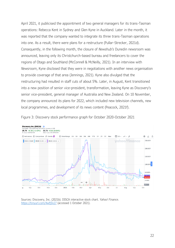April 2021, it publicised the appointment of two general managers for its trans-Tasman operations: Rebecca Kent in Sydney and Glen Kyne in Auckland. Later in the month, it was reported that the company wanted to integrate its three trans-Tasman operations into one. As a result, there were plans for a restructure (Pullar-Strecker, 2021d). Consequently, in the following month, the closure of *Newshub's* Dunedin newsroom was announced, leaving only its Christchurch-based bureau and freelancers to cover the regions of Otago and Southland (McConnell & McNeilly, 2021). In an interview with *Newsroom*, Kyne disclosed that they were in negotiations with another news organisation to provide coverage of that area (Jennings, 2021). Kyne also divulged that the restructuring had resulted in staff cuts of about 5%. Later, in August, Kent transitioned into a new position of senior vice-president, transformation, leaving Kyne as Discovery's senior vice-president, general manager of Australia and New Zealand. On 10 November, the company announced its plans for 2022, which included new television channels, new local programmes, and development of its news content (Peacock, 2021f).



<span id="page-25-0"></span>Figure 3: Discovery stock performance graph for October 2020-October 2021

Sources: Discovery, Inc. (2021b). DISCA interactive stock chart. *Yahoo! Finance*. <https://tinyurl.com/4wfj5n27> (accessed 1 October 2021).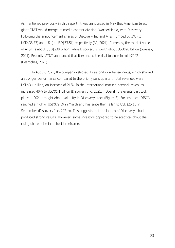As mentioned previously in this report, it was announced in May that American telecom giant AT&T would merge its media content division, WarnerMedia, with Discovery. Following the announcement shares of Discovery Inc and AT&T jumped by 3% (to USD\$36.73) and 4% (to USD\$33.51) respectively (AP, 2021). Currently, the market value of AT&T is about USD\$230 billion, while Discovery is worth about USD\$20 billion (Sweney, 2021). Recently, AT&T announced that it expected the deal to close in mid-2022 (Desroches, 2021).

In August 2021, the company released its second-quarter earnings, which showed a stronger performance compared to the prior year's quarter. Total revenues were USD\$3.1 billion, an increase of 21%. In the international market, network revenues increased 40% to USD\$1.1 billion (Discovery Inc, 2021c). Overall, the events that took place in 2021 brought about volatility in Discovery stock (Figure 3). For instance, DISCA reached a high of USD\$79.59 in March and has since then fallen to USD\$25.15 in September (Discovery Inc, 2021b). This suggests that the launch of Discovery+ had produced strong results. However, some investors appeared to be sceptical about the rising share price in a short timeframe.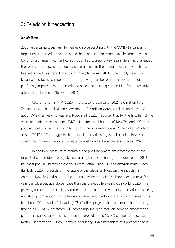# <span id="page-27-0"></span>3: Television broadcasting

## *Sarah Baker*

2020 was a tumultuous year for television broadcasting with the COVID-19 pandemic impacting upon media revenue. Since then, longer term trends have become obvious. Continuing change in content consumption habits among New Zealanders has challenged the television broadcasting industry's prominence in the media landscape over the past five years, and this trend looks to continue (NZ On Air, 2021). Specifically, television broadcasting faces "competition from a growing number of internet-based media platforms, improvements to broadband speeds and strong competition from alternative advertising platforms" (Ibisworld, 2021).

According to ThinkTV (2021), in the second quarter of 2021, 3.6 million New Zealanders watched television every month, 2.2 million watched television daily, and about 89% of all viewing was live. McConnell (2021c) reported that for the first half of the year "on audience reach alone, TVNZ 1 is home to all but one of New Zealand's 20 most popular local programmes for 2021 so far. The only exception is *Highway Patrol*, which airs on TVNZ 2." This suggests that television broadcasting is still popular. However, streaming channels continue to create competition for broadcasters such as TVNZ.

In addition, pressure to maintain and produce profits are exacerbated by the impact of competition from global streaming channels fighting for audiences. In 2021, the most popular streaming channels were Netflix, Disney+, and Amazon Prime Video (Laylock, 2021). Forecasts on the future of the television broadcasting industry in Aotearoa New Zealand point to a continual decline in audience share over the next fiveyear period, albeit at a slower pace than the previous five years (Ibisworld, 2021). The growing number of internet-based media platforms, improvements in broadband speeds, and strong competition from alternative advertising platforms are reducing demand for traditional TV networks. Ibisworld (2021) further projects that to combat these effects, free-to-air (FTA) TV operators will increasingly focus on their on-demand broadcasting platforms, particularly as subscription video-on-demand (SVOD) competitors such as Netflix, Lightbox and Disney+ grow in popularity. TVNZ recognises this prospect and is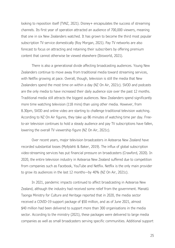looking to reposition itself (TVNZ, 2021). Disney+ encapsulates the success of streaming channels. Its first year of operation attracted an audience of 700,000 viewers, meaning that one in six New Zealanders watched. It has grown to become the third most popular subscription TV service domestically (Roy Morgan, 2021). Pay TV networks are also forecast to focus on attracting and retaining their subscribers by offering premium content that cannot otherwise be viewed elsewhere (Ibisworld, 2021).

There is also a generational divide affecting broadcasting audiences. Young New Zealanders continue to move away from traditional media toward streaming services, with Netflix growing at pace. Overall, though, television is still the media that New Zealanders spend the most time on within a day (NZ On Air, 2021c). SVOD and podcasts are the only media to have increased their daily audience size over the past 12 months. Traditional media still attracts the biggest audiences. New Zealanders spend significantly more time watching television (118 mins) than using other media. However, from 8.30pm, SVOD and online video are starting to challenge traditional television watching. According to NZ On Air figures, they take up 86 minutes of watching time per day. Freeto-air television continues to hold a steady audience and pay TV subscriptions have fallen, lowering the overall TV viewership figure (NZ On Air, 2021c).

Over recent years, major television broadcasters in Aotearoa New Zealand have recorded substantial losses (Myllylahti & Baker, 2019). The influx of global subscription video-streaming services has put financial pressure on broadcasters (Crawford, 2020). In 2020, the entire television industry in Aotearoa New Zealand suffered due to competition from companies such as Facebook, YouTube and Netflix. Netflix is the only main provider to grow its audiences in the last 12 months—by 40% (NZ On Air, 2021c).

In 2021, pandemic impacts continued to affect broadcasting in Aotearoa New Zealand, although the industry had received some relief from the government. Manatū Taonga Ministry for Culture and Heritage reported that in 2020, the media sector received a COVID-19 support package of \$50 million, and as of June 2021, almost \$40 million had been delivered to support more than 300 organisations in the media sector. According to the ministry (2021), these packages were delivered to large media companies as well as small broadcasters serving specific communities. Additional support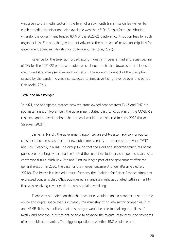was given to the media sector in the form of a six-month transmission fee waiver for eligible media organisations. Also available was the NZ On Air platform contribution, whereby the government funded 80% of the 2020-21 platform contribution fees for such organisations. Further, the government advanced the purchase of news subscriptions for government agencies (Ministry for Culture and Heritage, 2021).

Revenue for the television broadcasting industry in general had a forecast decline of 3% for the 2021-22 period as audiences continued their shift towards internet-based media and streaming services such as Netflix. The economic impact of the disruption caused by the pandemic was also expected to limit advertising revenue over this period (Ibisworld, 2021).

#### TVNZ and RNZ merger

In 2021, the anticipated merger between state-owned broadcasters TVNZ and RNZ did not materialise. In November, the government stated that its focus was on the COVID-19 response and a decision about the proposal would be considered in early 2022 (Pullar-Strecker, 2021n).

Earlier in March, the government appointed an eight-person advisory group to consider a business case for the new public media entity to replace state-owned TVNZ and RNZ (Peacock, 2021a). The group found that the rigid and separate structures of the public broadcasting system had restricted the sort of evolutionary change necessary for a converged future. With New Zealand First no longer part of the government after the general election in 2020, the case for the merger became stronger (Pullar-Strecker, 2021c). The Better Public Media trust (formerly the Coalition for Better Broadcasting) has expressed concerns that RNZ's public-media mandate might get diluted within an entity that was receiving revenues from commercial advertising.

There was no indication that the new entity would enable a stronger push into the online and digital space that is currently the mainstay of private sector companies Stuff and NZME. It is also unlikely that this merger would be able to challenge the likes of Netflix and Amazon, but it might be able to advance the talents, resources, and strengths of both public companies. The biggest question is whether RNZ would remain

26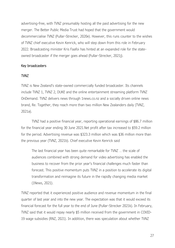advertising-free, with TVNZ presumably hosting all the paid advertising for the new merger. The Better Public Media Trust had hoped that the government would decommercialise TVNZ (Pullar-Strecker, 2020e). However, this runs counter to the wishes of TVNZ chief executive Kevin Kenrick, who will step down from this role in February 2022. Broadcasting minister Kris Faafoi has hinted at an expanded role for the stateowned broadcaster if the merger goes ahead (Pullar-Strecker, 2021j).

# Key broadcasters

## TVNZ

TVNZ is New Zealand's state-owned commercially funded broadcaster. Its channels include TVNZ 1, TVNZ 2, DUKE and the online entertainment streaming platform TVNZ OnDemand. TVNZ delivers news through 1news.co.nz and a socially driven online news brand, Re. Together, they reach more than two million New Zealanders daily (TVNZ, 2021a).

TVNZ had a positive financial year, reporting operational earnings of \$86.7 million for the financial year ending 30 June 2021.Net profit after tax increased to \$59.2 million for the period. Advertising revenue was \$323.3 million which was \$36 million more than the previous year (TVNZ, 2021b). Chief executive Kevin Kenrick said

The last financial year has been quite remarkable for TVNZ … the scale of audiences combined with strong demand for video advertising has enabled the business to recover from the prior year's financial challenges much faster than forecast. This positive momentum puts TVNZ in a position to accelerate its digital transformation and reimagine its future in the rapidly changing media market (1News, 2021).

TVNZ reported that it experienced positive audience and revenue momentum in the final quarter of last year and into the new year. The expectation was that it would exceed its financial forecast for the full year to the end of June (Pullar-Strecker 2021k). In February, TVNZ said that it would repay nearly \$5 million received from the government in COVID-19 wage subsidies (RNZ, 2021). In addition, there was speculation about whether TVNZ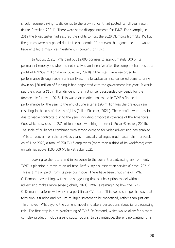should resume paying its dividends to the crown once it had posted its full year result (Pullar-Strecker, 2021k). There were some disappointments for TVNZ. For example, in 2019 the broadcaster had secured the rights to host the 2020 Olympics from Sky TV, but the games were postponed due to the pandemic. If this event had gone ahead, it would have entailed a major re-investment in content for TVNZ.

In August 2021, TVNZ paid out \$2,000 bonuses to approximately 500 of its permanent employees who had not received an incentive after the company had posted a profit of NZD\$59 million (Pullar-Strecker, 2021l). Other staff were rewarded for performance through separate incentives. The broadcaster also cancelled plans to draw down on \$30 million of funding it had negotiated with the government last year. It would pay the crown a \$15 million dividend, the first since it suspended dividends for the foreseeable future in 2018. This was a dramatic turnaround in TVNZ's financial performance for the year to the end of June after a \$26-million loss the previous year, resulting in the loss of dozens of jobs (Pullar-Strecker, 2021l). These profits were possible due to viable contracts during the year, including broadcast coverage of the America's Cup, which saw close to 2.7 million people watching the event (Pullar-Strecker, 2021l). The scale of audiences combined with strong demand for video advertising has enabled TVNZ to recover from the previous years' financial challenges much faster than forecast. As of June 2020, a total of 250 TVNZ employees (more than a third of its workforce) were on salaries above \$100,000 (Pullar-Strecker 2021l).

Looking to the future and in response to the current broadcasting environment, TVNZ is planning a move to an ad-free, Netflix-style subscription service (Grieve, 2021a). This is a major pivot from its previous model. There have been criticisms of TVNZ OnDemand advertising, with some suggesting that a subscription model without advertising makes more sense (Schulz, 2021). TVNZ is reimagining how the TVNZ OnDemand platform will work in a post linear-TV future. This would change the way that television is funded and require multiple streams to be monetised, rather than just one. That moves TVNZ beyond the current model and alters perceptions about its broadcasting role. The first step is a re-platforming of TVNZ OnDemand, which would allow for a more complex product, including paid subscriptions. In this initiative, there is no waiting for a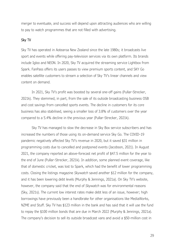merger to eventuate, and success will depend upon attracting audiences who are willing to pay to watch programmes that are not filled with advertising.

## Sky TV

Sky TV has operated in Aotearoa New Zealand since the late 1980s; it broadcasts live sport and events while offering pay-television services via its own platform. Its brands include Igloo and NEON. In 2020, Sky TV acquired the streaming service Lightbox from Spark. FanPass offers its users passes to view premium sports content, and SKY Go enables satellite customers to stream a selection of Sky TV's linear channels and view content on demand.

In 2021, Sky TV's profit was boosted by several one-off gains (Pullar-Strecker, 2021k). They stemmed, in part, from the sale of its outside broadcasting business OSB and cost savings from cancelled sports events. The decline in customers for its core business has also stabilised, seeing a smaller loss of 3.8% of customers over the year compared to a 5.4% decline in the previous year (Pullar-Strecker, 2021k).

Sky TV has managed to slow the decrease in Sky Box service subscribers and has increased the numbers of those using its on-demand service Sky Go. The COVID-19 pandemic negatively affected Sky TV's revenue in 2020, but it saved \$31 million in programming costs due to cancelled and postponed events (Jacobson, 2021). In August 2021, the company reported an above-forecast net profit of \$47.5 million for the year to the end of June (Pullar-Strecker, 2021k). In addition, some planned event coverage, like that of domestic cricket, was lost to Spark, which had the benefit of lower programming costs. Closing the listings magazine *Skywatch* saved another \$12 million for the company, and it has been lowering debt levels (Murphy & Jennings, 2021a). On Sky TV's website, however, the company said that the end of *Skywatch* was for environmental reasons (Sky, 2021s). The current low interest rates make debt less of an issue, however; high borrowings have previously been a handbrake for other organisations like MediaWorks, NZME and Stuff. Sky TV has \$123 million in the bank and has said that it will use the fund to repay the \$100 million bonds that are due in March 2022 (Murphy & Jennings, 2021a). The company's decision to sell its outside broadcast vans and avoid a \$50-million cost in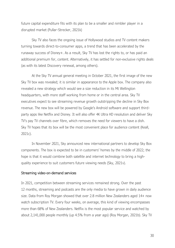future capital expenditure fits with its plan to be a smaller and nimbler player in a disrupted market (Pullar-Strecker, 2021k)

Sky TV also faces the ongoing issue of Hollywood studios and TV content makers turning towards direct-to-consumer apps, a trend that has been accelerated by the runaway success of Disney+. As a result, Sky TV has lost the rights to, or has paid an additional premium for, content. Alternatively, it has settled for non-exclusive rights deals (as with its latest Discovery renewal, among others).

At the Sky TV annual general meeting in October 2021, the first image of the new Sky TV box was revealed; it is similar in appearance to the Apple box. The company also revealed a new strategy which would see a size reduction in its Mt Wellington headquarters, with more staff working from home or in the central area. Sky TV executives expect to see streaming revenue growth outstripping the decline in Sky Box revenue. The new box will be powered by Google's Android software and support thirdparty apps like Netflix and Disney. It will also offer 4K Ultra HD resolution and deliver Sky TV's pay TV channels over fibre, which removes the need for viewers to have a dish. Sky TV hopes that its box will be the most convenient place for audience content (Keall, 2021c).

In November 2021, Sky announced new international partners to develop Sky Box components. The box is expected to be in customers' homes by the middle of 2022; the hope is that it would combine both satellite and internet technology to bring a highquality experience to suit customers future viewing needs (Sky, 2021v).

#### Streaming video-on-demand services

In 2021, competition between streaming services remained strong. Over the past 12 months, streaming and podcasts are the only media to have grown in daily audience size. Data from Roy Morgan showed that over 2.8 million New Zealanders aged 14+ now watch subscription TV. Every four weeks, on average, this kind of viewing encompasses more than 68% of New Zealanders. Netflix is the most popular service and watched by about 2,141,000 people monthly (up 4.5% from a year ago) (Roy Morgan, 2021b). Sky TV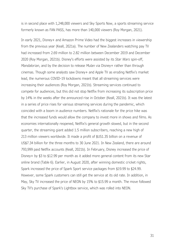is in second place with 1,248,000 viewers and Sky Sports Now, a sports streaming service formerly known as FAN PASS, has more than 140,000 viewers (Roy Morgan, 2021).

In early 2021, Disney+ and Amazon Prime Video had the biggest increases in viewership from the previous year (Keall, 2021a). The number of New Zealanders watching pay TV had increased from 2.69 million to 2.82 million between December 2019 and December 2020 (Roy Morgan, 2021b). Disney's efforts were assisted by its *Star Wars* spin-off, *Mandalorian*, and by the decision to release *Mulan* via Disney+ rather than through cinemas. Though some analysts saw Disney+ and Apple TV as eroding Netflix's market lead, the numerous COVID-19 lockdowns meant that all streaming services were increasing their audiences (Roy Morgan, 2021b). Streaming services continued to compete for audiences, but this did not stop Netflix from increasing its subscription price by 14% in the weeks after the announced rise in October (Keall, 2021b). It was the latest in a series of price rises for various streaming services during the pandemic, which coincided with a boom in audience numbers. Netflix's rationale for the price hike was that the increased funds would allow the company to invest more in shows and films. As economies internationally reopened, Netflix's general growth slowed, but in the second quarter, the streaming giant added 1.5 million subscribers, reaching a new high of 213 million viewers worldwide. It made a profit of \$US1.35 billion on a revenue of US\$7.34 billion for the three months to 30 June 2021. In New Zealand, there are around 793,999 paid Netflix accounts (Keall, 2021b). In February, Disney increased the price of Disney+ by \$3 to \$12.99 per month as it added more general content from its new Star online brand (Table 6). Earlier, in August 2020, after winning domestic cricket rights, Spark increased the price of Spark Sport service packages from \$19.99 to \$24.99. However, some Spark customers can still get the service at its old rate. In addition, in May, Sky TV increased the price of NEON by 15% to \$15.99 a month. The move followed Sky TV's purchase of Spark's Lightbox service, which was rolled into NEON.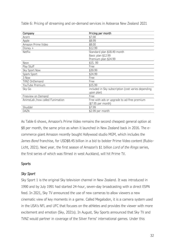| Company                         | Pricing per month                                   |
|---------------------------------|-----------------------------------------------------|
| Acorn                           | \$7.00                                              |
| Apple                           | \$8.99                                              |
| Amazon Prime Video              | \$8.00                                              |
| Disney $+$                      | \$12.99                                             |
| Netflix                         | Standard plan \$18.49 month                         |
|                                 | Basic plan \$12.99                                  |
|                                 | Premium plan \$24.99                                |
| Neon                            | \$15.99                                             |
| Play Stuff                      | Free                                                |
| Sky Sport Now                   | \$39.99                                             |
| Spark Sport                     | \$24.99                                             |
| 3 Now                           | Free                                                |
| TVNZ OnDemand                   | Free                                                |
| YouTube Premium                 | \$15.99                                             |
| Sky Go                          | included in Sky subscription (cost varies depending |
|                                 | upon plan)                                          |
| Freeview on Demand              | Free                                                |
| AnimeLab /now called Funimation | Free with ads or upgrade to ad-free premium         |
|                                 | (\$7.95 per month)                                  |
| Shudder                         | \$7.99                                              |
| <b>DAZN</b>                     | \$2.99 per month                                    |

<span id="page-35-0"></span>Table 6: Pricing of streaming and on-demand services in Aotearoa New Zealand 2021

As Table 6 shows, Amazon's Prime Video remains the second cheapest general option at \$8 per month, the same price as when it launched in New Zealand back in 2016. The ecommerce giant Amazon recently bought Hollywood studio MGM, which includes the *James Bond* franchise, for USD\$8.45 billion in a bid to bolster Prime Video content (Rubio-Licht, 2021). Next year, the first season of Amazon's \$1 billion *Lord of the Rings* series, the first series of which was filmed in west Auckland, will hit Prime TV.

# **Sports**

# *Sky Sport*

Sky Sport 1 is the original Sky television channel in New Zealand. It was introduced in 1990 and by July 1991 had started 24-hour, seven-day broadcasting with a direct ESPN feed. In 2021, Sky TV announced the use of new cameras to allow viewers a new cinematic view of key moments in a game. Called Megalodon, it is a camera system used in the USA's NFL and UFC that focuses on the athletes and provides the viewer with more excitement and emotion (Sky, 2021s). In August, Sky Sports announced that Sky TV and TVNZ would partner in coverage of the Silver Ferns' international games. Under this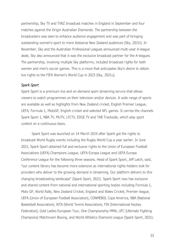partnership, Sky TV and TVNZ broadcast matches in England in September and four matches against the Origin Australian Diamonds. The partnership between the broadcasters was seen to enhance audience engagement and was part of bringing outstanding women's sport to more Aotearoa New Zealand audiences (Sky, 2021t). In November, Sky and the Australian Professional Leagues announced multi-year A-league deals. Sky also announced that it was the exclusive broadcast partner for the A-leagues. The partnership, involving multiple Sky platforms, included broadcast rights for both women and men's soccer games. This is a move that anticipates Sky's desire to obtain live rights to the FIFA Women's World Cup in 2023 (Sky, 2021u).

## *Spark Sport*

Spark Sport is a premium live and on-demand sport streaming service that allows viewers to watch programmes on their television and/or devices. A wide range of sports are available as well as highlights from New Zealand cricket, English Premier League, UEFA, Formula 1, MotoGP, English cricket and selected NFL games. It carries the channels Spark Sport 1, NBA TV, MUTV, LFCTV, EDGE TV and TAB Trackside, which play sport content on a continuous basis.

Spark Sport was launched on 14 March 2019 after Spark got the rights to broadcast World Rugby events including the Rugby World Cup a year earlier. In June 2021, Spark Sport obtained full and exclusive rights to the Union of European Football Associations (UEFA) Champions League, UEFA Europa League and UEFA Europa Conference League for the following three seasons. Head of Spark Sport, Jeff Latch, said, "our content library has become more extensive as international rights-holders look for providers who deliver to the growing demand in streaming. Our platform delivers to this changing broadcasting landscape" (Spark Sport, 2021). Spark Sport now has exclusive and shared content from national and international sporting bodies including Formula 1, Moto GP, World Rally, New Zealand Cricket, England and Wales Cricket, Premier league, UEFA (Union of European Football Association), CONMEBOL Copa America, NBA (National Basketball Association), WTA (World Tennis Association), FIH (International Hockey Federation), Gold Ladies European Tour, One Championship MMA, UFC (Ultimate Fighting Champions) Matchroom Boxing, and World Athletics Diamond League (Spark Sport, 2021).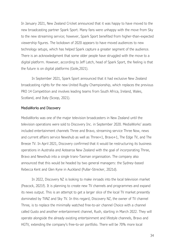In January 2021, New Zealand Cricket announced that it was happy to have moved to the new broadcasting partner Spark Sport. Many fans were unhappy with the move from Sky to the new streaming service; however, Spark Sport benefited from higher-than-expected viewership figures. The lockdown of 2020 appears to have moved audiences to new technology setups, which has helped Spark capture a greater segment of the audience. There is an acknowledgment that some older people have struggled with the move to a digital platform. However, according to Jeff Latch, head of Spark Sport, the feeling is that the future is on digital platforms (Goile,2021).

In September 2021, Spark Sport announced that it had exclusive New Zealand broadcasting rights for the new United Rugby Championship, which replaces the previous PRO 14 Competition and involves leading teams from South Africa, Ireland, Wales, Scotland, and Italy (Scoop, 2021).

#### MediaWorks and Discovery

MediaWorks was one of the major television broadcasters in New Zealand until the television operations were sold to Discovery Inc. in September 2020. MediaWorks' assets included entertainment channels Three and Bravo, streaming service Three Now, news and current affairs service Newshub as well as Three+1, Bravo+1, The Edge TV, and The Breeze TV. In April 2021, Discovery confirmed that it would be restructuring its business operations in Australia and Aotearoa New Zealand with the goal of incorporating Three, Bravo and Newshub into a single trans-Tasman organisation. The company also announced that this would be headed by two general managers: the Sydney–based Rebecca Kent and Glen Kyne in Auckland (Pullar-Strecker, 2021d).

In 2022, Discovery NZ is looking to make inroads into the local television market (Peacock, 2021f). It is planning to create new TV channels and programmes and expand its news output. This is an attempt to get a larger slice of the local TV market presently dominated by TVNZ and Sky TV. In this regard, Discovery NZ, the owner of TV channel Three*,* is to replace the minimally watched free-to-air channel Choice with a channel called Gusto and another entertainment channel, Rush, starting in March 2022. They will operate alongside the already existing entertainment and lifestyle channels, Bravo and HGTV*,* extending the company's free-to-air portfolio. There will be 70% more local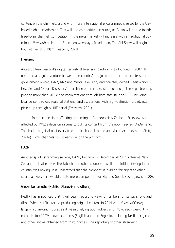content on the channels, along with more international programmes created by the USbased global broadcaster. This will add competitive pressure, as Gusto will be the fourth free-to-air channel. Competition in the news market will increase with an additional 30 minute *Newshub* bulletin at 8 p.m. on weekdays. In addition, The AM Show will begin an hour earlier at 5.30am (Peacock, 2021f).

# Freeview

Aotearoa New Zealand's digital terrestrial television platform was founded in 2007. It operated as a joint venture between the country's major free-to-air broadcasters, the government-owned TVNZ, RNZ and Māori Television, and privately owned MediaWorks New Zealand (before Discovery's purchase of their television holdings). These partnerships provide more than 20 TV and radio stations through both satellite and UHF (including local content across regional stations) and six stations with high-definition broadcasts picked up through a UHF aerial (Freeview, 2021).

In other decisions affecting streaming in Aotearoa New Zealand, Freeview was affected by TVNZ's decision in June to pull its content from the app Freeview OnDemand. This had brought almost every free-to-air channel to one app via smart television (Stuff, 2021a). TVNZ channels still stream live on the platform.

# DAZN

Another sports streaming service, DAZN, began on 2 December 2020 in Aotearoa New Zealand; it is already well-established in other countries. While the initial offering in this country was boxing, it is understood that the company is bidding for rights to other sports as well. This would create more competition for Sky and Spark Sport (Lewis, 2020).

## Global behemoths (Netflix, Disney+ and others)

Netflix has announced that it will begin reporting viewing numbers for its top shows and films. When Netflix started producing original content in 2014 with *House of Cards,* it largely hid viewing figures as it wasn't relying upon advertising. Now, each week, it will name its top 10 TV shows and films (English and non-English), including Netflix originals and other shows obtained from third parties. The reporting of other streaming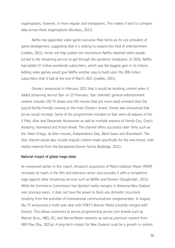organisations, however, is more regular and transparent. This makes it hard to compare data across these organisations (Nicolaou, 2021).

Netflix has appointed video-game executive Mike Verdu as its vice president of game development, suggesting that it is looking to expand this field of entertainment (Liedtke, 2021). Verdu will help sustain the momentum Netflix obtained when people turned to the streaming service to get through the pandemic lockdowns. In 2020, Netflix had added 37 million worldwide subscribers, which was the biggest gain in its history. Adding video games would give Netflix another way to build upon the 208 million subscribers that it had at the end of March 2021 (Liedtke, 2021).

Disney+ announced in February 2021 that it would be doubling content when it added streaming service Star on 23 February. Star channels' general entertainment content includes 155 TV shows and 435 movies that are more adult-oriented than the typical family-friendly viewing on the main Disney+ brand. Disney also announced that prices would increase. Some of the programmes included on Star were all seasons of the *X Files, Alias* and *Desperate Housewives* as well as multiple seasons of *Family Guy, Grey's Anatomy, Homeland* and *Prison Break.* The channel offers successful older films such as the *Taken* trilogy, all *Alien* movies, *Independence Day, Black Swan* and *Braveheart.* The Star channel would also include original content made specifically for the new brand, with reality material from the Kardashian/Jenner family (Rutledge, 2021).

#### National impact of global mega-deals

As mentioned earlier in this report, Amazon's acquisition of Metro Goldwyn Mayer (MGM) increases its reach in the film and television sector and provides it with a competitive edge against other streaming services such as Netflix and Disney+ (Faughinder, 2021). While the Commerce Commission has blocked media mergers in Aotearoa New Zealand over previous years, it does not have the power to block any domestic incursions resulting from the activities of transnational communications conglomerates. In August, Sky TV announced a multi-year deal with AT&T's Warner Media (recently merged with Disney). This allows customers to access programming across core brands such as Warner Bros., HBO, DC, and WarnerMedia networks as well as premium content from HBO Max (Sky, 2021a). A long-term impact for New Zealand could be a growth in content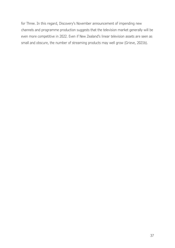for Three. In this regard, Discovery's November announcement of impending new channels and programme production suggests that the television market generally will be even more competitive in 2022. Even if New Zealand's linear television assets are seen as small and obscure, the number of streaming products may well grow (Grieve, 2021b).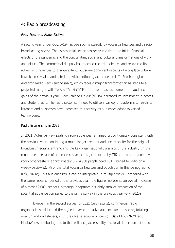# 4: Radio broadcasting

## *Peter Hoar and Rufus McEwan*

A second year under COVID-19 has been borne steadily by Aotearoa New Zealand's radio broadcasting sector. The commercial sector has recovered from the initial financial effects of the pandemic and the concomitant social and cultural transformations of work and leisure. The commercial duopoly has reached record audiences and recovered its advertising revenues to a large extent, but some abhorrent aspects of workplace culture have been revealed and acted on, with continuing action needed. Te Reo Irirangi o Aotearoa Radio New Zealand (RNZ), which faces a major transformation as steps to a projected merger with Te Reo Tātaki (TVNZ) are taken, has lost some of the audience gains of the previous year. New Zealand On Air (NZOA) increased its investment in access and student radio. The radio sector continues to utilise a variety of platforms to reach its listeners and all sectors have increased this activity as audiences adapt to varied technologies.

## Radio listenership in 2021

In 2021, Aotearoa New Zealand radio audiences remained proportionately consistent with the previous year, continuing a much longer trend of audience stability for the original broadcast medium, entrenching the key organisational dynamics of the industry. In the most recent release of audience research data, conducted by GfK and commissioned by radio broadcasters, approximately 3,734,900 people aged 10+ listened to radio on a weekly basis—82.4% of the total Aotearoa New Zealand population in this demographic (GfK, 2021a). This audience result can be interpreted in multiple ways. Compared with the same research period of the previous year, the figure represents an overall increase of almost 47,000 listeners, although it captures a slightly smaller proportion of the potential audience compared to the same survey in the previous year (GfK, 2020a).

However, in the second survey for 2021 (July results), commercial radio organisations celebrated the highest-ever cumulative audience for the sector, totalling over 3.5 million listeners, with the chief executive officers (CEOs) of both NZME and MediaWorks attributing this to the resilience, accessibility and local dimensions of radio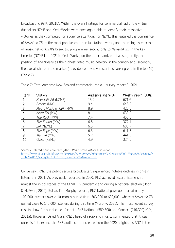broadcasting (GfK, 2021b). Within the overall ratings for commercial radio, the virtual duopolists NZME and MediaWorks were once again able to identify their respective victories as they competed for audience attention. For NZME, this featured the dominance of *Newstalk ZB* as the most popular commercial station overall, and the rising listenership of music network *ZM's* breakfast programme, second only to *Newstalk ZB* in the key timeslot (NZME Ltd, 2021i). MediaWorks, on the other hand, emphasised, firstly, the position of *The Breeze* as the highest-rated music network in the country and, secondly, the overall share of the market (as evidenced by seven stations ranking within the top 10) (Table 7).

| Rank           | Station                 | Audience share % | Weekly reach (000s) |
|----------------|-------------------------|------------------|---------------------|
|                | Newstalk ZB (NZME)      | 13.9             | 671.6               |
|                | Breeze (MW)             | 9.4              | 648.2               |
| $\overline{3}$ | Magic Music & Talk (MW) | 8.9              | 422.0               |
| $\overline{4}$ | More FM (MW)            | 8.1              | 633.2               |
| 5              | The Rock (MW)           | 7.4              | 453.5               |
| 6              | The Sound (MW)          | 6.8              | 377.1               |
|                | ZM (NZME)               | 6.5              | 605.7               |
| 8              | The Edge (MW)           | 6.3              | 611.5               |
| 9              | Mai FM (MW)             | 5.2              | 441.3               |
| 10             | Coast (NZME)            | 4.9              | 324.0               |

Table 7: Total Aotearoa New Zealand commercial radio – survey report 3, 2021

Sources: GfK radio audience data (2021). *Radio Broadcasters Association*. [https://www.gfk.com/hubfs/ANZ%20MEDIA/NZ/Survey%20Summary%20Reports/2021/Survey%203/ndfGfK](https://www.gfk.com/hubfs/ANZ%20MEDIA/NZ/Survey%20Summary%20Reports/2021/Survey%203/ndfGfK_Total%20NZ_Survey%203%202021_Summary%20Report.pdf) [\\_Total%20NZ\\_Survey%203%202021\\_Summary%20Report.pdf](https://www.gfk.com/hubfs/ANZ%20MEDIA/NZ/Survey%20Summary%20Reports/2021/Survey%203/ndfGfK_Total%20NZ_Survey%203%202021_Summary%20Report.pdf)

Conversely, RNZ, the public service broadcaster, experienced notable declines in on-air listeners in 2021. As previously reported, in 2020, RNZ achieved record listenership amidst the initial stages of the COVID-19 pandemic and during a national election (Hoar & McEwan, 2020). But as Tim Murphy reports, RNZ National gave up approximately 100,000 listeners over a 10-month period from 703,000 to 602,000, whereas *Newstalk ZB*  gained close to 140,000 listeners during this time (Murphy, 2021). The most recent survey results show further declines for both RNZ National (589,600) and Concert (210,300) (GfK, 2021a). However, David Allan, RNZ's head of radio and music, commented that it was unrealistic to expect the RNZ audience to increase from the 2020 heights, as RNZ is the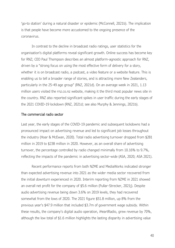'go-to station' during a natural disaster or epidemic (McConnell, 2021b). The implication is that people have become more accustomed to the ongoing presence of the coronavirus.

In contrast to the decline in broadcast radio ratings, user statistics for the organisation's digital platforms reveal significant growth. Online success has become key for RNZ; CEO Paul Thompson describes an almost platform-agnostic approach for RNZ, driven by a "strong focus on using the most effective form of delivery for a story, whether it is on broadcast radio, a podcast, a video feature or a website feature. This is enabling us to tell a broader range of stories, and is attracting more New Zealanders, particularly in the 25-49 age group" (RNZ, 2021d). On an average week in 2021, 1.13 million users visited the rnz.co.nz website, making it the third most popular news site in the country. RNZ also reported significant spikes in user traffic during the early stages of the 2021 COVID-19 lockdown (RNZ, 2021d; see also Murphy & Jennings, 2021b).

#### The commercial radio sector

Last year, the early stages of the COVID-19 pandemic and subsequent lockdowns had a pronounced impact on advertising revenue and led to significant job losses throughout the industry (Hoar & McEwan, 2020). Total radio advertising turnover dropped from \$281 million in 2019 to \$238 million in 2020. However, as an overall share of advertising turnover, the percentage controlled by radio changed minimally from 10.16% to 9.7%, reflecting the impacts of the pandemic in advertising sector-wide (ASA, 2020; ASA 2021).

Recent performance reports from both NZME and MediaWorks indicated stronger than expected advertising revenue into 2021 as the wider media sector recovered from the initial downturn experienced in 2020. Interim reporting from NZME in 2021 showed an overall net profit for the company of \$5.6 million (Pullar-Strecker, 2021j). Despite audio advertising revenue being down 3.6% on 2019 levels, they had recovered somewhat from the lows of 2020. The 2021 figure \$51.8 million, up 8% from the previous year's \$47.9 million that included \$3.7m of government wage subsidy. Within these results, the company's digital audio operation, iHeartRadio, grew revenue by 70%, although the low total of \$1.6 million highlights the lasting disparity in advertising value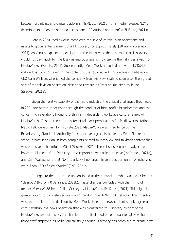between broadcast and digital platforms (NZME Ltd, 2021g). In a media release, NZME described its outlook to shareholders as one of "cautious optimism" (NZME Ltd, 2021k).

Late in 2020, MediaWorks completed the sale of its television operations and assets to global entertainment giant Discovery for approximately \$20 million (Venuto, 2021). As Venuto explains, "speculation in the industry at the time was that Discovery would not pay much for the loss-making business, simply taking the liabilities away from MediaWorks" (Venuto, 2021). Subsequently, MediaWorks reported an overall NZD\$4.8 million loss for 2021, even in the context of the radio advertising declines. MediaWorks CEO Cam Wallace, who joined the company from Air New Zealand soon after the agreed sale of the television operation, described revenue as "robust" (as cited by Pullar-Strecker, 2021e).

Given the relative stability of the radio industry, the critical challenges they faced in 2021 are better understood through the conduct of high-profile broadcasters and the concerning revelations brought forth in an independent workplace culture review of MediaWorks. Close to the entire roster of talkback personalities for MediaWorks station Magic Talk were off-air by mid-late 2021. MediaWorks was fined twice by the Broadcasting Standards Authority for respective segments hosted by Sean Plunket and stand-in host John Banks; both complaints related to interview and talkback content that was offensive or harmful to Māori (Brookes, 2021). These issues prompted advertiser boycotts. Plunket left in February amid reports he was asked to leave (McConnell, 2021a), and Cam Wallace said that "John Banks will no longer have a position on air or otherwise while I am CEO of MediaWorks" (RNZ, 2021b).

Changes to the on-air line up continued at the network, in what was described as "cleanout" (Murphy & Jennings, 2021b). These changes coincided with the hiring of former *Newstalk ZB* head Dallas Gurney by MediaWorks (McKenzie, 2021). This signalled greater intent to compete seriously with the dominant NZME talk network. This intention was also implicit in the decision by MediaWorks to end a news-content supply agreement with Newshub, the news operation that was transferred to Discovery as part of the MediaWorks television sale. This has led to the likelihood of redundancies at Newshub for those staff employed as radio journalists (although Discovery has promised to create new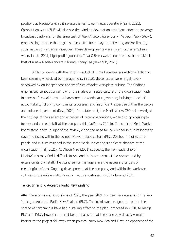positions at MediaWorks as it re-establishes its own news operation) (Zaki, 2021). Competition with NZME will also see the winding down of an ambitious effort to converge broadcast platforms for the simulcast of *The AM Show* (previously *The Paul Henry Show*), emphasising the role that organisational structures play in motivating and/or limiting such media convergence initiatives. These developments were given further emphasis when, in late 2021, high-profile journalist Tova O'Brien was announced as the breakfast host of a new MediaWorks talk brand, Today FM (Newshub, 2021).

Whilst concerns with the on-air conduct of some broadcasters at Magic Talk had been seemingly resolved by management, in 2021 these issues were largely overshadowed by an independent review of MediaWorks' workplace culture. The findings emphasised serious concerns with the male-dominated culture of the organisation with instances of sexual harm and harassment towards young women; bullying; a lack of accountability following complaints processes; and insufficient expertise within the people and culture department (Dew, 2021). In a statement, the MediaWorks CEO acknowledged the findings of the review and accepted all recommendations, while also apologising to former and current staff at the company (MediaWorks, 2021b). The chair of MediaWorks board stood down in light of the review, citing the need for new leadership in response to systemic issues within the company's workplace culture (RNZ, 2021c). The director of people and culture resigned in the same week, indicating significant changes at the organisation (Hall, 2021). As Alison Mau (2021) suggests, the new leadership of MediaWorks may find it difficult to respond to the concerns of the review, and by extension its own staff, if existing senior managers are the necessary targets of meaningful reform. Ongoing developments at the company, and within the workplace cultures of the entire radio industry, require sustained scrutiny beyond 2021.

## Te Reo Irirangi o Aotearoa Radio New Zealand

After the alarms and excursions of 2020, the year 2021 has been less eventful for Te Reo Irirangi o Aotearoa Radio New Zealand (RNZ). The lockdowns designed to contain the spread of coronavirus have had a stalling effect on the plan, proposed in 2020, to merge RNZ and TVNZ. However, it must be emphasised that these are only delays. A major barrier to the project fell away when political party New Zealand First, an opponent of the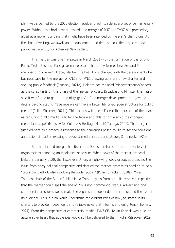plan, was sidelined by the 2020 election result and lost its role as a pivot of parliamentary power. Without this brake, work towards the merger of RNZ and TVNZ has proceeded, albeit at a more fitful pace that might have been intended by the plan's champions. At the time of writing, we await an announcement and details about the projected new public media entity for Aotearoa New Zealand.

This merger was given impetus in March 2021 with the formation of the Strong Public Media Business Case governance board chaired by former New Zealand First member of parliament Tracey Martin. The board was charged with the development of a business case for the merger of RNZ and TVNZ, drawing up a draft new charter and seeking public feedback (Peacock, 2021a). Deloitte has replaced PricewaterhouseCoopers as the consultants on this phase of the merger process. Broadcasting Minister Kris Faafoi said it was "time to get into the nitty-gritty" of the merger development but gave no details beyond stating, "I believe we can have a better fit-for-purpose structure for public media" (Pullar-Strecker, 2021b). This chimes with the self-described purpose of the board as "ensuring public media is fit for the future and able to thrive amid the changing media landscape" (Ministry for Culture & Heritage Manatū Taonga, 2021). The merger is justified here as a proactive response to the challenges posed by digital technologies and an erosion of trust in existing broadcast media institutions (Osburg & Heinecke, 2019).

But the planned merger has its critics. Opposition has come from a variety of organisations spanning an ideological spectrum. When news of the merger proposal leaked in January 2020, the Taxpayers Union, a right-wing lobby group, approached the issue from party political perspective and decried the merger process as needing to be a "cross-party effort, also involving the wider public" (Pullar-Strecker, 2020a). Myles Thomas, chair of the Better Public Media Trust, argues from a public service perspective that the merger could spell the end of RNZ's non-commercial status. Advertising and commercial pressures would make the organisation dependent on ratings and the size of its audience. This in turn would undermine the current roles of RNZ, as stated in its charter, to provide independent and reliable news that informs and enlightens (Thomas, 2021). From the perspective of commercial media, TVNZ CEO Kevin Kenrick was quick to assure advertisers that audiences would still be delivered to them (Pullar-Strecker, 2019).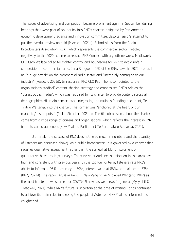The issues of advertising and competition became prominent again in September during hearings that were part of an inquiry into RNZ's charter instigated by Parliament's economic development, science and innovation committee, despite Faafoi's attempt to put the overdue review on hold (Peacock, 2021d). Submissions from the Radio Broadcasters Association (RBA), which represents the commercial sector, reacted negatively to the 2020 scheme to replace RNZ Concert with a youth network. Mediaworks CEO Cam Wallace called for tighter control and boundaries for RNZ to avoid unfair competition in commercial radio. Jana Rangooni, CEO of the RBA, saw the 2020 proposal as "a huge attack" on the commercial radio sector and "incredibly damaging to our industry" (Peacock, 2021d). In response, RNZ CEO Paul Thompson pointed to the organisation's "radical" content-sharing strategy and emphasised RNZ's role as the "purest public media", which was required by its charter to provide content across all demographics. His main concern was integrating the nation's founding document, Te Tiriti o Waitangi, into the charter. The former was "anchored at the heart of our mandate," as he puts it (Pullar-Strecker, 2021m). The 61 submissions about the charter came from a wide range of citizens and organisations, which reflects the interest in RNZ from its varied audiences (New Zealand Parliament Te Paremata o Aotearoa, 2021).

Ultimately, the success of RNZ does not lie so much in numbers and the quantity of listeners (as discussed above). As a public broadcaster, it is governed by a charter that requires qualitative assessment rather than the somewhat blunt instrument of quantitative-based ratings surveys. The surveys of audience satisfaction in this area are high and consistent with previous years. In the top four criteria, listeners rate RNZ's ability to inform at 93%, accuracy at 89%, interest value at 86%, and balance at 83% (RNZ, 2021d). The report *Trust in News in New Zealand 2021* placed RNZ (and TVNZ) as the most trusted news sources for COVID-19 news as well news in general (Myllylahti & Treadwell, 2021). While RNZ's future is uncertain at the time of writing, it has continued to achieve its main roles in keeping the people of Aotearoa New Zealand informed and enlightened.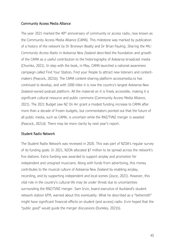# Community Access Media Alliance

The year 2021 marked the  $40<sup>th</sup>$  anniversary of community or access radio, now known as the Community Access Media Alliance (CAMA). This milestone was marked by publication of a history of the network by Dr Bronwyn Beatty and Dr Brian Pauling. *Sharing the Mic: Community Access Radio in Aotearoa New Zealand* described the foundation and growth of the CAMA as a useful contribution to the historiography of Aotearoa broadcast media (Chumko, 2021). In step with the book, in May, CAMA launched a national awareness campaign called Find Your Station, Find your People to attract new listeners and contentmakers (Peacock, 2021b). The CAMA content-sharing platform accessmedia.nz has continued to develop, and with 1000 titles it is now the country's largest Aotearoa New Zealand-owned podcast platform. All the material on it is freely accessible, making it a significant cultural resource and public commons (Community Access Media Alliance, 2021). The 2021 Budget saw NZ On Air grant a modest funding increase to CAMA after more than a decade of frozen budgets, but commentators pointed out that the future of all public media, such as CAMA, is uncertain while the RNZ/TVNZ merger is awaited (Peacock, 2021d). There may be more clarity by next year's report.

## Student Radio Network

The Student Radio Network was reviewed in 2020. This was part of NZOA's regular survey of its funding goals. In 2021, NZOA allocated \$7 million to be spread across the network's five stations. Extra funding was awarded to support airplay and promotion for independent and unsigned musicians. Along with funds from advertising, this money contributes to the musical culture of Aotearoa New Zealand by enabling airplay, recording, and by supporting independent and local scenes (Joyce, 2021). However, this vital role in the country's cultural life may be under threat due to uncertainties surrounding the RNZ/TVNZ merger. Sam Irvin, board executive of Auckland's student network station bFM, warned about this eventuality. What he described as a "behemoth" might have significant financial effects on student (and access) radio. Irvin hoped that the "public good" would guide the merger discussions (Dunkley, 2021b).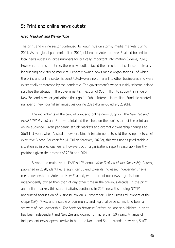# 5: Print and online news outlets

## *Greg Treadwell and Wayne Hope*

The print and online sector continued its rough ride on stormy media markets during 2021. As the global pandemic bit in 2020, citizens in Aotearoa New Zealand turned to local news outlets in large numbers for critically important information (Greive, 2020). However, at the same time, those news outlets faced the almost total collapse of already languishing advertising markets. Privately owned news media organisations—of which the print and online sector is constituted—were no different to other businesses and were existentially threatened by the pandemic. The government's wage-subsidy scheme helped stabilise the situation. The government's injection of \$55 million to support a range of New Zealand news organisations through its Public Interest Journalism Fund kickstarted a number of new journalism initiatives during 2021 (Pullar-Strecker, 2020b).

The incumbents of the central print and online news duopoly—the *New Zealand Herald (NZ Herald)* and Stuff—maintained their hold on the lion's share of the print and online audience. Given pandemic-struck markets and dramatic ownership changes at Stuff last year, when Australian owners Nine Entertainment Ltd sold the company to chief executive Sinead Boucher for \$1 (Pullar-Strecker, 2020c), this was not as predictable a situation as in previous years. However, both organisations report reasonably healthy positions given the dramas of 2020 and 2021.

Beyond the main event, JMAD's 10th annual *New Zealand Media Ownership Report*, published in 2020, identified a significant trend towards increased independent news media ownership in Aotearoa New Zealand, with more of our news organisations independently owned then than at any other time in the previous decade. In the print and online market, this state of affairs continued in 2021 notwithstanding NZME's announced acquisition of BusinessDesk on 30 November. Allied Press Ltd, owners of the *Otago Daily Times* and a stable of community and regional papers, has long been a stalwart of local ownership. *The National Business Review*, no longer published in print, has been independent and New Zealand-owned for more than 50 years. A range of independent newspapers survive in both the North and South islands. However, Stuff's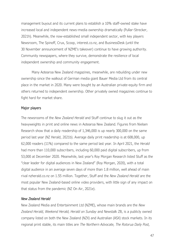management buyout and its current plans to establish a 10% staff-owned stake have increased local and independent news-media ownership dramatically (Pullar-Strecker, 2021h). Meanwhile, the now-established small independent sector, with key players Newsroom, The Spinoff, Crux, Scoop, interest.co.nz, and BusinessDesk (until the 30 November announcement of NZME's takeover) continue to have growing authority. Community newspapers, where they survive, demonstrate the resilience of local independent ownership and community engagement.

Many Aotearoa New Zealand magazines, meanwhile, are rebuilding under new ownership since the walkout of German media giant Bauer Media Ltd from its central place in the market in 2020. Many were bought by an Australian private-equity firm and others returned to independent ownership. Other privately owned magazines continue to fight hard for market share.

## Major players

The newsrooms of the *New Zealand Herald* and Stuff continue to slug it out as the heavyweights in print and online news in Aotearoa New Zealand. Figures from Nielsen Research show that a daily readership of 1,346,000 is up nearly 300,000 on the same period last year (NZ Herald, 2021b). Average daily print readership is at 608,000, up 62,000 readers (11%) compared to the same period last year. In April 2021, the *Herald* had more than 110,000 subscribers, including 60,000 paid digital subscribers, up from 53,000 at December 2020. Meanwhile, last year's Roy Morgan Research listed Stuff as the "clear leader for digital audiences in New Zealand" (Roy Morgan, 2020), with a total digital audience in an average seven days of more than 1.8 million, well ahead of main rival nzherald.co.nz on 1.55 million. Together, Stuff and the *New Zealand Herald* are the most popular New Zealand-based online video providers, with little sign of any impact on that status from the pandemic (NZ On Air, 2021e).

## *New Zealand Herald*

New Zealand Media and Entertainment Ltd (NZME), whose main brands are the *New Zealand Herald, Weekend Herald, Herald on Sunday* and Newstalk ZB, is a publicly owned company listed on both the New Zealand (NZX) and Australian (ASX) stock markets. In its regional print stable, its main titles are *The Northern Advocate, The Rotorua Daily Post,*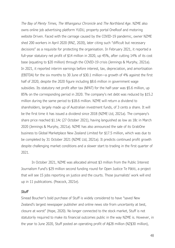*The Bay of Plenty Times, The Whanganui Chronicle* and *The Northland Age*. NZME also owns online job advertising platform YUDU, property portal OneRoof and motoring website Driven. Faced with the carnage caused by the COVID-19 pandemic, owner NZME shed 200 workers in April 2020 (RNZ, 2020), later citing such "difficult but necessary decisions" as a requisite for protecting the organisation. In February 2021, it reported a full-year statutory net profit of \$14 million in 2020, up 45%, after cutting 14% of its cost base (equating to \$20 million) through the COVID-19 crisis (Jennings & Murphy, 2021a). In 2021, it reported interim earnings before interest, tax, depreciation, and amortisation (EBITDA) for the six months to 30 June of \$30.1 million—a growth of 4% against the first half of 2020, despite the 2020 figure including \$8.6 million in government wage subsidies. Its statutory net profit after tax (NPAT) for the half-year was \$5.6 million, up 85% on the corresponding period in 2020. The company's net debt was reduced by \$15.2 million during the same period to \$18.6 million. NZME will return a dividend to shareholders, largely made up of Australian investment funds, of 3 cents a share. It will be the first time it has issued a dividend since 2018 (NZME Ltd, 2021a). The company's share price reached \$1.14c (27 October 2021), having languished as low as 18c in March 2020 (Jennings & Murphy, 2021a). NZME has also announced the sale of its GrabOne business to Global Marketplace New Zealand Limited for \$17.5 million, which was due to be completed by 31 October 2021 (NZME Ltd, 2021a). It predicts continued profit growth despite challenging market conditions and a slower start to trading in the first quarter of 2021.

In October 2021, NZME was allocated almost \$3 million from the Public Interest Journalism Fund's \$29 million second funding round for Open Justice Te Pātiti, a project that will see 15 jobs reporting on justice and the courts. Those journalists' work will end up in 11 publications. (Peacock, 2021e).

#### *Stuff*

Sinead Boucher's bold purchase of Stuff is widely considered to have "saved New Zealand's largest newspaper publisher and online news site from uncertainty at best, closure at worst" (Hope, 2020). No longer connected to the stock market, Stuff is not statutorily required to make its financial outcomes public in the way NZME is. However, in the year to June 2020, Stuff posted an operating profit of A\$28 million (NZ\$30 million),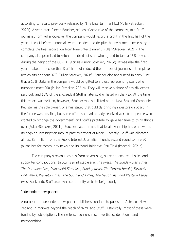according to results previously released by Nine Entertainment Ltd (Pullar-Strecker, 2020f). A year later, Sinead Boucher, still chief executive of the company, told Stuff journalist Tom Pullar-Strecker the company would record a profit in the first half of the year, at least before abnormals were included and despite the investments necessary to complete the final separation from Nine Entertainment (Pullar-Strecker, 2021f). The company also promised to refund hundreds of staff who agreed to take a 15% pay cut during the height of the COVID-19 crisis (Pullar-Strecker, 2020d). It was also the first year in about a decade that Stuff had not reduced the number of journalists it employed (which sits at about 370) (Pullar-Strecker, 2021f). Boucher also announced in early June that a 10% stake in the company would be gifted to a trust representing staff, who number almost 900 (Pullar-Strecker, 2021g). They will receive a share of any dividends paid out, and 10% of the proceeds if Stuff is later sold or listed on the NZX. At the time this report was written, however, Boucher was still listed on the New Zealand Companies Register as the sole owner. She has stated that publicly bringing investors on board in the future was possible, but some offers she had already received were from people who wanted to "change the government" and Stuff's profitability gave her time to think things over (Pullar-Strecker, 2021f). Boucher has affirmed that local ownership has empowered its ongoing investigation into its past treatment of Māori. Recently, Stuff was allocated almost \$3 million from the Public Interest Journalism Fund's second round to hire 20 journalists for community news and its Māori initiative, Pou Tiaki (Peacock, 2021e).

The company's revenue comes from advertising, subscriptions, retail sales and supporter contributions. In Stuff's print stable are: *The Press, The Sunday-Star Times, The Dominion Post, Manawatū Standard, Sunday News, The Timaru Herald, Taranaki Daily News, Waikato Times, The Southland Times, The Nelson Mail* and *Western Leader* (west Auckland). Stuff also owns community website Neighbourly.

#### Independent newspapers

A number of independent newspaper publishers continue to publish in Aotearoa New Zealand in markets beyond the reach of NZME and Stuff. Historically, most of these were funded by subscriptions, licence fees, sponsorships, advertising, donations, and memberships.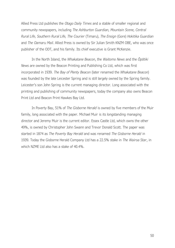Allied Press Ltd publishes the *Otago Daily Times* and a stable of smaller regional and community newspapers, including *The Ashburton Guardian, Mountain Scene, Central Rural Life, Southern Rural Life, The Courier* (Timaru), *The Ensign* (Gore) *Hokitika Guardian*  and *The Oamaru Mail.* Allied Press is owned by Sir Julian Smith KNZM OBE, who was once publisher of the ODT, and his family. Its chief executive is Grant McKenzie.

In the North Island, the *Whakatane Beacon*, the *Waitomo News* and the *Ōpōtiki News* are owned by the Beacon Printing and Publishing Co Ltd, which was first incorporated in 1939. *The Bay of Plenty Beacon* (later renamed the *Whakatane Beacon*) was founded by the late Leicester Spring and is still largely owned by the Spring family. Leicester's son John Spring is the current managing director. Long associated with the printing and publishing of community newspapers, today the company also owns Beacon Print Ltd and Beacon Print Hawkes Bay Ltd.

In Poverty Bay, 51% of *The Gisborne Herald* is owned by five members of the Muir family, long associated with the paper. Michael Muir is its longstanding managing director and Jeremy Muir is the current editor. Essex Castle Ltd, which owns the other 49%, is owned by Christopher John Swann and Trevor Donald Scott. The paper was started in 1874 as *The Poverty Bay Herald* and was renamed *The Gisborne Herald* in 1939. Today the Gisborne Herald Company Ltd has a 22.5% stake in *The Wairoa Star*, in which NZME Ltd also has a stake of 40.4%.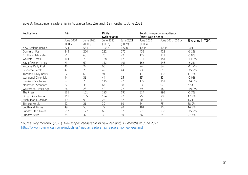| Table 8: Newspaper readership in Aotearoa New Zealand, 12 months to June 2021 |  |  |  |
|-------------------------------------------------------------------------------|--|--|--|
|                                                                               |  |  |  |

| Publications        | Print                |                      | Digital<br>(web or app) |                      | Total cross-platform audience<br>(print, web or app) |                   |                  |
|---------------------|----------------------|----------------------|-------------------------|----------------------|------------------------------------------------------|-------------------|------------------|
|                     | June 2020<br>(000's) | June 2021<br>(000's) | June 2020<br>(000's)    | June 2021<br>(000's) | June 2020<br>(000's)                                 | June 2021 (000's) | % change in TCPA |
| New Zealand Herald  | 674                  | 584                  | 1,537                   | 1,598                | 1,844                                                | 1,844             | 0.0%             |
| Dominion Post       | 245                  | 224                  | 282                     | 276                  | 432                                                  | 428               | $-1.1%$          |
| Northern Advocate   | 71                   | 63                   | 70                      | 72                   | 129                                                  | 121               | $-6.0\%$         |
| Waikato Times       | 104                  | 75                   | 138                     | 125                  | 214                                                  | 184               | $-14.3%$         |
| Bay of Plenty Times | 73                   | 62                   | 112                     | 101                  | 155                                                  | 146               | $-6.2%$          |
| Rotorua Daily Post  | 40                   | 22                   | 63                      | 67                   | 94                                                   | 84                | $-11.2%$         |
| Gisborne Herald     | 42                   | 28                   | 49                      | 44                   | 73                                                   | 61                | $-15.7%$         |
| Taranaki Daily News | 52                   | 65                   | 91                      | 91                   | 118                                                  | 132               | 11.6%            |
| Wanganui Chronicle  | 44                   | 31                   | 44                      | 65                   | 85                                                   | 83                | $-2.0%$          |
| Hawke's Bay Today   | 92                   | 70                   | 115                     | 97                   | 177                                                  | 151               | $-14.6%$         |
| Manawatu Standard   | 37                   | 36                   | 67                      | 68                   | 93                                                   | 97                | 4.5%             |
| Wairarapa Times-Age | 26                   | 23                   | 42                      | 27                   | 59                                                   | 48                | $-19.2%$         |
| The Press           | 185                  | 161                  | 195                     | 192                  | 314                                                  | 293               | $-6.7%$          |
| Otago Daily Times   | 111                  | 105                  | 194                     | 225                  | 253                                                  | 285               | 12.7%            |
| Ashburton Guardian  | 19                   | 9                    | 25                      | 32                   | 40                                                   | 41                | 1.2%             |
| Timaru Herald       | 22                   | 21                   | 39                      | 60                   | 54                                                   | 75                | 38.9%            |
| Southland Times     | 49                   | 58                   | 72                      | 90                   | 101                                                  | 116               | 14.8%            |
| Sunday Star-Times   | 217                  | 177                  | 69                      | 62                   | 273                                                  | 230               | $-15.7%$         |
| Sunday News         | 35                   | 37                   | 32                      | 50                   | 66                                                   | 84                | 27.3%            |

Source: Roy Morgan. (2021). *Newspaper readership in New Zealand, 12 months to June 2021.* <http://www.roymorgan.com/industries/media/readership/readership-new-zealand>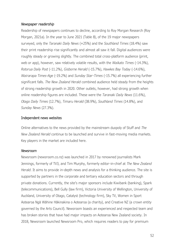## *Newspaper readership*

Readership of newspapers continues to decline, according to Roy Morgan Research (Roy Morgan, 2021a). In the year to June 2021 (Table 8), of the 19 major newspapers surveyed, only the *Taranaki Daily News* (+25%) and the *Southland Times* (18.4%) saw their print readership rise significantly and almost all saw it fall. Digital audiences were roughly steady or growing slightly. The combined total cross-platform audience (print, web or app), however, saw relatively volatile results, with the *Waikato Times* (-14.3%), *Rotorua Daily Post* (-11.2%), *Gisborne Herald* (-15.7%), *Hawkes Bay Today* (-14.6%), *Wairarapa Times-Ag*e (-19.2%) and *Sunday Star-Times* (-15.7%) all experiencing further significant falls. *The New Zealand Herald* combined audience held steady from the heights of strong readership growth in 2020. Other outlets, however, had strong growth when online readership figures are included. These were the *Taranaki Daily News* (11.6%), *Otago Daily Times* (12.7%), *Timaru Herald* (38.9%), *Southland Times* (14.8%), and *Sunday News* (27.3%).

## Independent news websites

Online alternatives to the news provided by the mainstream duopoly of Stuff and *The New Zealand Herald* continue to be launched and survive in fast-moving media markets. Key players in the market are included here.

#### *Newsroom*

Newsroom (newsroom.co.nz) was launched in 2017 by renowned journalists Mark Jennings, formerly of TV3, and Tim Murphy, formerly editor-in-chief at *The New Zealand Herald*. It aims to provide in-depth news and analysis for a thinking audience. The site is supported by partners in the corporate and tertiary education sectors and through private donations. Currently, the site's major sponsors include Kiwibank (banking), Spark (telecommunications), Bell Gully (law firm), Victoria University of Wellington, University of Auckland, University of Otago, Catalyst (technology firm), Sky TV, Women in Sport Aotearoa Ngā Wāhine Hākinakina o Aotearoa (a charity), and Creative NZ (a crown entity governed by the Arts Council). Newsroom boasts an experienced and respected team and has broken stories that have had major impacts on Aotearoa New Zealand society. In 2018, Newsroom launched Newsroom Pro, which requires readers to pay for premium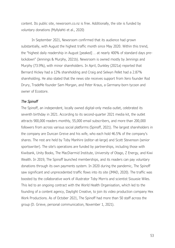content. Its public site, newsroom.co.nz is free. Additionally, the site is funded by voluntary donations (Myllylahti et al., 2020)

In September 2021, Newsroom confirmed that its audience had grown substantially, with August the highest traffic month since May 2020. Within this trend, the "highest daily readership in August [peaked] … at nearly 400% of standard days prelockdown" (Jennings & Murphy, 2021b). Newsroom is owned mostly by Jennings and Murphy (73.9%), with minor shareholders. In April, Dunkley (2021a) reported that Bernard Hickey had a 12% shareholding and Craig and Selwyn Pellet had a 2.87% shareholding. He also stated that the news site receives support from Xero founder Rod Drury, TradeMe founder Sam Morgan, and Peter Kraus, a Germany-born tycoon and owner of Ecostore.

#### *The Spinoff*

The Spinoff, an independent, locally owned digital-only media outlet, celebrated its seventh birthday in 2021. According to its second-quarter 2021 media kit, the outlet attracts 900,000 readers monthly, 55,000 email subscribers, and more than 200,000 followers from across various social platforms (Spinoff, 2021). The largest shareholders in the company are Duncan Greive and his wife, who each hold 46.5% of the company's shares. The rest are held by Toby Manhire (editor-at-large) and Scott Stevenson (senior sportswriter). The site's operations are funded by partnerships, including those with Kiwibank, Unity Books, The MacDiarmid Institute, University of Otago, Z Energy, and Kiwi Wealth. In 2019, The Spinoff launched memberships, and its readers can pay voluntary donations through its own payments system. In 2020 during the pandemic, The Spinoff saw significant and unprecedented traffic flows into its site (JMAD, 2020). The traffic was boosted by the collaborative work of illustrator Toby Morris and scientist Siouxsie Wiles. This led to an ongoing contract with the World Health Organisation, which led to the founding of a content agency, Daylight Creative, to join its video production company Hex Work Productions. As of October 2021, The Spinoff had more than 50 staff across the group (D. Grieve, personal communication, November 1, 2021).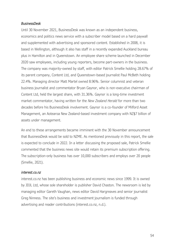## *BusinessDesk*

Until 30 November 2021, BusinessDesk was known as an independent business, economics and politics news service with a subscriber model based on a hard paywall and supplemented with advertising and sponsored content. Established in 2008, it is based in Wellington, although it also has staff in a recently expanded Auckland bureau plus in Hamilton and in Queenstown. An employee share scheme launched in December 2020 saw employees, including young reporters, become part-owners in the business. The company was majority-owned by staff, with editor Patrick Smellie holding 28.67% of its parent company, Content Ltd, and Queenstown-based journalist Paul McBeth holding 22.4%. Managing director Matt Martel owned 8.96%. Senior columnist and veteran business journalist and commentator Bryan Gaynor, who is non-executive chairman of Content Ltd, held the largest share, with 31.36%. Gaynor is a long-time investment market commentator, having written for the *New Zealand Herald* for more than two decades before his BusinessDesk involvement. Gaynor is a co-founder of Milford Asset Management, an Aotearoa New Zealand-based investment company with NZ\$7 billion of assets under management.

An end to these arrangements became imminent with the 30 November announcement that BusinessDesk would be sold to NZME. As mentioned previously in this report, the sale is expected to conclude in 2022. In a letter discussing the proposed sale, Patrick Smellie commented that the business news site would retain its premium subscription offering. The subscription-only business has over 10,000 subscribers and employs over 20 people (Smellie, 2021).

## *interest.co.nz*

interest.co.nz has been publishing business and economic news since 1999. It is owned by JDJL Ltd, whose sole shareholder is publisher David Chaston. The newsroom is led by managing editor Gareth Vaughan, news editor David Hargreaves and senior journalist Greg Ninness. The site's business and investment journalism is funded through advertising and reader contributions (interest.co.nz, n.d.).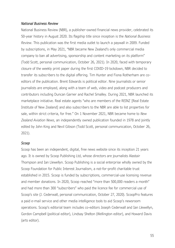#### *National Business Review*

National Business Review (NBR), a publisher-owned financial news provider, celebrated its 50-year history in August 2020. Its flagship title since inception is the *National Business Review*. This publication was the first media outlet to launch a paywall in 2009. Funded by subscriptions, in May 2021, "NBR became New Zealand's only commercial media company to ban all advertising, sponsorship and content marketing on its platform" (Todd Scott, personal communication, October 26, 2021). In 2020, faced with temporary closure of the weekly print paper during the first COVID-19 lockdown, NBR decided to transfer its subscribers to the digital offering. Tim Hunter and Fiona Rotherham are coeditors of the publication. Brent Edwards is political editor. Nine journalists or senior journalists are employed, along with a team of web, video and podcast producers and contributors including Duncan Garner and Rachel Smalley. During 2021, NBR launched its marketplace initiative. Real estate agents "who are members of the REINZ [Real Estate Institute of New Zealand] and also subscribers to the NBR are able to list properties for sale, within strict criteria, for free." On 1 November 2021, NBR became home to *New Zealand Aviation News*, an independently owned publication founded in 1978 and jointly edited by John King and Nevil Gibson (Todd Scott, personal communication, October 26, 2021).

#### *Scoop*

Scoop has been an independent, digital, free news website since its inception 21 years ago. It is owned by Scoop Publishing Ltd, whose directors are journalists Alastair Thompson and Ian Llewellyn. Scoop Publishing is a social enterprise wholly owned by the Scoop Foundation for Public Interest Journalism, a not-for-profit charitable trust established in 2015. Scoop is funded by subscriptions, commercial-use licensing revenue and member donations. In 2020, Scoop reached "more than 500,000 readers a month" and had more than 300 "subscribers" who paid the licence fee for commercial use of Scoop's site (J. Cederwall, personal communication, October 27, 2020). ScoopPro features a paid e-mail service and other media intelligence tools to aid Scoop's newsroom operations. Scoop's editorial team includes co-editors Joseph Cederwall and Ian Llewellyn, Gordon Campbell (political editor), Lindsay Shelton (Wellington editor), and Howard Davis (arts editor).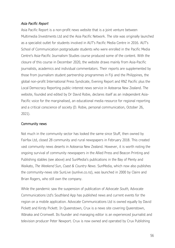# *Asia Pacific Report*

Asia Pacific Report is a non-profit news website that is a joint venture between Multimedia Investments Ltd and the Asia Pacific Network. The site was originally launched as a specialist outlet for students involved in AUT's Pacific Media Centre in 2016. AUT's School of Communication postgraduate students who were enrolled in the Pacific Media Centre's Asia-Pacific Journalism Studies course produced some of the content. With the closure of this course in December 2020, the website draws mainly from Asia-Pacific journalists, academics and individual commentators. Their reports are supplemented by those from journalism student partnership programmes in Fiji and the Philippines, the global non-profit International Press Syndicate, Evening Report and RNZ Pacific plus the Local Democracy Reporting public-interest news service in Aotearoa New Zealand. The website, founded and edited by Dr David Robie, declares itself as an independent Asia-Pacific voice for the marginalised, an educational media resource for regional reporting and a critical conscience of society (D. Robie, personal communication, October 26, 2021).

## Community news

Not much in the community sector has looked the same since Stuff, then owned by Fairfax Ltd, closed 28 community and rural newspapers in February 2018. This created vast community news deserts in Aotearoa New Zealand. However, it is worth noting the ongoing survival of community newspapers in the Allied Press and Beacon Printing and Publishing stables (see above) and SunMedia's publications in the Bay of Plenty and Waikato, *The Weekend Sun*, *Coast & Country News*. SunMedia, which now also publishes the community-news site SunLive (sunlive.co.nz), was launched in 2000 by Claire and Brian Rogers, who still own the company.

While the pandemic saw the suspension of publication of *Advocate South,* Advocate Communications Ltd's Southland App has published news and current events for the region on a mobile application. Advocate Communications Ltd is owned equally by David Pickett and Kirsty Pickett. In Queenstown, Crux is a news site covering Queenstown, Wānaka and Cromwell. Its founder and managing editor is an experienced journalist and television producer Peter Newport. Crux is now owned and operated by Crux Publishing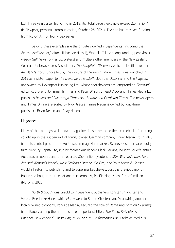Ltd. Three years after launching in 2018, its "total page views now exceed 2.5 million" (P. Newport, personal communication, October 26, 2021). The site has received funding from NZ On Air for four video series.

Beyond these examples are the privately owned independents, including the *Akaroa Mail* (owner/editor Michael de Hamel), Waiheke Island's longstanding pennybook weekly *Gulf News* (owner Liz Waters) and multiple other members of the New Zealand Community Newspapers Association. *The Rangitoto Observer*, which helps fill a void on Auckland's North Shore left by the closure of the *North Shore Times*, was launched in 2019 as a sister paper to *The Devonport Flagstaff.* Both the *Observer* and the *Flagstaff* are owned by Devonport Publishing Ltd, whose shareholders are longstanding *Flagstaff* editor Rob Drent, Johanna Hammer and Peter Wilson. In east Auckland, Times Media Ltd publishes *Howick and Pakuranga Times* and *Botany and Ormiston Times.* The newspapers and Times Online are edited by Nick Krause. Times Media is owned by long-time publishers Brian Neben and Reay Neben.

#### **Magazines**

Many of the country's well-known magazine titles have made their comeback after being caught up in the sudden exit of family-owned German company Bauer Media Ltd in 2020 from its central place in the Australasian magazine market. Sydney-based private equity firm Mercury Capital Ltd, run by former Aucklander Clark Perkins, bought Bauer's entire Australasian operations for a reported \$50 million (Reuters, 2020). *Woman's Day, New Zealand Woman's Weekly, New Zealand Listener, Kia Ora,* and *Your Home & Garden* would all return to publishing and to supermarket shelves. Just the previous month, Bauer had bought the titles of another company, Pacific Magazines, for \$40 million (Murphy, 2020)

*North & South* was onsold to independent publishers Konstantin Richter and Verena Friederike Hasel, while *Metro* went to Simon Chesterman. Meanwhile, another locally owned company, Parkside Media, secured the sale of *Home* and *Fashion Quarterly* from Bauer, adding them to its stable of specialist titles: *The Shed, D-Photo, Auto Channel, New Zealand Classic Car, NZV8,* and *NZ Performance Car.* Parkside Media is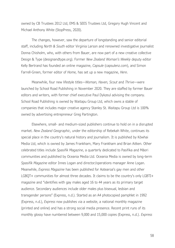owned by CB Trustees 2012 Ltd, EMS & SEES Trustees Ltd, Gregory Hugh Vincent and Michael Anthony White (StopPress, 2020).

The changes, however, saw the departure of longstanding and senior editorial staff, including *North & South* editor Virginia Larson and renowned investigative journalist Donna Chisholm, who, with others from Bauer, are now part of a new creative collective Design & Type (designandtype.org). Former *New Zealand Woman's Weekly* deputy editor Kelly Bertrand has founded an online magazine, *Capsule* (capsulenz.com), and Simon Farrell-Green, former editor of *Home,* has set up a new magazine, *Here*.

Meanwhile, four new lifestyle titles—*Woman, Haven, Scout* and *Thrive—*were launched by School Road Publishing in November 2020. They are staffed by former Bauer editors and writers, with former chief executive Paul Dykzeul advising the company. School Road Publishing is owned by Waitapu Group Ltd, which owns a stable of companies that includes major creative agency Stanley St. Waitapu Group Ltd is 100% owned by advertising entrepreneur Greg Partington.

Elsewhere, small- and medium-sized publishers continue to hold on in a disrupted market. *New Zealand Geographic*, under the editorship of Rebekah White, continues its special place in the country's natural history and journalism. It is published by Kōwhai Media Ltd, which is owned by James Frankham, Mary Frankham and Brian Aitken. Other celebrated titles include *Spasifik Magazine*, a quarterly dedicated to Pasifika and Māori communities and published by Oceania Media Ltd. Oceania Media is owned by long-term *Spasifik Magazine* editor Innes Logan and director/operations manager Anne Logan. Meanwhile, *Express Magazine* has been published for Aotearoa's gay men and other LGBQT+ communities for almost three decades. It claims to be the country's only LGBTI+ magazine and "identifies with gay males aged 16 to 44 years as its primary target audience. Secondary audiences include older males plus bisexual, lesbian and transgender persons" (Express, n.d.). Started as an A4 photocopied pamphlet in 1992 (Express, n.d.), *Express* now publishes via a website, a national monthly magazine (printed and online) and has a strong social media presence. Recent print runs of its monthly glossy have numbered between 9,000 and 15,000 copies (Express, n.d.). *Express*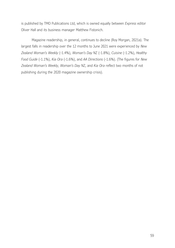is published by TMO Publications Ltd, which is owned equally between *Express* editor Oliver Hall and its business manager Matthew Fistonich.

Magazine readership, in general, continues to decline (Roy Morgan, 2021a). The largest falls in readership over the 12 months to June 2021 were experienced by *New Zealand Woman's Weekly* (-1.4%), *Woman's Day* NZ (-1.8%), *Cuisine* (-1.2%), *Healthy Food Guide* (-1.1%), *Kia Ora* (-1.6%), and *AA Directions* (-1.6%). (The figures for *New Zealand Woman's Weekly, Woman's Day* NZ, and *Kia Ora* reflect two months of not publishing during the 2020 magazine ownership crisis).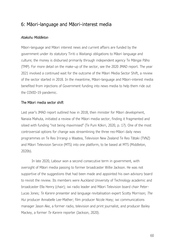# 6: Māori-language and Māori-interest media

# *Atakohu Middleton*

Māori-language and Māori interest news and current affairs are funded by the government under its statutory Tiriti o Waitangi obligations to Māori language and culture; the money is disbursed primarily through independent agency Te Māngai Pāho (TMP). For more detail on the make-up of the sector, see the 2020 JMAD report. The year 2021 involved a continued wait for the outcome of the Māori Media Sector Shift, a review of the sector started in 2018. In the meantime, Māori-language and Māori-interest media benefited from injections of Government funding into news media to help them ride out the COVID-19 pandemic.

## The Māori media sector shift

Last year's JMAD report outlined how in 2018, then minister for Māori development, Nanaia Mahuta, initiated a review of the Māori media sector, finding it fragmented and siloed with funding "not being maximised" (Te Puni Kōkiri, 2020, p. 17). One of the most controversial options for change was streamlining the three reo-Māori daily news programmes on Te Reo Irirangi o Waatea, Television New Zealand Te Reo Tātaki (TVNZ) and Māori Television Service (MTS) into one platform, to be based at MTS (Middleton, 2020b).

In late 2020, Labour won a second consecutive term in government, with oversight of Māori media passing to former broadcaster Willie Jackson. He was not supportive of the suggestions that had been made and appointed his own advisory board to revisit the review. Its members were Auckland University of Technology academic and broadcaster Ella Henry (chair); iwi radio leader and Māori Television board chair Peter-Lucas Jones; *Te Karere* presenter and language revitalisation expert Scotty Morrison; *The Hui* producer Annabelle Lee-Mather; film producer Nicole Hoey; iwi communications manager Jason Ake, a former radio, television and print journalist, and producer Bailey Mackey, a former *Te Karere* reporter (Jackson, 2020).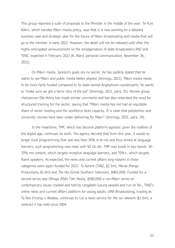This group reported a suite of proposals to the Minister in the middle of the year. Te Puni Kōkiri, which handles Māori media policy, says that it is now working on a detailed business case and strategic plan for the future of Māori broadcasting and media that will go to the minister in early 2022. However, the detail will not be released until after the highly anticipated announcement on the amalgamation of state broadcasters RNZ and TVNZ, expected in February 2022 (N. Ward, personal communication, November 26, 2021).

On Māori media, Jackson's goals are no secret. He has publicly stated that he wants to see Māori and public media better aligned (Jennings, 2021). Māori media needs to be more fairly funded compared to its state-owned Anglophone counterparts: he wants to "make sure we get a fairer slice of the pie" (Jennings, 2021, para. 31). Review group chairperson Ella Henry has made similar comments and has also reiterated the need for structured training for the sector, saying that "Māori media has not had an equitable share of sector funding and the workforce lacks capacity. It is clear that polytechnic and university courses have been under-delivering for Māori" (Jennings, 2021, para. 24).

In the meantime, TMP, which has become platform-agnostic given the realities of the digital age, continues its work. The agency decided that from this year, it would no longer fund programming that was less than 30% in te reo and thus aimed at language learners; such programming now rests with NZ On Air. TMP now funds in two bands: 30- 70% reo content, which targets receptive language learners, and 70%+, which targets fluent speakers. As expected, the news and current affairs long-stayers in those categories were again funded for 2022: *Te Karere* (TVNZ, \$2.5m); *Marae* (Pango Productions, \$1.6m) and *The Hui* (Great Southern Television, \$965,000). Funded for a second series was *Ohinga* (Mahi Tahi Media, \$500,000) a reo-Māori series on contemporary issues created and told by rangatahi (young people) and run on Re:, TVNZ's online news and current affairs platform for young adults. UMA Broadcasting, trading as Te Reo Irirangi o Waatea, continues to run a news service for the iwi network (\$1.6m), a contract it has held since 2004.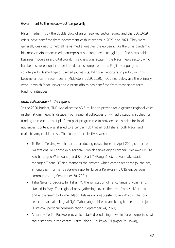# Government to the rescue—but temporarily

Māori media, hit by the double blow of an unresolved sector review and the COVID-19 crisis, have benefited from government cash injections in 2020 and 2021. They were generally designed to help all news media weather the epidemic. As the time pandemic hit, many mainstream media enterprises had long been struggling to find sustainable business models in a digital world. This crisis was acute in the Māori news sector, which has been severely underfunded for decades compared to its English-language state counterparts. A shortage of trained journalists, bilingual reporters in particular, has become critical in recent years (Middleton, 2019, 2020c). Outlined below are the primary ways in which Māori news and current affairs has benefited from these short-term funding initiatives.

## *News collaboration in the regions*

In the 2020 Budget, TMP was allocated \$3.5 million to provide for a greater regional voice in the national news landscape. Four regional collectives of iwi radio stations applied for funding to mount a multiplatform pilot programme to provide local stories for local audiences. Content was shared to a central hub that all publishers, both Māori and mainstream, could access. The successful collectives were:

- Te Reo o Te Uru, which started producing news stories in April 2021, comprises iwi stations Te Korimako o Taranaki, which serves eight Taranaki iwi; Awa FM (Te Reo Irirangi o Whanganui) and Kia Ora FM (Rangitāne). Te Korimako station manager Tipene O'Brien manages the project, which comprises three journalists, among them former *Te Karere* reporter Eruera Rerekura (T. O'Brien, personal communication, September 30, 2021).
- Tahu News, broadcast by Tahu FM, the iwi station of Te Rūnanga o Ngāi Tahu, started in May. The regional newsgathering covers the area from Kaikōura south and is overseen by former Māori Television broadcaster Julian Wilcox. The four reporters are all bilingual Ngāi Tahu rangatahi who are being trained on the job (J. Wilcox, personal communication, September 24, 2021).
- Aukaha Te Tai Puukoorero, which started producing news in June, comprises iwi radio stations in the central North Island: Raukawa FM (Ngāti Raukawa),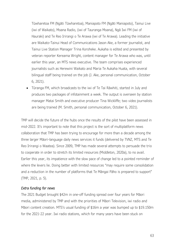Tūwharetoa FM (Ngāti Tūwharetoa), Maniapoto FM (Ngāti Maniapoto), Tainui Live (iwi of Waikato), Moana Radio, (iwi of Tauranga Moana), Ngā Iwi FM (iwi of Hauraki) and Te Reo Irirangi o Te Arawa (iwi of Te Arawa). Leading the initiative are Waikato-Tainui Head of Communications Jason Ake, a former journalist, and Tainui Live Station Manager Trina Koroheke. Aukaha is edited and presented by veteran reporter Kereama Wright, content manager for Te Arawa who was, until earlier this year, an MTS news executive. The team comprises experienced journalists such as Herewini Waikato and Maria Te Aukaha Huata, with several bilingual staff being trained on the job (J. Ake, personal communication, October 6, 2021).

• Tūranga FM, which broadcasts to the iwi of Te Tai Rāwhiti, started in July and produces two packages of infotainment a week. The output is overseen by station manager Matai Smith and executive producer Tina Wickliffe; two video journalists are being trained (M. Smith, personal communication, October 6, 2021).

TMP will decide the future of the hubs once the results of the pilot have been assessed in mid-2022. It's important to note that this project is the sort of multiplatform news collaboration that TMP has been trying to encourage for more than a decade among the three larger Māori-language daily news services it funds (delivered by TVNZ, MTS and Te Reo Irirangi o Waatea). Since 2009, TMP has made several attempts to persuade the trio to cooperate in order to stretch its limited resources (Middleton, 2020a), to no avail. Earlier this year, its impatience with the slow pace of change led to a pointed reminder of where the levers lie. Doing better with limited resources "may require some consolidation and a reduction in the number of platforms that Te Māngai Pāho is prepared to support" (TMP, 2021, p. 5).

## *Extra funding for news*

The 2021 Budget brought \$42m in one-off funding spread over four years for Māori media, administered by TMP and with the priorities of Māori Television, iwi radio and Māori content creation. MTS's usual funding of \$16m a year was bumped up to \$19.150m for the 2021-22 year. Iwi radio stations, which for many years have been stuck on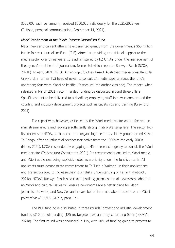\$500,000 each per annum, received \$600,000 individually for the 2021-2022 year (T. Hood, personal communication, September 14, 2021).

#### *Māori involvement in the Public Interest Journalism Fund*

Māori news and current affairs have benefited greatly from the government's \$55 million Public Interest Journalism Fund (PIJF), aimed at providing transitional support to the media sector over three years. It is administered by NZ On Air under the management of the agency's first head of journalism, former television reporter Raewyn Rasch (NZOA, 2021b). In early 2021, NZ On Air engaged Sydney-based, Australian media consultant Hal Crawford, a former TV3 head of news, to consult 24 media experts about the fund's operation; four were Māori or Pacific. (Disclosure: the author was one). The report, when released in March 2021, recommended funding be disbursed around three pillars: Specific content to be delivered to a deadline; employing staff in newsrooms around the country; and industry development projects such as cadetships and training (Crawford, 2021).

The report was, however, criticised by the Māori media sector as too focused on mainstream media and lacking a sufficiently strong Tiriti o Waitangi lens. The sector took its concerns to NZOA, at the same time organising itself into a lobby group named Kawea Te Rongo, after an influential predecessor active from the 1980s to the early 2000s (Mane, 2021). NZOA responded by engaging a Māori research agency to consult the Māori media sector (Te Amokura Consultants, 2021). Its recommendations led to Māori media and Māori audiences being explicitly noted as a priority under the fund's criteria. All applicants must demonstrate commitment to Te Tiriti o Waitangi in their applications and are encouraged to increase their journalists' understanding of Te Tiriti (Peacock, 2021c). NZOA's Raewyn Rasch said that "upskilling journalists in all newsrooms about te ao Māori and cultural issues will ensure newsrooms are a better place for Māori journalists to work, and New Zealanders are better informed about issues from a Māori point of view" (NZOA, 2021c, para. 14).

The PIJF funding is distributed in three rounds: project and industry development funding (\$10m); role funding (\$25m); targeted role and project funding (\$20m) (NZOA, 2021a). The first round was announced in July, with 40% of funding going to projects to

64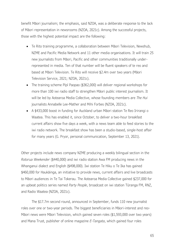benefit Māori journalism; the emphasis, said NZOA, was a deliberate response to the lack of Māori representation in newsrooms (NZOA, 2021c). Among the successful projects, those with the highest potential impact are the following:

- Te Rito training programme, a collaboration between Māori Television, Newshub, NZME and Pacific Media Network and 11 other media organisations. It will train 25 new journalists from Māori, Pacific and other communities traditionally underrepresented in media. Ten of that number will be fluent speakers of te reo and based at Māori Television. Te Rito will receive \$2.4m over two years (Māori Television Service, 2021; NZOA, 2021c).
- The training scheme Pīpī Paopao (\$362,000) will deliver regional workshops for more than 100 iwi radio staff to strengthen Māori public interest journalism. It will be led by [Aotearoa Media Collective,](https://abcnews.go.com/US/wireStory/alden-puts-stamp-tribune-debt-leadership-77923304) whose founding members are *The Hui* journalists Annabelle Lee-Mather and Mihi Forbes (NZOA, 2021c).
- A \$433,000 boost in funding for Auckland urban Māori station Te Reo Irirangi o Waatea. This has enabled it, since October, to deliver a two-hour breakfast current affairs show five days a week, with a news team able to feed stories to the iwi radio network. The breakfast show has been a studio-based, single-host affair for many years (G. Pryor, personal communication, September 13, 2021).

Other projects include news company NZME producing a weekly bilingual section in the *Rotorua Weekender* (\$440,000) and iwi radio station Awa FM producing news in the Whanganui dialect and English (\$498,000). Iwi station Te Hiku o Te Ika has gained \$460,000 for Haukāinga, an initiative to provide news, current affairs and live broadcasts to Māori audiences in Te Tai Tokerau. The Aotearoa Media Collective gained \$237,000 for an upbeat politics series named *Party People*, broadcast on iwi station Tūranga FM, RNZ, and Radio Waatea (NZOA, 2021c).

The \$17.7m second round, announced in September, funds 110 new journalist roles over one or two-year periods. The biggest beneficiaries in Māori-interest and reo-Māori news were Māori Television, which gained seven roles (\$1,593,000 over two years) and Mana Trust, publisher of online magazine *E-Tangata*, which gained four roles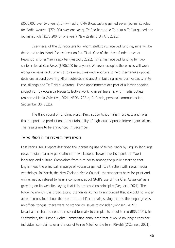(\$650,000 over two years). In iwi radio, UMA Broadcasting gained seven journalist roles for Radio Waatea (\$774,000 over one year). Te Reo Irirangi o Te Hiku o Te Ika gained one journalist role (\$176,200 for one year) (New Zealand On Air, 2021c).

Elsewhere, of the 20 reporters for whom stuff.co.nz received funding, nine will be dedicated to its Māori-focused section Pou Tiaki. One of the three funded roles at Newshub is for a Māori reporter (Peacock, 2021). TVNZ has received funding for two senior roles at *One News* (\$206,000 for a year). Whoever occupies those roles will work alongside news and current affairs executives and reporters to help them make optimal decisions around covering Māori subjects and assist in building newsroom capacity in te reo, tikanga and Te Tiriti o Waitangi. These appointments are part of a larger ongoing project run by Aotearoa Media Collective working in partnership with media outlets (Aotearoa Media Collective, 2021, NZOA, 2021c; R. Rasch, personal communication, September 30, 2021).

The third round of funding, worth \$9m, supports journalism projects and roles that support the production and sustainability of high-quality public-interest journalism. The results are to be announced in December.

#### Te reo Māori in mainstream news media

Last year's JMAD report described the increasing use of te reo Māori by English-language news media as a new generation of news leaders showed overt support for Maori language and culture. Complaints from a minority among the public asserting that English was the principal language of Aotearoa gained little traction with news media watchdogs. In March, the New Zealand Media Council, the standards body for print and online media, refused to hear a complaint about Stuff's use of "Kia Ora, Aotearoa" as a greeting on its website, saying that this breached no principles (Deguara, 2021). The following month, the Broadcasting Standards Authority announced that it would no longer accept complaints about the use of te reo Māori on air, saying that as the language was an official tongue, there were no standards issues to consider (Johnsen, 2021); broadcasters had no need to respond formally to complaints about te reo (BSA 2021). In September, the Human Rights Commission announced that it would no longer consider individual complaints over the use of te reo Māori or the term Pākehā (O'Connor, 2021).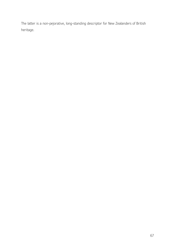The latter is a non-pejorative, long-standing descriptor for New Zealanders of British heritage.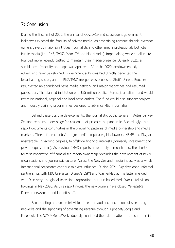# 7: Conclusion

During the first half of 2020, the arrival of COVID-19 and subsequent government lockdowns exposed the fragility of private media. As advertising revenue shrank, overseas owners gave up major print titles; journalists and other media professionals lost jobs. Public media (i.e., RNZ, TVNZ, Māori TV and Māori radio) limped along while smaller sites founded more recently battled to maintain their media presence. By early 2021, a semblance of stability and hope was apparent. After the 2020 lockdown ended, advertising revenue returned. Government subsidies had directly benefited the broadcasting sector, and an RNZ/TVNZ merger was proposed. Stuff's Sinead Boucher resurrected an abandoned news media network and major magazines had resumed publication. The planned institution of a \$55 million public interest journalism fund would revitalise national, regional and local news outlets. The fund would also support projects and industry training programmes designed to advance Māori journalism.

Behind these positive developments, the journalistic public sphere in Aotearoa New Zealand remains under siege for reasons that predate the pandemic. Accordingly, this report documents continuities in the prevailing patterns of media ownership and media markets. Three of the country's major media corporates, Mediaworks, NZME and Sky, are answerable, in varying degrees, to offshore financial interests (primarily investment and private equity firms). As previous JMAD reports have amply demonstrated, the shorttermist imperative of financialised media ownership precludes the development of news organisations and journalistic culture. Across the New Zealand media industry as a whole, international corporates continue to exert influence. During 2021, Sky developed informal partnerships with NBC Universal, Disney's ESPN and WarnerMedia. The latter merged with Discovery, the global television corporation that purchased MediaWorks' television holdings in May 2020. As this report notes, the new owners have closed *Newshub's* Dunedin newsroom and laid off staff.

Broadcasting and online television faced the audience incursions of streaming networks and the siphoning of advertising revenue through Alphabet/Google and Facebook. The NZME-MediaWorks duopoly continued their domination of the commercial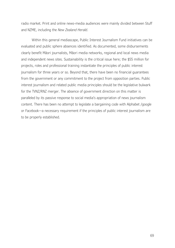radio market. Print and online news-media audiences were mainly divided between Stuff and NZME, including the *New Zealand Herald*.

Within this general mediascape, Public Interest Journalism Fund initiatives can be evaluated and public sphere absences identified. As documented, some disbursements clearly benefit Māori journalists, Māori media networks, regional and local news media and independent news sites. Sustainability is the critical issue here; the \$55 million for projects, roles and professional training instantiate the principles of public interest journalism for three years or so. Beyond that, there have been no financial guarantees from the government or any commitment to the project from opposition parties. Public interest journalism and related public media principles should be the legislative bulwark for the TVNZ/RNZ merger. The absence of government direction on this matter is paralleled by its passive response to social media's appropriation of news journalism content. There has been no attempt to legislate a bargaining code with Alphabet /google or Facebook—a necessary requirement if the principles of public interest journalism are to be properly established.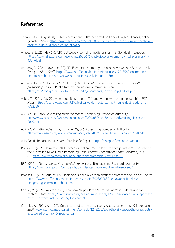## References

- 1news. (2021, August 31). TVNZ records near \$60m net profit on back of high audiences, online growth. *1News*. [https://www.1news.co.nz/2021/08/30/tvnz-records-near-60m-net-profit-on](https://www.1news.co.nz/2021/08/30/tvnz-records-near-60m-net-profit-on-back-of-high-audiences-online-growth/)[back-of-high-audiences-online-growth/](https://www.1news.co.nz/2021/08/30/tvnz-records-near-60m-net-profit-on-back-of-high-audiences-online-growth/)
- Aljazeera. (2021, May 17). AT&T, Discovery combine media brands in \$43bn deal. *Aljazeera*. [https://www.aljazeera.com/economy/2021/5/17/att-discovery-combine-media-brands-in-](https://www.aljazeera.com/economy/2021/5/17/att-discovery-combine-media-brands-in-43bn-deal)[43bn-deal](https://www.aljazeera.com/economy/2021/5/17/att-discovery-combine-media-brands-in-43bn-deal)
- Anthony, J. (2021, November 30). NZME enters deal to buy business news website BusinessDesk for up to \$5m. *Stuff.* [https://www.stuff.co.nz/business/industries/127135693/nzme-enters](https://www.stuff.co.nz/business/industries/127135693/nzme-enters-deal-to-buy-business-news-website-businessdesk-for-up-to-5m)[deal-to-buy-business-news-website-businessdesk-for-up-to-5m](https://www.stuff.co.nz/business/industries/127135693/nzme-enters-deal-to-buy-business-news-website-businessdesk-for-up-to-5m)
- Aotearoa Media Collective. (2021, June 9). *Building cultural capacity in broadcasting with partnership editors*. Public Interest Journalism Summit, Auckland. [https://d3r9t6niqlb7tz.cloudfront.net/media/documents/Partnership\\_Editors.pdf](https://d3r9t6niqlb7tz.cloudfront.net/media/documents/Partnership_Editors.pdf)
- Arbel, T. (2021, May 27). Alden puts its stamp on Tribune with new debt and leadership. *ABC News*. [https://abcnews.go.com/US/wireStory/alden-puts-stamp-tribune-debt-leadership-](https://abcnews.go.com/US/wireStory/alden-puts-stamp-tribune-debt-leadership-77923304)[77923304](https://abcnews.go.com/US/wireStory/alden-puts-stamp-tribune-debt-leadership-77923304)
- ASA. (2020). *2019 Advertising turnover report*. Advertising Standards Authority. [http://www.asa.co.nz/wp-content/uploads/2020/05/New-Zealand-Advertising-Turnover-](http://www.asa.co.nz/wp-content/uploads/2020/05/New-Zealand-Advertising-Turnover-2019.pdf)[2019.pdf](http://www.asa.co.nz/wp-content/uploads/2020/05/New-Zealand-Advertising-Turnover-2019.pdf)
- ASA. (2021). *2020 Advertising Turnover Report*. Advertising Standards Authority. <http://www.asa.co.nz/wp-content/uploads/2021/03/NZ-Advertising-Turnover-2020.pdf>

Asia Pacific Report. (n.d.). *About*. Asia Pacific Report.<https://asiapacificreport.nz/about/>

- Brevini, B. (2021). Private deals between digital and media lords to save journalism: The case of the Australian News Media Bargaining Code. *Political Economy of Communication*, *9*(1), 84- 87.<https://www.polecom.org/index.php/polecom/article/view/139/371>
- BSA. (2021). *Complaints that are unlikely to succeed*. Broadcasting Standards Authority. <https://www.bsa.govt.nz/complaints/complaints-that-are-unlikely-to-succeed/>
- Brookes, E. (2021, August 12). MediaWorks fined over 'denigrating' comments about Māori. *Stuff*. [https://www.stuff.co.nz/entertainment/tv-radio/300380983/mediaworks-fined-over](https://www.stuff.co.nz/entertainment/tv-radio/300380983/mediaworks-fined-over-denigrating-comments-about-mori)[denigrating-comments-about-mori](https://www.stuff.co.nz/entertainment/tv-radio/300380983/mediaworks-fined-over-denigrating-comments-about-mori)
- Carroll, M. (2021, November 26). Facebook 'support' for NZ media won't include paying for content. *Stuff.* [https://www.stuff.co.nz/business/industries/126879547/facebook-support-for](https://www.stuff.co.nz/business/industries/126879547/facebook-support-for-nz-media-wont-include-paying-for-content)[nz-media-wont-include-paying-for-content](https://www.stuff.co.nz/business/industries/126879547/facebook-support-for-nz-media-wont-include-paying-for-content)
- Chumko, A. (2021, April 20). On the air, but at the grassroots: Access radio turns 40 in Aotearoa. *Stuff.* [www.stuff.co.nz/entertainment/tv-radio/124828579/on-the-air-but-at-the-grassroots](http://www.stuff.co.nz/entertainment/tv-radio/124828579/on-the-air-but-at-the-grassroots-access-radio-turns-40-in-aotearoa)[access-radio-turns-40-in-aotearoa](http://www.stuff.co.nz/entertainment/tv-radio/124828579/on-the-air-but-at-the-grassroots-access-radio-turns-40-in-aotearoa)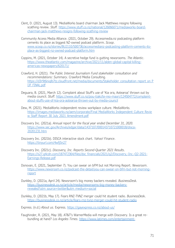- Clent, D. (2021, August 13). MediaWorks board chairman Jack Matthews resigns following scathing review. *Stuff.* [https://www.stuff.co.nz/national/126066071/mediaworks-board](https://www.stuff.co.nz/national/126066071/mediaworks-board-chairman-jack-matthews-resigns-following-scathing-review)[chairman-jack-matthews-resigns-following-scathing-review](https://www.stuff.co.nz/national/126066071/mediaworks-board-chairman-jack-matthews-resigns-following-scathing-review)
- Community Access Media Alliance. (2021, October 29). Accessmedia.nz podcasting platform cements its place as biggest NZ-owned podcast platform. *Scoop*. [www.scoop.co.nz/stories/BU2110/S00736/accessmedianz-podcasting-platform-cements-its](http://www.scoop.co.nz/stories/BU2110/S00736/accessmedianz-podcasting-platform-cements-its-place-as-biggest-nz-owned-podcast-platform.htm)[place-as-biggest-nz-owned-podcast-platform.htm](http://www.scoop.co.nz/stories/BU2110/S00736/accessmedianz-podcasting-platform-cements-its-place-as-biggest-nz-owned-podcast-platform.htm)
- Coppins, M. (2021, October 14). A secretive hedge fund is gutting newsrooms. *The Atlantic*. [https://www.theatlantic.com/magazine/archive/2021/11/alden-global-capital-killing](https://www.theatlantic.com/magazine/archive/2021/11/alden-global-capital-killing-americas-newspapers/620171/)[americas-newspapers/620171/](https://www.theatlantic.com/magazine/archive/2021/11/alden-global-capital-killing-americas-newspapers/620171/)
- Crawford, H. (2021). *The Public Interest Journalism Fund stakeholder consultation and recommendations: Summary*. Crawford Media Consulting. [https://d3r9t6niqlb7tz.cloudfront.net/media/documents/Stakeholder\\_consultation\\_report\\_on\\_P](https://d3r9t6niqlb7tz.cloudfront.net/media/documents/Stakeholder_consultation_report_on_PIJF_FINAL.pdf) [IJF\\_FINAL.pdf](https://d3r9t6niqlb7tz.cloudfront.net/media/documents/Stakeholder_consultation_report_on_PIJF_FINAL.pdf)
- Deguara, B. (2021, March 12). Complaint about Stuff's use of 'Kia ora, Aotearoa' thrown out by media council. *Stuff*. [https://www.stuff.co.nz/pou-tiaki/te-reo-maori/124504772/complaint](https://www.stuff.co.nz/pou-tiaki/te-reo-maori/124504772/complaint-about-stuffs-use-of-kia-ora-aotearoa-thrown-out-by-media-council)[about-stuffs-use-of-kia-ora-aotearoa-thrown-out-by-media-council](https://www.stuff.co.nz/pou-tiaki/te-reo-maori/124504772/complaint-about-stuffs-use-of-kia-ora-aotearoa-thrown-out-by-media-council)
- Dew, M. (2021). MediaWorks independent review workplace culture. *MediaWorks.* https://images.mediaworks.nz/aem/corporate/Final MediaWorks Independent Culture Revie [w\\_Staff\\_Report\\_30\\_July\\_2021\\_Amendment.pdf](https://images.mediaworks.nz/aem/corporate/Final_MediaWorks_Independent_Culture_Review_Staff_Report_30_July_2021_Amendment.pdf)
- Discovery Inc. (2021a). *Annual report for the fiscal year ended December 31, 2020.*  [https://www.sec.gov/Archives/edgar/data/1437107/000143710721000018/disca-](https://www.sec.gov/Archives/edgar/data/1437107/000143710721000018/disca-20201231.htm)[20201231.htm](https://www.sec.gov/Archives/edgar/data/1437107/000143710721000018/disca-20201231.htm)
- Discovery Inc. (2021b). DISCA interactive stock chart. *Yahoo! Finance*. <https://tinyurl.com/4wfj5n27>
- Discovery Inc. (2021c). *Discovery, Inc. Reports Second-Quarter 2021 Results*. [https://s27.q4cdn.com/187472364/files/doc\\_financials/2021/q2/Discovery,-Inc.-Q2-2021-](https://s27.q4cdn.com/187472364/files/doc_financials/2021/q2/Discovery,-Inc.-Q2-2021-Earnings-Release.pdf) [Earnings-Release.pdf](https://s27.q4cdn.com/187472364/files/doc_financials/2021/q2/Discovery,-Inc.-Q2-2021-Earnings-Release.pdf)
- Donovan, E. (2021, September 7). You can swear on bFM but not Morning Report. *Newsroom*. [https://www.newsroom.co.nz/podcast-the-detail/you-can-swear-on-bfm-but-not-morning](https://www.newsroom.co.nz/podcast-the-detail/you-can-swear-on-bfm-but-not-morning-report)[report](https://www.newsroom.co.nz/podcast-the-detail/you-can-swear-on-bfm-but-not-morning-report)
- Dunkley, D. (2021a, April 24). Newsroom's big money backers revealed. *BusinessDesk.*  [https://businessdesk.co.nz/article/media/newsrooms-big-money-backers](https://businessdesk.co.nz/article/media/newsrooms-big-money-backers-revealed?utm_source=twitter&utm_medium=social)[revealed?utm\\_source=twitter&utm\\_medium=social](https://businessdesk.co.nz/article/media/newsrooms-big-money-backers-revealed?utm_source=twitter&utm_medium=social)
- Dunkley, D. (2021b, May 17). Fears RNZ-TVNZ merger could hit student radio. *BusinessDes*k. <https://businessdesk.co.nz/article/fears-rnz-tvnz-merger-could-hit-student-radio>
- Express. (n.d.) *About us.* Express.<https://gayexpress.co.nz/about-us/>
- Faughinder, R. (2021, May 18). AT&T's WarnerMedia will merge with Discovery. Is a great rebundling at hand? *Los Angeles Times*. [https://www.latimes.com/entertainment-](https://www.latimes.com/entertainment-arts/business/newsletter/2021-05-18/too-many-streaming-services-great-rebundling-the-wide-shot)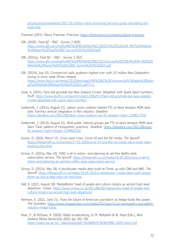[arts/business/newsletter/2021-05-18/too-many-streaming-services-great-rebundling-the](https://www.latimes.com/entertainment-arts/business/newsletter/2021-05-18/too-many-streaming-services-great-rebundling-the-wide-shot)[wide-shot](https://www.latimes.com/entertainment-arts/business/newsletter/2021-05-18/too-many-streaming-services-great-rebundling-the-wide-shot)

Freeview (2021). About Freeview. *Freeview*.<https://freeviewnz.tv/company/about-freeview/>

- GfK. (2020). *Total NZ - RNZ - Survey 3 2020*. [https://www.gfk.com/hubfs/ANZ%20MEDIA/NZ/RNZ/2020/S3%202020/GfK\\_RNZ%20Website](https://www.gfk.com/hubfs/ANZ%20MEDIA/NZ/RNZ/2020/S3%202020/GfK_RNZ%20Website%20Report%20Total%20NZ_Survey%203%202020.pdf) [%20Report%20Total%20NZ\\_Survey%203%202020.pdf](https://www.gfk.com/hubfs/ANZ%20MEDIA/NZ/RNZ/2020/S3%202020/GfK_RNZ%20Website%20Report%20Total%20NZ_Survey%203%202020.pdf)
- GfK. (2021a). *Total NZ – RNZ – Survey 3 2021*. [https://www.gfk.com/hubfs/ANZ%20MEDIA/NZ/RNZ/2021/Survey%203/h8n%20GfK\\_RNZ%20](https://www.gfk.com/hubfs/ANZ%20MEDIA/NZ/RNZ/2021/Survey%203/h8n%20GfK_RNZ%20Website%20Report%20Total%20NZ_Survey%203%202021.pdf) [Website%20Report%20Total%20NZ\\_Survey%203%202021.pdf](https://www.gfk.com/hubfs/ANZ%20MEDIA/NZ/RNZ/2021/Survey%203/h8n%20GfK_RNZ%20Website%20Report%20Total%20NZ_Survey%203%202021.pdf)
- GfK. (2021b, July 15). *Commercial radio audience highest ever with 3.5 million New Zealanders tuning in every week* [Press release]. [https://www.rba.co.nz/media/2322/download/GfK%20NZ%20Commercial%20Radio%20Ratin](https://www.rba.co.nz/media/2322/download/GfK%20NZ%20Commercial%20Radio%20Ratings%20Media%20Release%20S2%202021.pdf?v=1) [gs%20Media%20Release%20S2%202021.pdf?v=1](https://www.rba.co.nz/media/2322/download/GfK%20NZ%20Commercial%20Radio%20Ratings%20Media%20Release%20S2%202021.pdf?v=1)
- Goile, A. (2021). Fans still grumble but New Zealand Cricket 'delighted' with Spark Sport numbers*. Stuff.* [https://www.stuff.co.nz/sport/cricket/123962917/fans-still-grumble-but-new-zealand](https://www.stuff.co.nz/sport/cricket/123962917/fans-still-grumble-but-new-zealand-cricket-delighted-with-spark-sport-numbers)[cricket-delighted-with-spark-sport-numbers](https://www.stuff.co.nz/sport/cricket/123962917/fans-still-grumble-but-new-zealand-cricket-delighted-with-spark-sport-numbers)
- Goldsmith, J. (2021a, August 11). Labour union coalition lobbies FTC to block Amazon MGM deal: Sees 'harmful vertical integration in film industry. *Deadline*. <https://deadline.com/2021/08/labor-union-coalition-soc-ftc-amazon-mgm-1234812754/>
- Goldsmith, J. (2021b, August 31). WGA public interest groups ask FTC to block Amazon MGM deal: Slam 'Clear pattern of monopolistic practices'. *Deadline*. [https://deadline.com/2021/08/wga](https://deadline.com/2021/08/wga-ftc-amazon-mgm-merger-1234825214/)[ftc-amazon-mgm-merger-1234825214/](https://deadline.com/2021/08/wga-ftc-amazon-mgm-merger-1234825214/)
- Greive, D. (2020, March 17). Crisis upon crisis: Covid-19 and the NZ media. *The Spinoff*. [https://thespinoff.co.nz/business/17-03-2020/covid-19-and-the-nz-media-weve-never-seen](https://thespinoff.co.nz/business/17-03-2020/covid-19-and-the-nz-media-weve-never-seen-anything-like-this/)[anything-like-this/](https://thespinoff.co.nz/business/17-03-2020/covid-19-and-the-nz-media-weve-never-seen-anything-like-this/)
- Grieve, D. (2021a, May 10). TVNZ is all in online- and planning an ad-free Netflix-style subscription service. *The Spinoff*. [https://thespinoff.co.nz/media/10-05-2021/tvnz-is-all-in](https://thespinoff.co.nz/media/10-05-2021/tvnz-is-all-in-online-and-planning-an-ad-free-netflix-style-subscription-service)[online-and-planning-an-ad-free-netflix-style-subscription-service](https://thespinoff.co.nz/media/10-05-2021/tvnz-is-all-in-online-and-planning-an-ad-free-netflix-style-subscription-service)
- Grieve, D. (2021b, May 18). A blockbuster media deal could tie Three up with CNN and HBO. *The Spinoff*. [https://thespinoff.co.nz/media/18-05-2021/a-blockbuster-media-deal-could-sweep](https://thespinoff.co.nz/media/18-05-2021/a-blockbuster-media-deal-could-sweep-three-up-into-a-deal-with-cnn-and-hbo/)[three-up-into-a-deal-with-cnn-and-hbo/](https://thespinoff.co.nz/media/18-05-2021/a-blockbuster-media-deal-could-sweep-three-up-into-a-deal-with-cnn-and-hbo/)
- Hall, K. (2021, August 18). MediaWorks' head of people and culture resigns as second high-level departure. *1news*. [https://www.1news.co.nz/2021/08/18/mediaworks-head-of-people-and](https://www.1news.co.nz/2021/08/18/mediaworks-head-of-people-and-culture-resigns-as-second-high-level-departure/)[culture-resigns-as-second-high-level-departure/](https://www.1news.co.nz/2021/08/18/mediaworks-head-of-people-and-culture-resigns-as-second-high-level-departure/)
- Helmore, E. (2021, June 21). Fears for future of American journalism as hedge funds flex power. *The Guardian*. [https://www.theguardian.com/media/2021/jun/21/us-newspapers-journalism](https://www.theguardian.com/media/2021/jun/21/us-newspapers-journalism-industry-hedge-funds)[industry-hedge-funds](https://www.theguardian.com/media/2021/jun/21/us-newspapers-journalism-industry-hedge-funds)
- Hoar, P., & McEwan, R. (2020). Radio broadcasting. In M. Myllylahti & W. Hope (Eds.), *New Zealand Media Ownership 2020*, (pp. 69—78). [https://www.aut.ac.nz/\\_\\_data/assets/pdf\\_file/0004/473638/JMAD-2020-report.pdf](https://www.aut.ac.nz/__data/assets/pdf_file/0004/473638/JMAD-2020-report.pdf)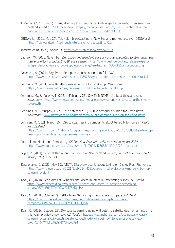- Hope, W. (2020, June 3). Crisis, disintegration and hope: Only urgent intervention can save New Zealand's media. *The Conversation*. [https://theconversation.com/crisis-disintegration-and](https://theconversation.com/crisis-disintegration-and-hope-only-urgent-intervention-can-save-new-zealands-media-139299)[hope-only-urgent-intervention-can-save-new-zealands-media-139299](https://theconversation.com/crisis-disintegration-and-hope-only-urgent-intervention-can-save-new-zealands-media-139299)
- IBISWorld. (2021, May 26). Television broadcasting in New Zealand market research. IBISWorld. <https://ibisworld.com/nz/industry/television-broadcasting/729/>

interest.co.nz. (n.d.). About us. [https://www.interest.co.nz/about-us](https://sales.tvnz.co.nz/)

- Jackson, W. (2020, November 25). *Expert independent advisory group appointed to strengthen the future of Māori broadcasting* [Press release]. [https://www.beehive.govt.nz/release/expert](https://www.beehive.govt.nz/release/expert-independent-advisory-group-appointed-strengthen-future-m%C4%81ori-broadcasting)[independent-advisory-group-appointed-strengthen-future-m%C4%81ori-broadcasting](https://www.beehive.govt.nz/release/expert-independent-advisory-group-appointed-strengthen-future-m%C4%81ori-broadcasting)
- Jacobson, A. (2021). Sky TV profits up, revenues continue to fall. *RNZ.* <https://www.rnz.co.nz/news/business/436975/sky-tv-profits-up-revenues-continue-to-fall>
- Jennings, M. (2021, June 8). Māori media in for a big shake-up. *Newsroom*. <https://www.newsroom.co.nz/page/mori-media-in-for-a-big-shake-up>
- Jennings, M., & Murphy, T. (2021a, February 25). Sky TV & NZME: Life by a thousand cuts. *Newsroom*. [https://www.newsroom.co.nz/mediaroom-sky-tv-and-nzme-cutting-their-way](https://www.newsroom.co.nz/mediaroom-sky-tv-and-nzme-cutting-their-way-to-growth)[to-growth](https://www.newsroom.co.nz/mediaroom-sky-tv-and-nzme-cutting-their-way-to-growth)
- Jennings, M. & Murphy, T. (2021b, September 10). Public demand sky-high for Covid news. *Newsroom*. [www.newsroom.co.nz/mediaroom-public-demand-sky-high-for-covid-news](http://www.newsroom.co.nz/mediaroom-public-demand-sky-high-for-covid-news)
- Johnsen, M. (2021, March 10). BSA to stop hearing complaints about te reo Māori on air. *Radio New Zealand*. [https://www.rnz.co.nz/national/programmes/morningreport/audio/2018786880/bsa-to-stop](https://www.rnz.co.nz/national/programmes/morningreport/audio/2018786880/bsa-to-stop-hearing-complaints-about-te-reo-maori-on-air)[hearing-complaints-about-te-reo-maori-on-air](https://www.rnz.co.nz/national/programmes/morningreport/audio/2018786880/bsa-to-stop-hearing-complaints-about-te-reo-maori-on-air)
- Journalism, Media and Democracy. (2020). *New Zealand media ownership report 2020.*  [https://www.aut.ac.nz/\\_\\_data/assets/pdf\\_file/0004/473638/JMAD-2020-report.pdf](https://www.aut.ac.nz/__data/assets/pdf_file/0004/473638/JMAD-2020-report.pdf)
- Joyce, Z. (2021). Student Radio: "A good friend of New Zealand music", *Journal of Radio & audio Media, 28*(1), 125-143.
- Kastrenakes, J. (2021, May 19). AT&T's Discovery deal is about taking on Disney Plus. *The Verge*. [https://www.theverge.com/2021/5/19/22444031/warnermedia-discovery-merger-hbo-max](https://www.theverge.com/2021/5/19/22444031/warnermedia-discovery-merger-hbo-max-streaming-giant)[streaming-giant](https://www.theverge.com/2021/5/19/22444031/warnermedia-discovery-merger-hbo-max-streaming-giant)
- Keall, C. (2021a, February 17). Winners and losers in latest NZ streaming survey. *NZ Herald*. [https://www.nzherald.co.nz/business/winners-and-losers-in-latest-nz-streaming](https://www.nzherald.co.nz/business/winners-and-losers-in-latest-nz-streaming-survey/VSI2MF6MITDXPO3VP2T7SMQL4A/)[survey/VSI2MF6MITDXPO3VP2T7SMQL4A/](https://www.nzherald.co.nz/business/winners-and-losers-in-latest-nz-streaming-survey/VSI2MF6MITDXPO3VP2T7SMQL4A/)
- Keall, C. (2021b, October 7). Netflix hikes NZ pricing how others compare. *NZ Herald*. [https://www.nzherald.co.nz/business/netflix-hikes-nz-pricing-how-others](https://www.nzherald.co.nz/business/netflix-hikes-nz-pricing-how-others-compare/6DR4B5Z3FZTOXYYDVQKMUR5QPQ/)[compare/6DR4B5Z3FZTOXYYDVQKMUR5QPQ/](https://www.nzherald.co.nz/business/netflix-hikes-nz-pricing-how-others-compare/6DR4B5Z3FZTOXYYDVQKMUR5QPQ/)
- Keall, C. (2021c, October 28). Sky says streaming gains will outstrip satellite decline for first time this year, previews new box. *NZ Herald*. [https://www.nzherald.co.nz/business/sky-says](https://www.nzherald.co.nz/business/sky-says-streaming-gains-will-outstrip-satellite-decline-for-first-time-this-year-previews-new-box/FC5Y6FWNLFBAG3ZVDYOKZA5JZ4/)[streaming-gains-will-outstrip-satellite-decline-for-first-time-this-year-previews-new](https://www.nzherald.co.nz/business/sky-says-streaming-gains-will-outstrip-satellite-decline-for-first-time-this-year-previews-new-box/FC5Y6FWNLFBAG3ZVDYOKZA5JZ4/)[box/FC5Y6FWNLFBAG3ZVDYOKZA5JZ4/](https://www.nzherald.co.nz/business/sky-says-streaming-gains-will-outstrip-satellite-decline-for-first-time-this-year-previews-new-box/FC5Y6FWNLFBAG3ZVDYOKZA5JZ4/)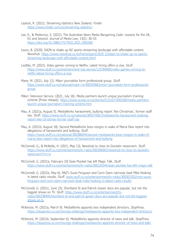Laylock, R. (2021). Streaming statistics New Zealand. *Finder*. <https://www.finder.com/nz/streaming-statistics>

- Lee, K., & Molitorisz, S. (2021). The Australian News Media Bargaining Code: Lessons for the UK, EU and beyond. *Journal of Media Law*, 13(1): 36-53. <https://doi.org/10.1080/17577632.2021.1963585>
- Lewis, B. (2020). DAZN to shake up NZ sports-streaming landscape with affordable content. *Newshub.* [https://www.newshub.co.nz/home/sport/2020 12/dazn-to-shake-up-nz-sports](https://www.newshub.co.nz/home/sport/2020%2012/dazn-to-shake-up-nz-sports-streaming-landscape-with-affordable-content.html)[streaming-landscape-with-affordable-content.html](https://www.newshub.co.nz/home/sport/2020%2012/dazn-to-shake-up-nz-sports-streaming-landscape-with-affordable-content.html)
- Liedtke, M. (2021). Video games coming to Netflix. Latest hiring offers a clue. *Stuff*. [https://www.stuff.co.nz/entertainment-top-stories/125784060/video-games-coming-to](https://www.stuff.co.nz/entertainment-top-stories/125784060/video-games-coming-to-netflix-latest-hiring-offers-a-clue)[netflix-latest-hiring-offers-a-clue](https://www.stuff.co.nz/entertainment-top-stories/125784060/video-games-coming-to-netflix-latest-hiring-offers-a-clue)
- Mane, M. (2021, July 12). Māori journalists form professional group. *Stuff.* [https://www.stuff.co.nz/national/maori-tv/300355663/mori-journalists-form-professional](https://www.stuff.co.nz/national/maori-tv/300355663/mori-journalists-form-professional-group)[group](https://www.stuff.co.nz/national/maori-tv/300355663/mori-journalists-form-professional-group)
- Māori Television Service. (2021, July 16). *Media partners launch unique journalism training scheme* [Press release]. [https://www.scoop.co.nz/stories/CU2107/S00108/media-partners](https://www.scoop.co.nz/stories/CU2107/S00108/media-partners-launch-unique-journalism-training-scheme.htm)[launch-unique-journalism-training-scheme.htm](https://www.scoop.co.nz/stories/CU2107/S00108/media-partners-launch-unique-journalism-training-scheme.htm)
- Mau, A. (2021a, August 5). MediaWorks harassment, bullying report 'like Christmas', former staff say. *Stuff*. [https://www.stuff.co.nz/national/300374567/mediaworks-harassment-bullying](https://www.stuff.co.nz/national/300374567/mediaworks-harassment-bullying-report-like-christmas-former-staff-say)[report-like-christmas-former-staff-say](https://www.stuff.co.nz/national/300374567/mediaworks-harassment-bullying-report-like-christmas-former-staff-say)
- Mau, A. (2021b, August 18). Second MediaWorks boss resigns in wake of Maria Dew report into allegations of harassment and bullying. *Stuff*. [https://www.stuff.co.nz/national/300386044/second-mediaworks-boss-resigns-in-wake-of](https://www.stuff.co.nz/national/300386044/second-mediaworks-boss-resigns-in-wake-of-maria-dew-report-into-allegations-of-harassment-and-bullying)[maria-dew-report-into-allegations-of-harassment-and-bullying](https://www.stuff.co.nz/national/300386044/second-mediaworks-boss-resigns-in-wake-of-maria-dew-report-into-allegations-of-harassment-and-bullying)
- McConnell, G., & McNeilly, H. (2021, May 13). Newshub to close its Dunedin newsroom. *Stuff*. [https://www.stuff.co.nz/entertainment/tv-radio/300306992/newshub-to-close-its-dunedin](https://www.stuff.co.nz/entertainment/tv-radio/300306992/newshub-to-close-its-dunedin-newsroom?rm=a)[newsroom?rm=a](https://www.stuff.co.nz/entertainment/tv-radio/300306992/newshub-to-close-its-dunedin-newsroom?rm=a)
- McConnell, G. (2021a, February 10) Sean Plunket has left Magic Talk. *Stuff*. <https://www.stuff.co.nz/entertainment/tv-radio/300226344/sean-plunket-has-left-magic-talk>
- McConnell, G. (2021b, May 6). RNZ's Susie Ferguson and Corin Dann narrowly beat Mike Hosking in latest radio results. *Stuff*. [www.stuff.co.nz/entertainment/tv-radio/300301555/rnzs-susie](http://www.stuff.co.nz/entertainment/tv-radio/300301555/rnzs-susie-ferguson-and-corin-dann-narrowly-beat-mike-hosking-in-latest-radio-results)[ferguson-and-corin-dann-narrowly-beat-mike-hosking-in-latest-radio-results](http://www.stuff.co.nz/entertainment/tv-radio/300301555/rnzs-susie-ferguson-and-corin-dann-narrowly-beat-mike-hosking-in-latest-radio-results)
- McConnell, G. (2021c, June 23). Shortland St and Patrick Gower doco are popular, but not the biggest shows on TV. *Stuff*. [https://www.stuff.co.nz/entertainment/tv](https://www.stuff.co.nz/entertainment/tv-radio/300338494/shortland-st-and-patrick-gower-doco-are-popular-but-not-the-biggest-shows-on-tv)[radio/300338494/shortland-st-and-patrick-gower-doco-are-popular-but-not-the-biggest](https://www.stuff.co.nz/entertainment/tv-radio/300338494/shortland-st-and-patrick-gower-doco-are-popular-but-not-the-biggest-shows-on-tv)[shows-on-tv](https://www.stuff.co.nz/entertainment/tv-radio/300338494/shortland-st-and-patrick-gower-doco-are-popular-but-not-the-biggest-shows-on-tv)

McKenzie, M. (2021a, March 9). MediaWorks appoints two independent directors. *StopPress*. <https://stoppress.co.nz/movings-shakings/mediaworks-appoints-two-independent-directors/>

McKenzie, M. (2021b, September 6). MediaWorks appoints director of news and talk. *StopPress*. <https://stoppress.co.nz/movings-shakings/mediaworks-appoints-director-of-news-and-talk/>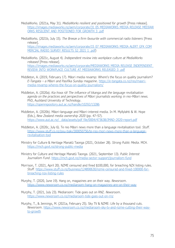- MediaWorks. (2021a, May 31). *MediaWorks resilient and positioned for growth* [Press release]. [https://images.mediaworks.nz/aem/corporate/31\\_05\\_MEDIAWORKS\\_MEDIA\\_RELEASE\\_MEDIAW](https://images.mediaworks.nz/aem/corporate/31_05_MEDIAWORKS_MEDIA_RELEASE_MEDIAWORKS_RESILIENT_AND_POSITIONED_FOR_GROWTH_3_.pdf) [ORKS\\_RESILIENT\\_AND\\_POSITIONED\\_FOR\\_GROWTH\\_3\\_.pdf](https://images.mediaworks.nz/aem/corporate/31_05_MEDIAWORKS_MEDIA_RELEASE_MEDIAWORKS_RESILIENT_AND_POSITIONED_FOR_GROWTH_3_.pdf)
- MediaWorks. (2021b, July 15). *The Breeze a firm favourite with commercial radio listeners* [Press release]. [https://images.mediaworks.nz/aem/corporate/15\\_07\\_MEDIAWORKS\\_MEDIA\\_ALERT\\_GFK\\_COM](http://nzx-prod-s7fsd7f98s.s3-website-ap-southeast-2.amazonaws.com/attachments/SKT/377874/353031.pdf) [MERCIAL\\_RADIO\\_SURVEY\\_RESULTS\\_S2\\_2021\\_1\\_.pdf\)](http://nzx-prod-s7fsd7f98s.s3-website-ap-southeast-2.amazonaws.com/attachments/SKT/377874/353031.pdf)
- MediaWorks. (2021c, August 4). *Independent review into workplace culture at MediaWorks released* [Press release]. [https://images.mediaworks.nz/aem/corporate/MEDIAWORKS\\_MEDIA\\_RELEASE\\_INDEPENDENT\\_](https://images.mediaworks.nz/aem/corporate/MEDIAWORKS_MEDIA_RELEASE_INDEPENDENT_REVIEW_INTO_WORKPLACE_CULTURE_AT_MEDIAWORKS_RELEASED_3_.pdf) [REVIEW\\_INTO\\_WORKPLACE\\_CULTURE\\_AT\\_MEDIAWORKS\\_RELEASED\\_3\\_.pdf](https://images.mediaworks.nz/aem/corporate/MEDIAWORKS_MEDIA_RELEASE_INDEPENDENT_REVIEW_INTO_WORKPLACE_CULTURE_AT_MEDIAWORKS_RELEASED_3_.pdf)
- Middleton, A. (2019, February 17). Māori media revamp: Where's the focus on quality journalism? *E-Tangata – a Māori and Pasifika Sunday magazine*. [https://e-tangata.co.nz/reo/maori](https://e-tangata.co.nz/reo/maori-media-revamp-wheres-the-focus-on-quality-journalism/)[media-revamp-wheres-the-focus-on-quality-journalism/](https://e-tangata.co.nz/reo/maori-media-revamp-wheres-the-focus-on-quality-journalism/)
- Middleton, A. (2020a). *Kia hiwa rā! The influence of tikanga and the language revitalisation agenda on the practices and perspectives of Māori journalists working in reo-Māori news.*  PhD, Auckland University of Technology. <https://openrepository.aut.ac.nz/handle/10292/13286>
- Middleton, A. (2020b). Māori-language and Māori-interest media. In M. Myllylahti & W. Hope (Eds.), *New Zealand media ownership 2020* (pp. 47–57). https://www.aut.ac.nz/\_data/assets/pdf\_file/0004/473638/JMAD-2020-report.pdf
- Middleton, A. (2020c, July 6). Te reo Māori news more than a language revitalisation tool. *Stuff*. [https://www.stuff.co.nz/pou-tiaki/300050756/te-reo-mori-news-more-than-a-language](https://www.stuff.co.nz/pou-tiaki/300050756/te-reo-mori-news-more-than-a-language-revitalisation-tool)[revitalisation-tool](https://www.stuff.co.nz/pou-tiaki/300050756/te-reo-mori-news-more-than-a-language-revitalisation-tool)
- Ministry for Culture & Heritage Manatū Taonga (2021, October 28). *Strong Public Media*. MCH. <https://mch.govt.nz/strong-public-media>
- Ministry for Culture and Heritage Manatū Taonga. (2021, September 13). *Public Interest Journalism Fund*.<https://mch.govt.nz/media-sector-support/journalism-fund>
- Morrison, T. (2021, April 20). NZME censured and fined \$100,000, for breaching NZX listing rules. *Stuff.* [https://www.stuff.co.nz/business/124890630/nzme-censured-and-fined-100000-for](https://www.stuff.co.nz/business/124890630/nzme-censured-and-fined-100000-for-breaching-nzx-listing-rules)[breaching-nzx-listing-rules](https://www.stuff.co.nz/business/124890630/nzme-censured-and-fined-100000-for-breaching-nzx-listing-rules)
- Murphy, T. (2020, June 19). Hang on, magazines are on their way. *Newsroom*. <https://www.newsroom.co.nz/mediaroom-hang-on-magazines-are-on-their-way>
- Murphy, T. (2021, July 23). Mediaroom: Tide goes out on RNZ. *Newsroom*. <https://www.newsroom.co.nz/mediaroom-tide-goes-out-on-rnz>

Murphy, T., & Jennings, M. (2021a, February 25). Sky TV & NZME: Life by a thousand cuts. *Newsroom*. [https://www.newsroom.co.nz/mediaroom-sky-tv-and-nzme-cutting-their-way](https://www.newsroom.co.nz/mediaroom-sky-tv-and-nzme-cutting-their-way-to-growth)[to-growth](https://www.newsroom.co.nz/mediaroom-sky-tv-and-nzme-cutting-their-way-to-growth)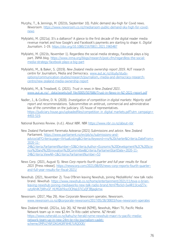- Murphy, T., & Jennings, M. (2021b, September 10). Public demand sky-high for Covid news. *Newsroom*. [https://www.newsroom.co.nz/mediaroom-public-demand-sky-high-for-covid](https://www.newsroom.co.nz/mediaroom-public-demand-sky-high-for-covid-news)[news](https://www.newsroom.co.nz/mediaroom-public-demand-sky-high-for-covid-news)
- Myllylahti, M. (2021a). It's a dalliance? A glance to the first decade of the digital reader media revenue market and how Google's and Facebook's payments are starting to shape it. *Digital Journalism*. 1-19. <https://doi.org/10.1080/21670811.2021.1965487>
- Myllylahti, M. (2021b, November 1). Regardless the social media strategy, Facebook plays a big part. INMA blog. [https://www.inma.org/blogs/research/post.cfm/regardless-the-social](https://www.inma.org/blogs/research/post.cfm/regardless-the-social-media-strategy-facebook-plays-a-big-part)[media-strategy-facebook-plays-a-big-part](https://www.inma.org/blogs/research/post.cfm/regardless-the-social-media-strategy-facebook-plays-a-big-part)
- Myllylahti, M., & Baker, S. (2019). *New Zealand media ownership report 2019*. AUT research centre for Journalism, Media and Democracy. [www.aut.ac.nz/study/study](http://www.aut.ac.nz/study/study-options/communication-studies/research/journalism,-media-and-democracy-research-centre/new-zealand-media-ownership-report)[options/communication-studies/research/journalism,-media-and-democracy-research](http://www.aut.ac.nz/study/study-options/communication-studies/research/journalism,-media-and-democracy-research-centre/new-zealand-media-ownership-report)[centre/new-zealand-media-ownership-report](http://www.aut.ac.nz/study/study-options/communication-studies/research/journalism,-media-and-democracy-research-centre/new-zealand-media-ownership-report)
- Myllylahti, M., & Treadwell, G. (2021). *Trust in news in New Zealand 2021*. [www.aut.ac.nz/\\_\\_data/assets/pdf\\_file/0005/507686/Trust-in-News-in-NZ-2021-report.pdf](http://www.aut.ac.nz/__data/assets/pdf_file/0005/507686/Trust-in-News-in-NZ-2021-report.pdf)
- Nadler, J., & Cicilline, D. N. (2020). *Investigation of competition in digital markets: Majority staff report and recommendations.* Subcommittee on antitrust, commercial and administrative law of the committee on the judiciary. US house of representatives. [https://judiciary.house.gov/uploadedfiles/competition\\_in\\_digital\\_markets.pdf?utm\\_campaign=](https://judiciary.house.gov/uploadedfiles/competition_in_digital_markets.pdf?utm_campaign=4493-519) [4493-519.](https://judiciary.house.gov/uploadedfiles/competition_in_digital_markets.pdf?utm_campaign=4493-519)

National Business Review. (n.d.). *About NBR*. NBR <https://www.nbr.co.nz/about-nbr>

- New Zealand Parliament Paremata Aotearoa (2021) *Submissions and advice*. New Zealand Parliament. [https://www.parliament.nz/en/pb/sc/submissions-and](https://www.parliament.nz/en/pb/sc/submissions-and-advice/all?Criteria.page=VirtualListing&Criteria.Keyword=rnz%20charter&Criteria.DateFrom=2020-11-24&Criteria.ParliamentNumber=53&Criteria.Author=Economic%20Development%2C%20Science%20and%20Innovation%20Committee&Criteria.ParliamenStartDate=2020-11-24&Criteria.ViewAll=1&Criteria.ParliamentNumber=53)[advice/all?Criteria.page=VirtualListing&Criteria.Keyword=rnz%20charter&Criteria.DateFrom=](https://www.parliament.nz/en/pb/sc/submissions-and-advice/all?Criteria.page=VirtualListing&Criteria.Keyword=rnz%20charter&Criteria.DateFrom=2020-11-24&Criteria.ParliamentNumber=53&Criteria.Author=Economic%20Development%2C%20Science%20and%20Innovation%20Committee&Criteria.ParliamenStartDate=2020-11-24&Criteria.ViewAll=1&Criteria.ParliamentNumber=53) [2020-11-](https://www.parliament.nz/en/pb/sc/submissions-and-advice/all?Criteria.page=VirtualListing&Criteria.Keyword=rnz%20charter&Criteria.DateFrom=2020-11-24&Criteria.ParliamentNumber=53&Criteria.Author=Economic%20Development%2C%20Science%20and%20Innovation%20Committee&Criteria.ParliamenStartDate=2020-11-24&Criteria.ViewAll=1&Criteria.ParliamentNumber=53) [24&Criteria.ParliamentNumber=53&Criteria.Author=Economic%20Development%2C%20Scie](https://www.parliament.nz/en/pb/sc/submissions-and-advice/all?Criteria.page=VirtualListing&Criteria.Keyword=rnz%20charter&Criteria.DateFrom=2020-11-24&Criteria.ParliamentNumber=53&Criteria.Author=Economic%20Development%2C%20Science%20and%20Innovation%20Committee&Criteria.ParliamenStartDate=2020-11-24&Criteria.ViewAll=1&Criteria.ParliamentNumber=53) [nce%20and%20Innovation%20Committee&Criteria.ParliamenStartDate=2020-11-](https://www.parliament.nz/en/pb/sc/submissions-and-advice/all?Criteria.page=VirtualListing&Criteria.Keyword=rnz%20charter&Criteria.DateFrom=2020-11-24&Criteria.ParliamentNumber=53&Criteria.Author=Economic%20Development%2C%20Science%20and%20Innovation%20Committee&Criteria.ParliamenStartDate=2020-11-24&Criteria.ViewAll=1&Criteria.ParliamentNumber=53) [24&Criteria.ViewAll=1&Criteria.ParliamentNumber=53](https://www.parliament.nz/en/pb/sc/submissions-and-advice/all?Criteria.page=VirtualListing&Criteria.Keyword=rnz%20charter&Criteria.DateFrom=2020-11-24&Criteria.ParliamentNumber=53&Criteria.Author=Economic%20Development%2C%20Science%20and%20Innovation%20Committee&Criteria.ParliamenStartDate=2020-11-24&Criteria.ViewAll=1&Criteria.ParliamentNumber=53)
- News Corp. (2021, August 5). *News Corp reports fourth quarter and full year results for fiscal 2021* [Press release]. [https://newscorp.com/2021/08/05/news-corp-reports-fourth-quarter](https://newscorp.com/2021/08/05/news-corp-reports-fourth-quarter-and-full-year-results-for-fiscal-2021/)[and-full-year-results-for-fiscal-2021/](https://newscorp.com/2021/08/05/news-corp-reports-fourth-quarter-and-full-year-results-for-fiscal-2021/)
- Newshub. (2021, November 2). Tova O'Brien leaving Newshub, joining MediaWorks' new talk radio brand. *Newshub*. [https://www.newshub.co.nz/home/entertainment/2021/11/tova-o-brien](https://www.newshub.co.nz/home/entertainment/2021/11/tova-o-brien-leaving-newshub-joining-mediaworks-new-talk-radio-brand.html?fbclid=IwAR11lcxdZ7x-vytzAh4K7jWhvGF_HLMGblYkscOClHaL07iCyQF3Bjaqkmw)[leaving-newshub-joining-mediaworks-new-talk-radio-brand.html?fbclid=IwAR11lcxdZ7x](https://www.newshub.co.nz/home/entertainment/2021/11/tova-o-brien-leaving-newshub-joining-mediaworks-new-talk-radio-brand.html?fbclid=IwAR11lcxdZ7x-vytzAh4K7jWhvGF_HLMGblYkscOClHaL07iCyQF3Bjaqkmw)[vytzAh4K7jWhvGF\\_HLMGblYkscOClHaL07iCyQF3Bjaqkmw](https://www.newshub.co.nz/home/entertainment/2021/11/tova-o-brien-leaving-newshub-joining-mediaworks-new-talk-radio-brand.html?fbclid=IwAR11lcxdZ7x-vytzAh4K7jWhvGF_HLMGblYkscOClHaL07iCyQF3Bjaqkmw)
- Newsroom. (2017, May 29). *How Corporate Newsroom operates*. Newsroom. [www.newsroom.co.nz/@corporate-newsroom/2017/05/28/30833/how-newsroom-operates](http://www.newsroom.co.nz/@corporate-newsroom/2017/05/28/30833/how-newsroom-operates)
- New Zealand Herald. (2021a, July 26). NZ Herald (NZME), Newshub, Māori TV, Pacific Media Network team up in new \$2.4m Te Rito cadet scheme. *NZ Herald.* [https://www.nzherald.co.nz/kahu/nz-herald-nzme-newshub-maori-tv-pacific-media](https://www.nzherald.co.nz/kahu/nz-herald-nzme-newshub-maori-tv-pacific-media-network-team-up-in-new-24m-te-rito-journalism-cadet-scheme/JMPU2Y6PJ2KG4GRFW4E7LRQDOE/)[network-team-up-in-new-24m-te-rito-journalism-cadet](https://www.nzherald.co.nz/kahu/nz-herald-nzme-newshub-maori-tv-pacific-media-network-team-up-in-new-24m-te-rito-journalism-cadet-scheme/JMPU2Y6PJ2KG4GRFW4E7LRQDOE/)[scheme/JMPU2Y6PJ2KG4GRFW4E7LRQDOE/](https://www.nzherald.co.nz/kahu/nz-herald-nzme-newshub-maori-tv-pacific-media-network-team-up-in-new-24m-te-rito-journalism-cadet-scheme/JMPU2Y6PJ2KG4GRFW4E7LRQDOE/)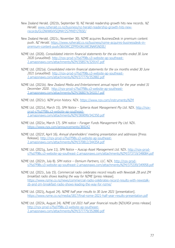- New Zealand Herald. (2021b, September 9). NZ Herald readership growth hits new records. *NZ Herald*. [www.nzherald.co.nz/business/nz-herald-readership-growth-hits-new](http://www.nzherald.co.nz/business/nz-herald-readership-growth-hits-new-records/GU2NVW6VXSQMAY2S7MXEY2T6SE/)[records/GU2NVW6VXSQMAY2S7MXEY2T6SE/](http://www.nzherald.co.nz/business/nz-herald-readership-growth-hits-new-records/GU2NVW6VXSQMAY2S7MXEY2T6SE/)
- New Zealand Herald. (2021c, November 30). NZME acquires BusinessDesk in premium content push. *NZ Herald*. [https://www.nzherald.co.nz/business/nzme-acquires-businessdesk-in](https://www.nzherald.co.nz/business/nzme-acquires-businessdesk-in-premium-content-push/56XJWCJZPPEH3KUWE3NARSNDIE/)[premium-content-push/56XJWCJZPPEH3KUWE3NARSNDIE/](https://www.nzherald.co.nz/business/nzme-acquires-businessdesk-in-premium-content-push/56XJWCJZPPEH3KUWE3NARSNDIE/)
- NZME Ltd. (2020). *Consolidated interim financial statements for the six months ended 30 June 2020 (unaudited)*. [http://nzx-prod-s7fsd7f98s.s3-website-ap-southeast-](http://nzx-prod-s7fsd7f98s.s3-website-ap-southeast-2.amazonaws.com/attachments/NZM/358574/329147.pdf)[2.amazonaws.com/attachments/NZM/358574/329147.pdf](http://nzx-prod-s7fsd7f98s.s3-website-ap-southeast-2.amazonaws.com/attachments/NZM/358574/329147.pdf)
- NZME Ltd. (2021a). *Consolidated interim financial statements for the six months ended 30 June 2021 (unaudited)*. [http://nzx-prod-s7fsd7f98s.s3-website-ap-southeast-](http://nzx-prod-s7fsd7f98s.s3-website-ap-southeast-2.amazonaws.com/attachments/NZM/377779/352882.pdf)[2.amazonaws.com/attachments/NZM/377779/352882.pdf](http://nzx-prod-s7fsd7f98s.s3-website-ap-southeast-2.amazonaws.com/attachments/NZM/377779/352882.pdf)
- NZME Ltd. (2021b). *New Zealand Media and Entertainment annual report for the year ended 31 December 2020*. [http://nzx-prod-s7fsd7f98s.s3-website-ap-southeast-](http://nzx-prod-s7fsd7f98s.s3-website-ap-southeast-2.amazonaws.com/attachments/NZM/368074/341017.pdf)[2.amazonaws.com/attachments/NZM/368074/341017.pdf](http://nzx-prod-s7fsd7f98s.s3-website-ap-southeast-2.amazonaws.com/attachments/NZM/368074/341017.pdf)
- NZME Ltd. (2021c). *NZM price history*. NZX.<https://www.nzx.com/instruments/NZM>
- NZME Ltd. (2021d, March 15). *SPH Notice – Spheria Asset Management Pty Ltd*. NZX. [http://nzx](http://nzx-prod-s7fsd7f98s.s3-website-ap-southeast-2.amazonaws.com/attachments/NZM/369099/342350.pdf)[prod-s7fsd7f98s.s3-website-ap-southeast-](http://nzx-prod-s7fsd7f98s.s3-website-ap-southeast-2.amazonaws.com/attachments/NZM/369099/342350.pdf)[2.amazonaws.com/attachments/NZM/369099/342350.pdf](http://nzx-prod-s7fsd7f98s.s3-website-ap-southeast-2.amazonaws.com/attachments/NZM/369099/342350.pdf)
- NZME Ltd. (2021e, March 17). *SPH notice – Forager Funds Management Pty Ltd*. NZX. <https://www.nzx.com/announcements/369242>
- NZME Ltd. (2021f, April 16). *Annual shareholders' meeting presentation and addresses* [Press Release]. [http://nzx-prod-s7fsd7f98s.s3-website-ap-southeast-](http://nzx-prod-s7fsd7f98s.s3-website-ap-southeast-2.amazonaws.com/attachments/NZM/370812/344354.pdf)[2.amazonaws.com/attachments/NZM/370812/344354.pdf](http://nzx-prod-s7fsd7f98s.s3-website-ap-southeast-2.amazonaws.com/attachments/NZM/370812/344354.pdf)
- NZME Ltd. (2021g, June 11). *SPH Notice – Auscap Asset Management Ltd.* NZX. [http://nzx-prod](http://nzx-prod-s7fsd7f98s.s3-website-ap-southeast-2.amazonaws.com/attachments/NZM/373719/348084.pdf)[s7fsd7f98s.s3-website-ap-southeast-2.amazonaws.com/attachments/NZM/373719/348084.pdf](http://nzx-prod-s7fsd7f98s.s3-website-ap-southeast-2.amazonaws.com/attachments/NZM/373719/348084.pdf)
- NZME Ltd. (2021h, July 8). *SPH notice – Osmium Partners, LLC*. NZX. [http://nzx-prod](http://nzx-prod-s7fsd7f98s.s3-website-ap-southeast-2.amazonaws.com/attachments/NZM/375339/349958.pdf)[s7fsd7f98s.s3-website-ap-southeast-2.amazonaws.com/attachments/NZM/375339/349958.pdf](http://nzx-prod-s7fsd7f98s.s3-website-ap-southeast-2.amazonaws.com/attachments/NZM/375339/349958.pdf)
- NZME Ltd. (2021i, July 15). *Commercial radio celebrates record results with Newstalk ZB and ZM breakfast radio shows leading the way for NZME* [press release]. [https://www.nzme.co.nz/news/commercial-radio-celebrates-record-results-with-newstalk](https://www.nzme.co.nz/news/commercial-radio-celebrates-record-results-with-newstalk-zb-and-zm-breakfast-radio-shows-leading-the-way-for-nzme/)[zb-and-zm-breakfast-radio-shows-leading-the-way-for-nzme/](https://www.nzme.co.nz/news/commercial-radio-celebrates-record-results-with-newstalk-zb-and-zm-breakfast-radio-shows-leading-the-way-for-nzme/)
- NZME Ltd. (2021j, August 24). *NZME half year results to 30 June 2021* [presentation]. <https://www.nzme.co.nz/media/1817/final-nzme-2021-half-year-results-presentation.pdf>
- NZME Ltd. (2021k, August 24). *NZME Ltd 2021 half year financial results* [NZX/ASX press release] [http://nzx-prod-s7fsd7f98s.s3-website-ap-southeast-](http://nzx-prod-s7fsd7f98s.s3-website-ap-southeast-2.amazonaws.com/attachments/NZM/377779/352880.pdf)[2.amazonaws.com/attachments/NZM/377779/352880.pdf](http://nzx-prod-s7fsd7f98s.s3-website-ap-southeast-2.amazonaws.com/attachments/NZM/377779/352880.pdf)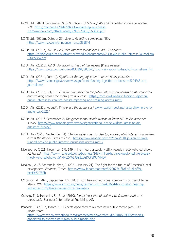- NZME Ltd. (2021l, September 2). *SPH notice – UBS Group AG and its related bodies corporate.*  NZX*.* [http://nzx-prod-s7fsd7f98s.s3-website-ap-southeast-](http://nzx-prod-s7fsd7f98s.s3-website-ap-southeast-2.amazonaws.com/attachments/NZM/378419/353835.pdf)[2.amazonaws.com/attachments/NZM/378419/353835.pdf](http://nzx-prod-s7fsd7f98s.s3-website-ap-southeast-2.amazonaws.com/attachments/NZM/378419/353835.pdf)
- NZME Ltd. (2021m, October 29). *Sale of GrabOne completed.* NZX. <https://www.nzx.com/announcements/381844>
- NZ On Air. (2021a). *NZ On Air Public Interest Journalism Fund – Overview*. [https://d3r9t6niqlb7tz.cloudfront.net/media/documents/NZ\\_On\\_Air\\_Public\\_Interest\\_Journalism](https://d3r9t6niqlb7tz.cloudfront.net/media/documents/NZ_On_Air_Public_Interest_Journalism_Overview.pdf) [\\_Overview.pdf](https://d3r9t6niqlb7tz.cloudfront.net/media/documents/NZ_On_Air_Public_Interest_Journalism_Overview.pdf)
- NZ On Air. (2021b). *NZ On Air appoints head of journalism* [Press release]. <https://www.scoop.co.nz/stories/BU2104/S00340/nz-on-air-appoints-head-of-journalism.htm>
- NZ On Air. (2021c, July 14). *Significant funding injection to boost Māori journalism*. [https://www.nzonair.govt.nz/news/significant-funding-injection-to-boost-m%C4%81ori](https://www.nzonair.govt.nz/news/significant-funding-injection-to-boost-m%C4%81ori-journalism/)[journalism/](https://www.nzonair.govt.nz/news/significant-funding-injection-to-boost-m%C4%81ori-journalism/)
- NZ On Air. (2021d, July 15). *First funding injection for public interest journalism boosts reporting and training across the motu* [Press release]. [https://mch.govt.nz/first-funding-injection](https://mch.govt.nz/first-funding-injection-public-interest-journalism-boosts-reporting-and-training-across-motu)[public-interest-journalism-boosts-reporting-and-training-across-motu](https://mch.govt.nz/first-funding-injection-public-interest-journalism-boosts-reporting-and-training-across-motu)
- NZ On Air. (2021e, August). *Where are the audiences?* [www.nzonair.govt.nz/research/where-are](http://www.nzonair.govt.nz/research/where-are-audiences-2021/)[audiences-2021/](http://www.nzonair.govt.nz/research/where-are-audiences-2021/)
- NZ On Air. (2021f, September 2) *The generational divide widens in latest NZ On Air audience survey*. [https://www.nzonair.govt.nz/news/generational-divide-widens-latest-nz-air](https://www.nzonair.govt.nz/news/generational-divide-widens-latest-nz-air-audience-survey/)[audience-survey/](https://www.nzonair.govt.nz/news/generational-divide-widens-latest-nz-air-audience-survey/)
- NZ On Air (2021g, September 24). *110 journalist roles funded to provide public interest journalism across the media* [Press release]. [https://www.nzonair.govt.nz/news/110-journalist-roles](https://www.nzonair.govt.nz/news/110-journalist-roles-funded-provide-public-interest-journalism-across-motu/)[funded-provide-public-interest-journalism-across-motu/](https://www.nzonair.govt.nz/news/110-journalist-roles-funded-provide-public-interest-journalism-across-motu/)
- Nicolaou, A. (2021, November 17). 149 million hours a week: Netflix reveals most-watched shows. *NZ Herald*. [https://www.nzherald.co.nz/business/149-million-hours-a-week-netflix-reveals](https://www.nzherald.co.nz/business/149-million-hours-a-week-netflix-reveals-most-watched-shows%20/5M4PC2PWLPBZ323GDCPZRUY7MQ/)[most-watched-shows /5M4PC2PWLPBZ323GDCPZRUY7MQ/](https://www.nzherald.co.nz/business/149-million-hours-a-week-netflix-reveals-most-watched-shows%20/5M4PC2PWLPBZ323GDCPZRUY7MQ/)
- Nicolaou, A., & Fontanella-Khan, J. (2021, January 21). The fight for the future of America's local newspapers. *Financial Times*. [https://www.ft.com/content/5c22075c-f1af-431d-bf39](https://www.ft.com/content/5c22075c-f1af-431d-bf39-becf9c54758b) [becf9c54758b](https://www.ft.com/content/5c22075c-f1af-431d-bf39-becf9c54758b)
- O'Connor, M. (2021, September 17). HRC to stop hearing individual complaints on use of te reo Māori*. RNZ*. [https://www.rnz.co.nz/news/te-manu-korihi/451684/hrc-to-stop-hearing](https://www.rnz.co.nz/news/te-manu-korihi/451684/hrc-to-stop-hearing-individual-complaints-on-use-of-te-reo-maori)[individual-complaints-on-use-of-te-reo-maori](https://www.rnz.co.nz/news/te-manu-korihi/451684/hrc-to-stop-hearing-individual-complaints-on-use-of-te-reo-maori)
- Osburg, T., & Heinecke, S. (Eds.). (2019). *Media trust in a digital world: Communication at crossroads.* Springer International Publishing AG.
- Peacock, C. (2021a, March 31). Experts appointed to oversee new public media plan. *RNZ Mediawatch*. [https://www.rnz.co.nz/national/programmes/mediawatch/audio/2018789808/experts](https://www.rnz.co.nz/national/programmes/mediawatch/audio/2018789808/experts-appointed-to-oversee-new-plan-public-media-plan)[appointed-to-oversee-new-plan-public-media-plan](https://www.rnz.co.nz/national/programmes/mediawatch/audio/2018789808/experts-appointed-to-oversee-new-plan-public-media-plan)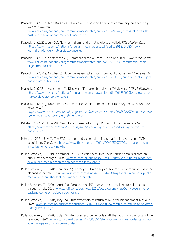- Peacock, C. (2021b, May 16) Access all areas? The past and future of community broadcasting. *RNZ Mediawatch*. [www.rnz.co.nz/national/programmes/mediawatch/audio/2018795446/access-all-areas-the](http://www.rnz.co.nz/national/programmes/mediawatch/audio/2018795446/access-all-areas-the-past-and-future-of-community-broadcasting)[past-and-future-of-community-broadcasting](http://www.rnz.co.nz/national/programmes/mediawatch/audio/2018795446/access-all-areas-the-past-and-future-of-community-broadcasting)
- Peacock, C. (2021c, July 16). New journalism fund's first projects unveiled*. RNZ Mediawatch.* [https://www.rnz.co.nz/national/programmes/mediawatch/audio/2018804286/new](https://www.rnz.co.nz/national/programmes/mediawatch/audio/2018804286/new-journalism-fund-s-first-projects-unveiled)[journalism-fund-s-first-projects-unveiled](https://www.rnz.co.nz/national/programmes/mediawatch/audio/2018804286/new-journalism-fund-s-first-projects-unveiled)
- Peacock, C. (2021d, September 26). Commercial radio urges MPs to rein in NZ. *RNZ Mediawatch*. [www.rnz.co.nz/national/programmes/mediawatch/audio/2018813733/commercial-radio](http://www.rnz.co.nz/national/programmes/mediawatch/audio/2018813733/commercial-radio-urges-mps-to-rein-in-rnz)[urges-mps-to-rein-in-rnz](http://www.rnz.co.nz/national/programmes/mediawatch/audio/2018813733/commercial-radio-urges-mps-to-rein-in-rnz)
- Peacock, C. (2021e, October 3). Huge journalism jobs boost from public purse. *RNZ Mediawatch*. [www.rnz.co.nz/national/programmes/mediawatch/audio/2018814519/huge-journalism-jobs](http://www.rnz.co.nz/national/programmes/mediawatch/audio/2018814519/huge-journalism-jobs-boost-from-public-purse)[boost-from-public-purse](http://www.rnz.co.nz/national/programmes/mediawatch/audio/2018814519/huge-journalism-jobs-boost-from-public-purse)
- Peacock, C. (2021f, November 10). Discovery NZ makes big play for TV viewers. *RNZ Mediawatch*. [https://www.rnz.co.nz/national/programmes/mediawatch/audio/2018820008/discovery-nz](https://www.rnz.co.nz/national/programmes/mediawatch/audio/2018820008/discovery-nz-makes-big-play-for-tv-viewers)[makes-big-play-for-tv-viewers](https://www.rnz.co.nz/national/programmes/mediawatch/audio/2018820008/discovery-nz-makes-big-play-for-tv-viewers)
- Peacock, C. (2021g, November 26). New collective bid to make tech titans pay for NZ news. *RNZ Mediawatch. [https://www.rnz.co.nz/national/programmes/mediawatch/audio/2018822197/new-collective](https://www.rnz.co.nz/national/programmes/mediawatch/audio/2018822197/new-collective-bid-to-make-tech-titans-pay-for-nz-news)[bid-to-make-tech-titans-pay-for-nz-news](https://www.rnz.co.nz/national/programmes/mediawatch/audio/2018822197/new-collective-bid-to-make-tech-titans-pay-for-nz-news)*
- Pelletier, N. (2021, June 29). New Sky box released as Sky TV tries to boost revenue. *RNZ*. [https://www.rnz.co.nz/news/business/445749/new-sky-box-released-as-sky-tv-tries-to](https://www.rnz.co.nz/news/business/445749/new-sky-box-released-as-sky-tv-tries-to-boost-revenue)[boost-revenue](https://www.rnz.co.nz/news/business/445749/new-sky-box-released-as-sky-tv-tries-to-boost-revenue)
- Peters, J. (2021, July 9). The FTC has reportedly opened an investigation into Amazon's MGM acquisition. *The Verge*. [https://www.theverge.com/2021/7/9/22570797/ftc-amazon-mgm](https://www.theverge.com/2021/7/9/22570797/ftc-amazon-mgm-investigation-probe-lina-khan)[investigation-probe-lina-khan](https://www.theverge.com/2021/7/9/22570797/ftc-amazon-mgm-investigation-probe-lina-khan)
- Pullar-Strecker, T. (2019, November 14). TVNZ chief executive Kevin Kenrick breaks silence on public media merger. *Stuff*. [www.stuff.co.nz/business/117411070/mixed-funding-model-for](http://www.stuff.co.nz/business/117411070/mixed-funding-model-for-new-public-media-organisation-concerns-lobby-group)[new-public-media-organisation-concerns-lobby-group](http://www.stuff.co.nz/business/117411070/mixed-funding-model-for-new-public-media-organisation-concerns-lobby-group)
- Pullar-Strecker, T. (2020a, January 29). Taxpayers' Union says public media overhaul shouldn't be planned in private. *Stuff*. [www.stuff.co.nz/business/119114473/taxpayers-union-says-public](https://www.stuff.co.nz/national/300374567/mediaworks-harassment-bullying-report-like-christmas-former-staff-say)[media-overhaul-shouldnt-be-planned-in-private](https://www.stuff.co.nz/national/300374567/mediaworks-harassment-bullying-report-like-christmas-former-staff-say)
- Pullar-Strecker, T. (2020b, April 23). Coronavirus: \$50m government package to help media through crisis. *Stuff*. [www.stuff.co.nz/business/121178681/coronavirus-50m-government](http://www.stuff.co.nz/business/121178681/coronavirus-50m-government-package-to-help-media-through-crisis)[package-to-help-media-through-crisis](http://www.stuff.co.nz/business/121178681/coronavirus-50m-government-package-to-help-media-through-crisis)
- Pullar-Strecker, T. (2020c, May 25). Stuff ownership to return to NZ after management buy-out. *Stuff*. [www.stuff.co.nz/business/industries/121613980/stuff-ownership-to-return-to-nz-after](http://www.stuff.co.nz/business/industries/121613980/stuff-ownership-to-return-to-nz-after-management-buyout)[management-buyout](http://www.stuff.co.nz/business/industries/121613980/stuff-ownership-to-return-to-nz-after-management-buyout)
- Pullar-Strecker, T. (2020d, July 30). Stuff boss and owner tells staff that voluntary pay cuts will be refunded. *Stuff*. [www.stuff.co.nz/business/122303551/stuff-boss-and-owner-tells-staff-that](http://www.stuff.co.nz/business/122303551/stuff-boss-and-owner-tells-staff-that-voluntary-pay-cuts-will-be-refunded)[voluntary-pay-cuts-will-be-refunded](http://www.stuff.co.nz/business/122303551/stuff-boss-and-owner-tells-staff-that-voluntary-pay-cuts-will-be-refunded)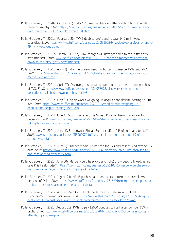- Pullar-Strecker, T. (2020e, October 23). TVNZ/RNZ merger back on after election but rationale remains sketchy. *Stuff*. [https://www.stuff.co.nz/business/123178386/tvnzrnz-merger-back](https://www.stuff.co.nz/business/123178386/tvnzrnz-merger-back-on-afterelection-but-rationale-remains-sketchy)[on-afterelection-but-rationale-remains-sketchy](https://www.stuff.co.nz/business/123178386/tvnzrnz-merger-back-on-afterelection-but-rationale-remains-sketchy)
- Pullar-Strecker, T. (2021a, February 26). TVNZ doubles profit and repays \$4.9 m in wage subsidies. *Stuff*. [https://www.stuff.co.nz/business/124333695/tvnz-doubles-proft-and-repays-](https://www.stuff.co.nz/business/124333695/tvnz-doubles-proft-and-repays-49m-in-wage-subsidies)[49m-in-wage-subsidies](https://www.stuff.co.nz/business/124333695/tvnz-doubles-proft-and-repays-49m-in-wage-subsidies)
- Pullar-Strecker, T. (2021b, March 31). RNZ, TVNZ merger will now get down to the 'nitty gritty', says minister. *Stuff*. [www.stuff.co.nz/business/124710016/rnz-tvnz-merger-will-now-get](http://www.stuff.co.nz/business/124710016/rnz-tvnz-merger-will-now-get-down-to-the-nitty-gritty-says-minister)[down-to-the-nitty-gritty-says-minister](http://www.stuff.co.nz/business/124710016/rnz-tvnz-merger-will-now-get-down-to-the-nitty-gritty-says-minister)
- Pullar-Strecker, T. (2021c, April 2). Why the government might want to merge TVNZ and RNZ. *Stuff*. [https://www.stuff.co.nz/business/124725666/why-the-government-might-want-to](https://www.stuff.co.nz/business/124725666/why-the-government-might-want-to-merge-tvnz-and-rnz)[merge-tvnz-and-rnz](https://www.stuff.co.nz/business/124725666/why-the-government-might-want-to-merge-tvnz-and-rnz)
- Pullar-Strecker, T. (2021d, April 27). Discovery restructures operations as it beds down purchase of TV3. *Stuff.* [https://www.stuff.co.nz/business/124958973/discovery-restructures](https://www.ft.com/content/5c22075c-f1af-431d-bf39-becf9c54758b)[operations-as-it-beds-down-purchase-of-tv3](https://www.ft.com/content/5c22075c-f1af-431d-bf39-becf9c54758b)
- Pullar-Strecker, T. (2021e, May 31). MediaWorks weighing up acquisitions despite posting \$4.8m loss. *Stuff*. [https://www.stuff.co.nz/business/125297016/mediaworks-weighing-up](https://www.stuff.co.nz/business/125297016/mediaworks-weighing-up-acquisitions-despite-posting-48m-loss)[acquisitions-despite-posting-48m-loss](https://www.stuff.co.nz/business/125297016/mediaworks-weighing-up-acquisitions-despite-posting-48m-loss)
- Pullar-Strecker, T. (2021f, June 1). Stuff chief executive Sinead Boucher taking time over big decisions. *Stuff*. [www.stuff.co.nz/business/125266194/stuff-chief-executive-sinead-boucher](http://www.stuff.co.nz/business/125266194/stuff-chief-executive-sinead-boucher-taking-time-over-big-decisions)[taking-time-over-big-decisions](http://www.stuff.co.nz/business/125266194/stuff-chief-executive-sinead-boucher-taking-time-over-big-decisions)
- Pullar-Strecker, T. (2021g, June 1). Stuff owner Sinead Boucher gifts 10% of company to staff. *Stuff*. [www.stuff.co.nz/business/125306697/stuff-owner-sinead-boucher-gifts-10-of](http://www.stuff.co.nz/business/125306697/stuff-owner-sinead-boucher-gifts-10-of-company-to-staff)[company-to-staff](http://www.stuff.co.nz/business/125306697/stuff-owner-sinead-boucher-gifts-10-of-company-to-staff)
- Pullar-Strecker, T. (2021h, June 2). Discovery paid \$20m cash for TV3 and rest of MediaWorks' TV arm. *Stuff*. [https://www.stuff.co.nz/business/125319432/discovery-paid-20m-cash-for-tv3](https://www.stuff.co.nz/business/125319432/discovery-paid-20m-cash-for-tv3-and-rest-of-mediaworks-tv-arm) [and-rest-of-mediaworks-tv-arm](https://www.stuff.co.nz/business/125319432/discovery-paid-20m-cash-for-tv3-and-rest-of-mediaworks-tv-arm)
- Pullar-Strecker, T. (2021i, June 30). Merger could help RNZ and TVNZ grow beyond broadcasting, says Kris Faafoi. *Stuff*. [https://www.stuff.co.nz/business/125610371/merger-couldhelp-rnz](https://www.stuff.co.nz/business/125610371/merger-couldhelp-rnz-and-tvnz-grow-beyond-broadcasting-says-kris-faafoi)[and-tvnz-grow-beyond-broadcasting-says-kris-faafoi](https://www.stuff.co.nz/business/125610371/merger-couldhelp-rnz-and-tvnz-grow-beyond-broadcasting-says-kris-faafoi)
- Pullar-Strecker, T. (2021j, August 24). NZME pushes pause on capital return to shareholders because of Delta. *Stuff*. [https://www.stuff.co.nz/business/126162910/nzme-pushes-pause-on](https://www.stuff.co.nz/business/126162910/nzme-pushes-pause-on-capital-return-to-shareholders-because-of-delta)[capital-return-to-shareholders-because-of-delta](https://www.stuff.co.nz/business/126162910/nzme-pushes-pause-on-capital-return-to-shareholders-because-of-delta)
- Pullar-Strecker, T. (2021k, August 25). Sky TV beats profit forecast, see swing to light entertainment during lockdown. *Stuff*. [https://www.stuff.co.nz/business/126170534/sky-tv](https://www.stuff.co.nz/business/126170534/sky-tv-beats-profit-forecast-sees-swing-to-light-entertainment-during-lockdown?rm=a)[beats-profit-forecast-sees-swing-to-light-entertainment-during-lockdown?rm=a](https://www.stuff.co.nz/business/126170534/sky-tv-beats-profit-forecast-sees-swing-to-light-entertainment-during-lockdown?rm=a)
- Pullar-Strecker, T. (2021l, August 31). TVNZ to pay \$2000 bonuses to staff after bumper \$59m profit. *Stuff*. [https://www.stuff.co.business/126231370/tvnz-to-pay-2000-bonuses-to-staff](https://www.stuff.co.business/126231370/tvnz-to-pay-2000-bonuses-to-staff-after-bumper-59m-profit)[after-bumper-59m-profit](https://www.stuff.co.business/126231370/tvnz-to-pay-2000-bonuses-to-staff-after-bumper-59m-profit)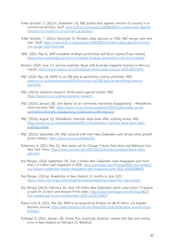- Pullar-Strecker, T, (2021m, September 23). RNZ pushes back against concerns it's moving in on commercial territory. *Stuff*. [www.stuff.co.nz/business/126456160/rnz-pushes-back-against](http://www.stuff.co.nz/business/126456160/rnz-pushes-back-against-concerns-its-moving-in-on-commercial-territory)[concerns-its-moving-in-on-commercial-territory](http://www.stuff.co.nz/business/126456160/rnz-pushes-back-against-concerns-its-moving-in-on-commercial-territory)
- Pullar-Strecker, T. (2021n, November 3). Ministers delay decision on TVNZ, RNZ merger until next year. *Stuff.* [https://www.stuff.co.nz/business/126870825/ministers-delay-decision-on-tvnz](https://www.stuff.co.nz/business/126870825/ministers-delay-decision-on-tvnz-rnz-merger-until-next-year)[rnz-merger-until-next-year](https://www.stuff.co.nz/business/126870825/ministers-delay-decision-on-tvnz-rnz-merger-until-next-year)
- QMS. (2021, May 4). *QMS completes strategic partnership with Bruin Capital* [Press release]*.*  <https://www.qmsmedia.com/qms-completes-strategic-partnership-with-bruin-capital/>
- Reuters. (2020, June 17). German publisher Bauer sells Australia magazine business to Mercury Capital.<https://www.reuters.com/article/bauermedia-deals-mercury-idUSL4N2DU0M1>
- RNZ. (2020, May 14). NZME to cut 200 jobs as advertising revenue plummets. *RNZ.*  [www.rnz.co.nz/news/business/414165/nzme-to-cut-200-jobs-as-advertising-revenue](http://www.rnz.co.nz/news/business/414165/nzme-to-cut-200-jobs-as-advertising-revenue-plummets)[plummets](http://www.rnz.co.nz/news/business/414165/nzme-to-cut-200-jobs-as-advertising-revenue-plummets)
- RNZ. (2021a). *Audience research: Performance against char*ter. RNZ. <https://www.rnz.co.nz/about/audience-research>
- RNZ. (2021b, January 28). John Banks' on-air comments 'extremely disappointing' MediaWorks chief executive. *RNZ*. [https://www.rnz.co.nz/news/national/435352/john-banks-on-air](https://www.rnz.co.nz/news/national/435352/john-banks-on-air-comments-extremely-disappointing-mediaworks-chief-executive)[comments-extremely-disappointing-mediaworks-chief-executive](https://www.rnz.co.nz/news/national/435352/john-banks-on-air-comments-extremely-disappointing-mediaworks-chief-executive)
- RNZ. (2021b, August 13). MediaWorks chairman steps down after scathing review. *RNZ*. [https://www.rnz.co.nz/news/national/449112/mediaworks-chairman-steps-down-after](https://www.rnz.co.nz/news/national/449112/mediaworks-chairman-steps-down-after-scathing-review)[scathing-review](https://www.rnz.co.nz/news/national/449112/mediaworks-chairman-steps-down-after-scathing-review)
- RNZ. (2021d, September 24). *RNZ connects with more New Zealanders with strong online growth* [press release].<https://www.rnz.co.nz/media/162>
- Robertson, K. (2021, May 21). New owner set for Chicago Tribune Daily News and Baltimore Sun. *New York Times*. [https://www.nytimes.com/2021/05/21/business/media/tribune-alden](https://www.nytimes.com/2021/05/21/business/media/tribune-alden-sale.html)[sale.html](https://www.nytimes.com/2021/05/21/business/media/tribune-alden-sale.html)
- Roy Morgan. (2020, September 29). *Over 3 million New Zealanders read newspapers and more than 1.9 million read magazines in 2020*. [www.roymorgan.com/findings/8516-new-zealand](http://www.roymorgan.com/findings/8516-new-zealand-roy-morgan-readership-results-newspapers-and-magazines-june-2020-202009280603)[roy-morgan-readership-results-newspapers-and-magazines-june-2020-202009280603](http://www.roymorgan.com/findings/8516-new-zealand-roy-morgan-readership-results-newspapers-and-magazines-june-2020-202009280603)
- Roy Morgan. (2021a). *Readership in New Zealand, 12 months to June 2021*. <https://www.roymorgan.com/industries/media/readership/readership-new-zealand>
- Roy Morgan (2021b, February 16). *Over 2.8 million New Zealanders watch subscription TV-largest growth for Disney+ and Amazon Prime Video*. [http://www.roymorgan.com/findings/8623](http://www.roymorgan.com/findings/8623-new-zealand-pay-tv-servicesdecember-2020-202102150627) [new-zealand-pay-tv-servicesdecember-2020-202102150627](http://www.roymorgan.com/findings/8623-new-zealand-pay-tv-servicesdecember-2020-202102150627)
- Rubio-Licht, N. (2021, May 26). MGM to be acquired by Amazon for \$8.45 billion. *Los Angeles Business Journal*. [https://labusinessjournal.com/news/2021/may/26/amazon-acquire-mgm-](https://labusinessjournal.com/news/2021/may/26/amazon-acquire-mgm-8-billion/)[8-billion/](https://labusinessjournal.com/news/2021/may/26/amazon-acquire-mgm-8-billion/)
- Rutledge, D. (2021, January 28). Disney Plus 'practically doubling' content with Star and raising price in New Zealand on February 23*. Newshub*.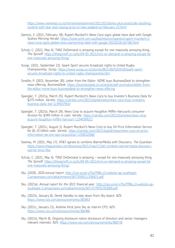[https://www.newshub.co.nz/home/entertainment/2021/01/disney-plus-practically-doubling](https://www.newshub.co.nz/home/entertainment/2021/01/disney-plus-practically-doubling-content-with-star-and-raising-price-in-new-zealand-on-february-23.html)[content-with-star-and-raising-price-in-new-zealand-on-february-23.html](https://www.newshub.co.nz/home/entertainment/2021/01/disney-plus-practically-doubling-content-with-star-and-raising-price-in-new-zealand-on-february-23.html)

- Samois, Z. (2021, February 18). Rupert Murdoch's News Corp signs global news deal with Google. *Sydney Morning Herald*. [https://www.smh.com.au/business/companies/rupert-murdoch-s](https://www.smh.com.au/business/companies/rupert-murdoch-s-news-corp-signs-global-news-partnership-deal-with-google-20210218-p573j6.html)[news-corp-signs-global-news-partnership-deal-with-google-20210218-p573j6.html](https://www.smh.com.au/business/companies/rupert-murdoch-s-news-corp-signs-global-news-partnership-deal-with-google-20210218-p573j6.html)
- Schulz, C. (2021, May 4). TVNZ OnDemand is amazing-except for one massively annoying thing. *The Spinoff.* [https://thespinoff.co.nz/tv/04-05-2021/tvnz-on-demand-is-amazing-except-for](https://thespinoff.co.nz/tv/04-05-2021/tvnz-on-demand-is-amazing-except-for%20one-massively-annoying-thing/)  [one-massively-annoying-thing/](https://thespinoff.co.nz/tv/04-05-2021/tvnz-on-demand-is-amazing-except-for%20one-massively-annoying-thing/)
- Scoop. (2021, September 22). Spark Sport secures broadcast rights to United Rugby Championship. *Scoop*. [https://www.scoop.co.nz/stories/BU2109/SOO518/spark-sport](https://www.scoop.co.nz/stories/BU2109/SOO518/spark-sport-secures-broadcast-rights-to-united-rugby-championship.htm)[secures-broadcast-rights-to-united-rugby-championship.htm](https://www.scoop.co.nz/stories/BU2109/SOO518/spark-sport-secures-broadcast-rights-to-united-rugby-championship.htm)
- Smellie, P. (2021, November 30). Letter from the Editor: NZME buys BusinessDesk to strengthen news offering. *BusinessDesk.* [https://businessdesk.co.nz/article/self-promotion/letter-from](https://businessdesk.co.nz/article/self-promotion/letter-from-the-editor-nzme-buys-businessdesk-to-strengthen-news-offering)[the-editor-nzme-buys-businessdesk-to-strengthen-news-offering](https://businessdesk.co.nz/article/self-promotion/letter-from-the-editor-nzme-buys-businessdesk-to-strengthen-news-offering)
- Spangler, T. (2021a, March 25). Rupert Murdoch's News Corp to buy Investor's Business Daily for \$275 million. *Variety*. [https://variety.com/2021/digital/news/news-corp-buys-investors](https://variety.com/2021/digital/news/news-corp-buys-investors-business-daily-ibd-1234937954/)[business-daily-ibd-1234937954/](https://variety.com/2021/digital/news/news-corp-buys-investors-business-daily-ibd-1234937954/)
- Spangler, T. (2021b, March 29). News Corp to acquire Houghton Mifflin Harcourts consumer division for \$349 million in cash. *Variety*. [https://variety.com/2021/biz/news/news-corp](https://variety.com/2021/biz/news/news-corp-acquire-houghton-mifflin-harcourt-1234939922/)[acquire-houghton-mifflin-harcourt-1234939922/](https://variety.com/2021/biz/news/news-corp-acquire-houghton-mifflin-harcourt-1234939922/)
- Spangler, T. (2021c, August 2). Rupert Murdoch's News Corp to buy Oil Price Information Service for \$1.15 billion cash. *Variety*. [https://variety.com/2021/digital/news/news-corp-oil-price](https://variety.com/2021/digital/news/news-corp-oil-price-information-service-opis-acquisition-1235032508/)[information-service-opis-acquisition-1235032508/](https://variety.com/2021/digital/news/news-corp-oil-price-information-service-opis-acquisition-1235032508/)
- Sweney, M. (2021, May 17). AT&T agrees to combine WarnerMedia with Discovery. *The Guardian*. [https://www.theguardian.com/business/2021/may/17/att-combine-warnermedia-discovery](https://www.theguardian.com/business/2021/may/17/att-combine-warnermedia-discovery-warner-bros-hbo)[warner-bros-hbo](https://www.theguardian.com/business/2021/may/17/att-combine-warnermedia-discovery-warner-bros-hbo)
- Schulz, C. (2021, May 4). TVNZ OnDemand is amazing except for one massively annoying thing. *The Spinoff*. [https://thespinoff.co.nz/tv/04-05-2021/tvnz-on-demand-is-amazing-except-for](ttps://thespinoff.co.nz/tv/04-05-2021/tvnz-on-demand-is-amazing-except-for%20one-massively-annoying-thing/)  [one-massively-annoying-thing/](ttps://thespinoff.co.nz/tv/04-05-2021/tvnz-on-demand-is-amazing-except-for%20one-massively-annoying-thing/)
- Sky. (2020). *2020 annual report*. [http://nzx-prod-s7fsd7f98s.s3-website-ap-southeast-](http://nzx-prod-s7fsd7f98s.s3-website-ap-southeast-2.amazonaws.com/attachments/SKT/359511/330421.pdf)[2.amazonaws.com/attachments/SKT/359511/330421.pdf](http://nzx-prod-s7fsd7f98s.s3-website-ap-southeast-2.amazonaws.com/attachments/SKT/359511/330421.pdf)
- Sky. (2021a). *Annual report for the 2021 financial year*. [http://nzx-prod-s7fsd7f98s.s3-website-ap](http://nzx-prod-s7fsd7f98s.s3-website-ap-southeast-2.amazonaws.com/attachments/SKT/377870/353009.pdf)[southeast-2.amazonaws.com/attachments/SKT/377870/353009.pdf](http://nzx-prod-s7fsd7f98s.s3-website-ap-southeast-2.amazonaws.com/attachments/SKT/377870/353009.pdf)
- Sky. (2021b, January 8). Derek Handley to step down from Sky board. *NZX*. <https://www.nzx.com/announcements/365953>
- Sky. (2021c, January 21). Andrew Hirst joins Sky as interim CFO. *NZX*. <https://www.nzx.com/announcements/366486>
- Sky. (2021d, March 8). Ongoing disclosure notice disclosure of directors and senior managers relevant interests. *NZX.* <https://www.nzx.com/announcements/368718>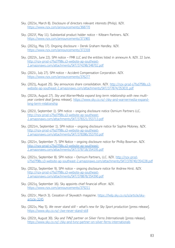- Sky. (2021e, March 8). Disclosure of directors relevant interests (Philip). *NZX*. <https://www.nzx.com/announcements/368770>
- Sky. (2021f, May 11). Substantial product holder notice Kiltearn Partners. *NZX*. <https://www.nzx.com/announcements/371965>
- Sky. (2021g, May 17). Ongoing disclosure Derek Graham Handley. *NZX*. <https://www.nzx.com/announcements/372318>
- Sky. (2021h, June 22). SPH notice FMR LLC and the entities listed in annexure A. *NZX*. 22 June. [http://nzx-prod-s7fsd7f98s.s3-website-ap-southeast-](http://nzx-prod-s7fsd7f98s.s3-website-ap-southeast-2.amazonaws.com/attachments/SKT/374298/348702.pdf)[2.amazonaws.com/attachments/SKT/374298/348702.pdf](http://nzx-prod-s7fsd7f98s.s3-website-ap-southeast-2.amazonaws.com/attachments/SKT/374298/348702.pdf)
- Sky. (2021i, July 27). SPH notice Accident Compensation Corporation. *NZX*. <https://www.nzx.com/announcements/376277>
- Sky. (2021j, August 25). Sky announces share consolidation. *NZX*. [http://nzx-prod-s7fsd7f98s.s3](http://nzx-prod-s7fsd7f98s.s3-website-ap-southeast-2.amazonaws.com/attachments/NZM/375339/349958.pdf) [website-ap-southeast-2.amazonaws.com/attachments/SKT/377874/353031.pdf](http://nzx-prod-s7fsd7f98s.s3-website-ap-southeast-2.amazonaws.com/attachments/NZM/375339/349958.pdf)
- Sky. (2021k, August 27). *Sky and WarnerMedia expand long term relationship with new multiyear content deal* [press release]. [https://www.sky.co.nz/-/sky-and-warnermedia-expand](https://www.sky.co.nz/-/sky-and-warnermedia-expand-long-term-relationship)[long-term-relationship](https://www.sky.co.nz/-/sky-and-warnermedia-expand-long-term-relationship)
- Sky. (2021l, September 1). SPH notice ongoing disclosure notice Osmium Partners LLC. [http://nzx-prod-s7fsd7f98s.s3-website-ap-southeast-](http://nzx-prod-s7fsd7f98s.s3-website-ap-southeast-2.amazonaws.com/attachments/SKT/378321/353713.pdf)[2.amazonaws.com/attachments/SKT/378321/353713.pdf](http://nzx-prod-s7fsd7f98s.s3-website-ap-southeast-2.amazonaws.com/attachments/SKT/378321/353713.pdf)
- Sky. (2021m, September 1). SPH notice ongoing disclosure notice for Sophie Moloney. *NZX*. [http://nzx-prod-s7fsd7f98s.s3-website-ap-southeast-](https://www.qmsmedia.com/qms-completes-strategic-partnership-with-bruin-capital/)[2.amazonaws.com/attachments/SKT/378386/353793.pdf](https://www.qmsmedia.com/qms-completes-strategic-partnership-with-bruin-capital/)
- Sky. (2021n, September 7). SPH Notice ongoing disclosure notice for Phillip Bowman. *NZX*. [http://nzx-prod-s7fsd7f98s.s3-website-ap-southeast-](http://nzx-prod-s7fsd7f98s.s3-website-ap-southeast-2.amazonaws.com/attachments/SKT/378718/354195.pdf)[2.amazonaws.com/attachments/SKT/378718/354195.pdf](http://nzx-prod-s7fsd7f98s.s3-website-ap-southeast-2.amazonaws.com/attachments/SKT/378718/354195.pdf)
- Sky. (2021o, September 8). SPH notice Osmium Partners, LLC. *NZX*. [http://nzx-prod](http://nzx-prod-s7fsd7f98s.s3-website-ap-southeast-2.amazonaws.com/attachments/SKT/378740/354228.pdf)[s7fsd7f98s.s3-website-ap-southeast-2.amazonaws.com/attachments/SKT/378740/354228.pdf](http://nzx-prod-s7fsd7f98s.s3-website-ap-southeast-2.amazonaws.com/attachments/SKT/378740/354228.pdf)
- Sky. (2021p, September 9). SPH notice ongoing disclosure notice for Andrew Hirst. *NZX.*  [http://nzx-prod-s7fsd7f98s.s3-website-ap-southeast-](http://nzx-prod-s7fsd7f98s.s3-website-ap-southeast-2.amazonaws.com/attachments/SKT/378878/354390.pdf)[2.amazonaws.com/attachments/SKT/378878/354390.pdf](http://nzx-prod-s7fsd7f98s.s3-website-ap-southeast-2.amazonaws.com/attachments/SKT/378878/354390.pdf)
- Sky. (2021q, September 16). Sky appoints chief financial officer. *NZX*. <https://www.nzx.com/announcements/379211>
- Sky. (2021r, March 3). Cessation of Skywatch magazine. [https://help.sky.co.nz/s/article/sky](https://help.sky.co.nz/s/article/sky-article-3245)[article-3245](https://help.sky.co.nz/s/article/sky-article-3245)
- Sky. (2021s, May 5). *We never stand still – what's new for Sky Sport production* [press release]. <https://www.sky.co.nz/-/we-never-stand-still>
- Sky. (2021t, August 30). *Sky and TVNZ partner on Silver Ferns Internationals* [press release]. <https://www.sky.co.nz/-/sky-and-tvnz-partner-on-silver-ferns-internationals>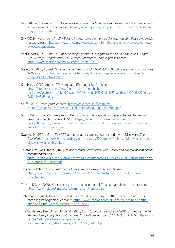- Sky. (2021u, November 11). *Sky secures Australian Professional Leagues partnership in multi-year A-Leagues deal* [Press release]. [https://www.sky.co.nz/-/sky-secures-australian-professional](https://www.sky.co.nz/-/sky-secures-australian-professional-leagues-partnerships)[leagues-partnerships](https://www.sky.co.nz/-/sky-secures-australian-professional-leagues-partnerships)
- Sky (2021v, November 17). *Sky Selects international partners to develop new Sky Box components* [press release]. [https://www.sky.co.nz/-/sky-selects-international-partners-to-develop-new](https://www.sky.co.nz/-/sky-selects-international-partners-to-develop-new-sky-box-components)[sky-box-components](https://www.sky.co.nz/-/sky-selects-international-partners-to-develop-new-sky-box-components)
- SparkSport (2021, June 29). *Spark Sport gains exclusive rights to the UEFA Champions League, UEFA Europa Leagues and UEFA Europa Conference League* [Press release]. [https://www.sparknz.co.nz/news/spark\\_sport\\_UEFA/](https://www.sparknz.co.nz/news/spark_sport_UEFA/)
- Staley, S. (2021, August 24). *Evans and Campus Radio bFM Ltd 2021-039. Broadcasting Standards Authority*. [https://www.bsa.govt.nz/decisions/all-decisions/jeremy-evans-complainant](https://www.bsa.govt.nz/decisions/all-decisions/jeremy-evans-complainant-campus-radio-bfm-limited)[campus-radio-bfm-limited](https://www.bsa.govt.nz/decisions/all-decisions/jeremy-evans-complainant-campus-radio-bfm-limited)
- StopPress. (2020, August 27). Home and FQ bought by Parkside. [https://stoppress.co.nz/news/home-and-fq-bought-by](https://stoppress.co.nz/news/home-and-fq-bought-by-parkside/#:~:text=Locally%20owned%20Parkside%20Media%20has,these%20titles%20back%20into%20market)[parkside/#:~:text=Locally%20owned%20Parkside%20Media%20has,these%20titles%20back](https://stoppress.co.nz/news/home-and-fq-bought-by-parkside/#:~:text=Locally%20owned%20Parkside%20Media%20has,these%20titles%20back%20into%20market) [%20into%20market](https://stoppress.co.nz/news/home-and-fq-bought-by-parkside/#:~:text=Locally%20owned%20Parkside%20Media%20has,these%20titles%20back%20into%20market)
- Stuff (2021a). *Video product suite*. [https://advertise.stuff.co.nz/wp](https://advertise.stuff.co.nz/wp-content/uploads/2021/07/Video-Product-Handbook-2021-External.pdf)[content/uploads/2021/07/Video-Product-Handbook-2021-External.pdf](https://advertise.stuff.co.nz/wp-content/uploads/2021/07/Video-Product-Handbook-2021-External.pdf)
- Stuff (2021b, June 27). Freeview On Demand, which brought almost every channel to one app, loses TVNZ catch up content. *Stuff*. [https://www.stuff.co.nz/entertainment/tv](https://www.stuff.co.nz/entertainment/tv-radio/300343185/freeview-on-demand-which-brought-almost-every-channel-to-one-app-loses-tvnz-catch-up-content)[radio/300343185/freeview-on-demand-which-brought-almost-every-channel-to-one-app](https://www.stuff.co.nz/entertainment/tv-radio/300343185/freeview-on-demand-which-brought-almost-every-channel-to-one-app-loses-tvnz-catch-up-content)[loses-tvnz-catch-up-content](https://www.stuff.co.nz/entertainment/tv-radio/300343185/freeview-on-demand-which-brought-almost-every-channel-to-one-app-loses-tvnz-catch-up-content)
- Sweney, M. (2021, May 17). AT&T agrees deal to combine WarnerMedia with Discovery. *The Guardian*. [https://www.theguardian.com/business/2021/may/17/att-combine-warnermedia](https://www.theguardian.com/business/2021/may/17/att-combine-warnermedia-discovery-warner-bros-hbo)[discovery-warner-bros-hbo](https://www.theguardian.com/business/2021/may/17/att-combine-warnermedia-discovery-warner-bros-hbo)
- Te Amokura Consultants. (2021). *Public Interest Journalism Fund: Māori and iwi journalism sector recommendations*. [https://d3r9t6niqlb7tz.cloudfront.net/media/documents/PIJF\\_M%C4%81ori\\_Journalism\\_Secto](https://d3r9t6niqlb7tz.cloudfront.net/media/documents/PIJF_M%C4%81ori_Journalism_Sector_Te_Amokura_Report.pdf) [r\\_Te\\_Amokura\\_Report.pdf](https://d3r9t6niqlb7tz.cloudfront.net/media/documents/PIJF_M%C4%81ori_Journalism_Sector_Te_Amokura_Report.pdf)
- Te Māngai Pāho. (2021). *Statement of performance expectations 2021-2022*. [https://www.tmp.govt.nz/en/about/documents/general/#statement-of-performance](https://www.tmp.govt.nz/en/about/documents/general/#statement-of-performance-expectations)**[expectations](https://www.tmp.govt.nz/en/about/documents/general/#statement-of-performance-expectations)**
- Te Puni Kōkiri. (2020). Māori media sector shift options | Te ao pāpāho Māori he ara hou. <https://www.tpk.govt.nz/docs/tpk-mmss-shift-options.pdf>
- Teitelman, T. (2021, March 20). The AT&T Time Warner merger battle is over. The anti-trust battle is just beginning. *Barron's*. [https://www.barrons.com/articles/the-antitrust-battle](https://www.barrons.com/articles/the-antitrust-battle-after-at-t-time-warner-merger-51553025503)[after-at-t-time-warner-merger-51553025503](https://www.barrons.com/articles/the-antitrust-battle-after-at-t-time-warner-merger-51553025503)
- The NZ Markets Disciplinary Tribunal. (2021, April 20). *Public censure of NZME Limited by the NZ Markets Disciplinary Tribunal for breach of NZX listing rules 3.1.1 And 3.2.1.* NZX. [http://nzx](http://nzx-prod-s7fsd7f98s.s3-website-ap-southeast-2.amazonaws.com/attachments/NZM/370958/344524.pdf)[prod-s7fsd7f98s.s3-website-ap-southeast-](http://nzx-prod-s7fsd7f98s.s3-website-ap-southeast-2.amazonaws.com/attachments/NZM/370958/344524.pdf)[2.amazonaws.com/attachments/NZM/370958/344524.pdf](http://nzx-prod-s7fsd7f98s.s3-website-ap-southeast-2.amazonaws.com/attachments/NZM/370958/344524.pdf)